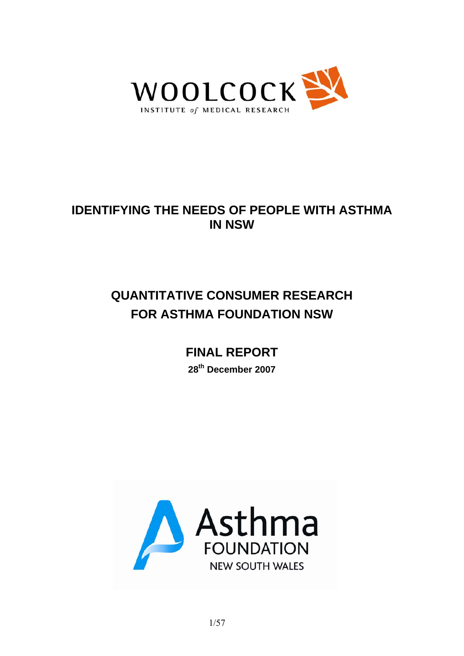

## **IDENTIFYING THE NEEDS OF PEOPLE WITH ASTHMA IN NSW**

# **QUANTITATIVE CONSUMER RESEARCH FOR ASTHMA FOUNDATION NSW**

# **FINAL REPORT**

**28th December 2007** 

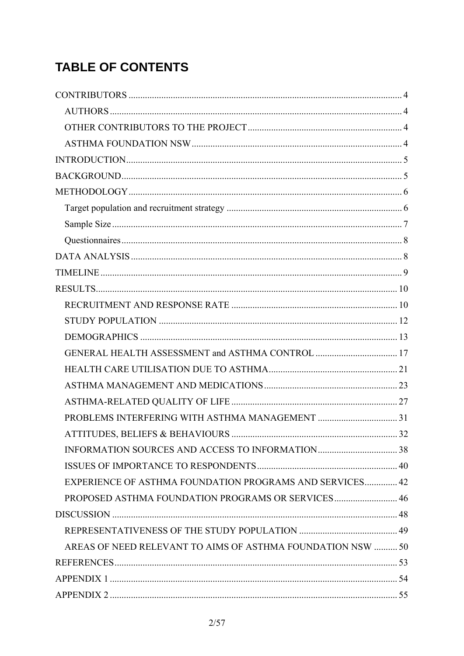# **TABLE OF CONTENTS**

| <b>EXPERIENCE OF ASTHMA FOUNDATION PROGRAMS AND SERVICES 42</b> |  |
|-----------------------------------------------------------------|--|
| PROPOSED ASTHMA FOUNDATION PROGRAMS OR SERVICES 46              |  |
|                                                                 |  |
|                                                                 |  |
| AREAS OF NEED RELEVANT TO AIMS OF ASTHMA FOUNDATION NSW  50     |  |
|                                                                 |  |
|                                                                 |  |
|                                                                 |  |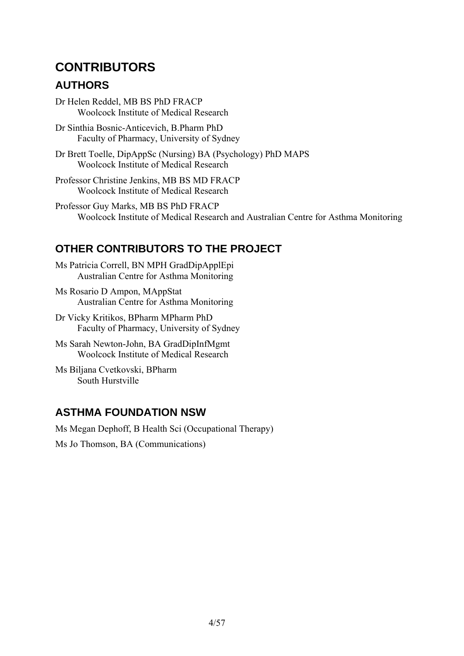## **CONTRIBUTORS**

### **AUTHORS**

Dr Helen Reddel, MB BS PhD FRACP Woolcock Institute of Medical Research

Dr Sinthia Bosnic-Anticevich, B.Pharm PhD Faculty of Pharmacy, University of Sydney

Dr Brett Toelle, DipAppSc (Nursing) BA (Psychology) PhD MAPS Woolcock Institute of Medical Research

Professor Christine Jenkins, MB BS MD FRACP Woolcock Institute of Medical Research

Professor Guy Marks, MB BS PhD FRACP Woolcock Institute of Medical Research and Australian Centre for Asthma Monitoring

### **OTHER CONTRIBUTORS TO THE PROJECT**

Ms Patricia Correll, BN MPH GradDipApplEpi Australian Centre for Asthma Monitoring

Ms Rosario D Ampon, MAppStat Australian Centre for Asthma Monitoring

Dr Vicky Kritikos, BPharm MPharm PhD Faculty of Pharmacy, University of Sydney

Ms Sarah Newton-John, BA GradDipInfMgmt Woolcock Institute of Medical Research

Ms Biljana Cvetkovski, BPharm South Hurstville

### **ASTHMA FOUNDATION NSW**

Ms Megan Dephoff, B Health Sci (Occupational Therapy)

Ms Jo Thomson, BA (Communications)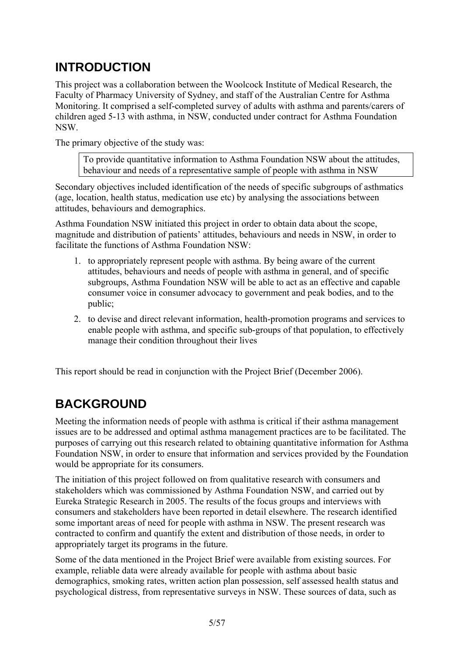## **INTRODUCTION**

This project was a collaboration between the Woolcock Institute of Medical Research, the Faculty of Pharmacy University of Sydney, and staff of the Australian Centre for Asthma Monitoring. It comprised a self-completed survey of adults with asthma and parents/carers of children aged 5-13 with asthma, in NSW, conducted under contract for Asthma Foundation NSW.

The primary objective of the study was:

To provide quantitative information to Asthma Foundation NSW about the attitudes, behaviour and needs of a representative sample of people with asthma in NSW

Secondary objectives included identification of the needs of specific subgroups of asthmatics (age, location, health status, medication use etc) by analysing the associations between attitudes, behaviours and demographics.

Asthma Foundation NSW initiated this project in order to obtain data about the scope, magnitude and distribution of patients' attitudes, behaviours and needs in NSW, in order to facilitate the functions of Asthma Foundation NSW:

- 1. to appropriately represent people with asthma. By being aware of the current attitudes, behaviours and needs of people with asthma in general, and of specific subgroups, Asthma Foundation NSW will be able to act as an effective and capable consumer voice in consumer advocacy to government and peak bodies, and to the public;
- 2. to devise and direct relevant information, health-promotion programs and services to enable people with asthma, and specific sub-groups of that population, to effectively manage their condition throughout their lives

This report should be read in conjunction with the Project Brief (December 2006).

## **BACKGROUND**

Meeting the information needs of people with asthma is critical if their asthma management issues are to be addressed and optimal asthma management practices are to be facilitated. The purposes of carrying out this research related to obtaining quantitative information for Asthma Foundation NSW, in order to ensure that information and services provided by the Foundation would be appropriate for its consumers.

The initiation of this project followed on from qualitative research with consumers and stakeholders which was commissioned by Asthma Foundation NSW, and carried out by Eureka Strategic Research in 2005. The results of the focus groups and interviews with consumers and stakeholders have been reported in detail elsewhere. The research identified some important areas of need for people with asthma in NSW. The present research was contracted to confirm and quantify the extent and distribution of those needs, in order to appropriately target its programs in the future.

Some of the data mentioned in the Project Brief were available from existing sources. For example, reliable data were already available for people with asthma about basic demographics, smoking rates, written action plan possession, self assessed health status and psychological distress, from representative surveys in NSW. These sources of data, such as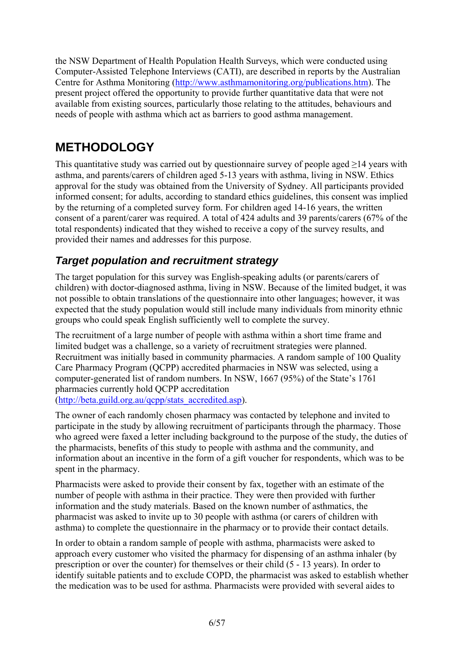the NSW Department of Health Population Health Surveys, which were conducted using Computer-Assisted Telephone Interviews (CATI), are described in reports by the Australian Centre for Asthma Monitoring (http://www.asthmamonitoring.org/publications.htm). The present project offered the opportunity to provide further quantitative data that were not available from existing sources, particularly those relating to the attitudes, behaviours and needs of people with asthma which act as barriers to good asthma management.

## **METHODOLOGY**

This quantitative study was carried out by questionnaire survey of people aged  $\geq$ 14 years with asthma, and parents/carers of children aged 5-13 years with asthma, living in NSW. Ethics approval for the study was obtained from the University of Sydney. All participants provided informed consent; for adults, according to standard ethics guidelines, this consent was implied by the returning of a completed survey form. For children aged 14-16 years, the written consent of a parent/carer was required. A total of 424 adults and 39 parents/carers (67% of the total respondents) indicated that they wished to receive a copy of the survey results, and provided their names and addresses for this purpose.

### *Target population and recruitment strategy*

The target population for this survey was English-speaking adults (or parents/carers of children) with doctor-diagnosed asthma, living in NSW. Because of the limited budget, it was not possible to obtain translations of the questionnaire into other languages; however, it was expected that the study population would still include many individuals from minority ethnic groups who could speak English sufficiently well to complete the survey.

The recruitment of a large number of people with asthma within a short time frame and limited budget was a challenge, so a variety of recruitment strategies were planned. Recruitment was initially based in community pharmacies. A random sample of 100 Quality Care Pharmacy Program (QCPP) accredited pharmacies in NSW was selected, using a computer-generated list of random numbers. In NSW, 1667 (95%) of the State's 1761 pharmacies currently hold QCPP accreditation

(http://beta.guild.org.au/qcpp/stats\_accredited.asp).

The owner of each randomly chosen pharmacy was contacted by telephone and invited to participate in the study by allowing recruitment of participants through the pharmacy. Those who agreed were faxed a letter including background to the purpose of the study, the duties of the pharmacists, benefits of this study to people with asthma and the community, and information about an incentive in the form of a gift voucher for respondents, which was to be spent in the pharmacy.

Pharmacists were asked to provide their consent by fax, together with an estimate of the number of people with asthma in their practice. They were then provided with further information and the study materials. Based on the known number of asthmatics, the pharmacist was asked to invite up to 30 people with asthma (or carers of children with asthma) to complete the questionnaire in the pharmacy or to provide their contact details.

In order to obtain a random sample of people with asthma, pharmacists were asked to approach every customer who visited the pharmacy for dispensing of an asthma inhaler (by prescription or over the counter) for themselves or their child (5 - 13 years). In order to identify suitable patients and to exclude COPD, the pharmacist was asked to establish whether the medication was to be used for asthma. Pharmacists were provided with several aides to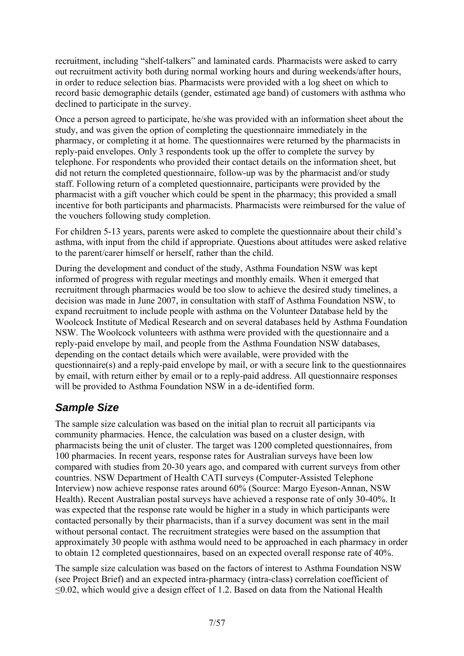recruitment, including "shelf-talkers" and laminated cards. Pharmacists were asked to carry out recruitment activity both during normal working hours and during weekends/after hours, in order to reduce selection bias. Pharmacists were provided with a log sheet on which to record basic demographic details (gender, estimated age band) of customers with asthma who declined to participate in the survey.

Once a person agreed to participate, he/she was provided with an information sheet about the study, and was given the option of completing the questionnaire immediately in the pharmacy, or completing it at home. The questionnaires were returned by the pharmacists in reply-paid envelopes. Only 3 respondents took up the offer to complete the survey by telephone. For respondents who provided their contact details on the information sheet, but did not return the completed questionnaire, follow-up was by the pharmacist and/or study staff. Following return of a completed questionnaire, participants were provided by the pharmacist with a gift voucher which could be spent in the pharmacy; this provided a small incentive for both participants and pharmacists. Pharmacists were reimbursed for the value of the vouchers following study completion.

For children 5-13 years, parents were asked to complete the questionnaire about their child's asthma, with input from the child if appropriate. Questions about attitudes were asked relative to the parent/carer himself or herself, rather than the child.

During the development and conduct of the study, Asthma Foundation NSW was kept informed of progress with regular meetings and monthly emails. When it emerged that recruitment through pharmacies would be too slow to achieve the desired study timelines, a decision was made in June 2007, in consultation with staff of Asthma Foundation NSW, to expand recruitment to include people with asthma on the Volunteer Database held by the Woolcock Institute of Medical Research and on several databases held by Asthma Foundation NSW. The Woolcock volunteers with asthma were provided with the questionnaire and a reply-paid envelope by mail, and people from the Asthma Foundation NSW databases, depending on the contact details which were available, were provided with the questionnaire(s) and a reply-paid envelope by mail, or with a secure link to the questionnaires by email, with return either by email or to a reply-paid address. All questionnaire responses will be provided to Asthma Foundation NSW in a de-identified form.

### *Sample Size*

The sample size calculation was based on the initial plan to recruit all participants via community pharmacies. Hence, the calculation was based on a cluster design, with pharmacists being the unit of cluster. The target was 1200 completed questionnaires, from 100 pharmacies. In recent years, response rates for Australian surveys have been low compared with studies from 20-30 years ago, and compared with current surveys from other countries. NSW Department of Health CATI surveys (Computer-Assisted Telephone Interview) now achieve response rates around 60% (Source: Margo Eyeson-Annan, NSW Health). Recent Australian postal surveys have achieved a response rate of only 30-40%. It was expected that the response rate would be higher in a study in which participants were contacted personally by their pharmacists, than if a survey document was sent in the mail without personal contact. The recruitment strategies were based on the assumption that approximately 30 people with asthma would need to be approached in each pharmacy in order to obtain 12 completed questionnaires, based on an expected overall response rate of 40%.

The sample size calculation was based on the factors of interest to Asthma Foundation NSW (see Project Brief) and an expected intra-pharmacy (intra-class) correlation coefficient of ≤0.02, which would give a design effect of 1.2. Based on data from the National Health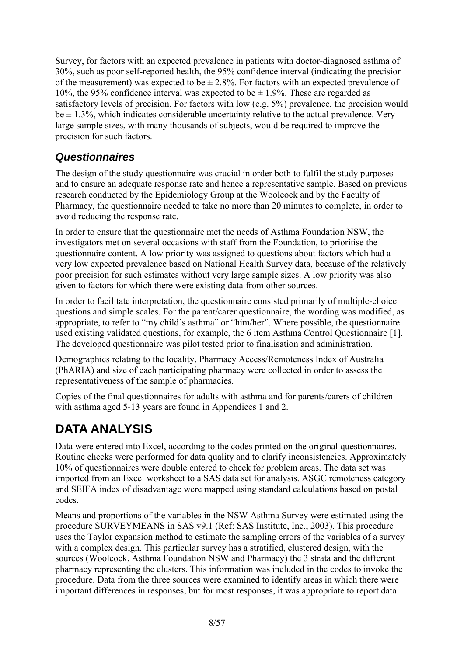Survey, for factors with an expected prevalence in patients with doctor-diagnosed asthma of 30%, such as poor self-reported health, the 95% confidence interval (indicating the precision of the measurement) was expected to be  $\pm 2.8\%$ . For factors with an expected prevalence of 10%, the 95% confidence interval was expected to be  $\pm$  1.9%. These are regarded as satisfactory levels of precision. For factors with low (e.g. 5%) prevalence, the precision would  $be \pm 1.3\%$ , which indicates considerable uncertainty relative to the actual prevalence. Very large sample sizes, with many thousands of subjects, would be required to improve the precision for such factors.

### *Questionnaires*

The design of the study questionnaire was crucial in order both to fulfil the study purposes and to ensure an adequate response rate and hence a representative sample. Based on previous research conducted by the Epidemiology Group at the Woolcock and by the Faculty of Pharmacy, the questionnaire needed to take no more than 20 minutes to complete, in order to avoid reducing the response rate.

In order to ensure that the questionnaire met the needs of Asthma Foundation NSW, the investigators met on several occasions with staff from the Foundation, to prioritise the questionnaire content. A low priority was assigned to questions about factors which had a very low expected prevalence based on National Health Survey data, because of the relatively poor precision for such estimates without very large sample sizes. A low priority was also given to factors for which there were existing data from other sources.

In order to facilitate interpretation, the questionnaire consisted primarily of multiple-choice questions and simple scales. For the parent/carer questionnaire, the wording was modified, as appropriate, to refer to "my child's asthma" or "him/her". Where possible, the questionnaire used existing validated questions, for example, the 6 item Asthma Control Questionnaire [1]. The developed questionnaire was pilot tested prior to finalisation and administration.

Demographics relating to the locality, Pharmacy Access/Remoteness Index of Australia (PhARIA) and size of each participating pharmacy were collected in order to assess the representativeness of the sample of pharmacies.

Copies of the final questionnaires for adults with asthma and for parents/carers of children with asthma aged 5-13 years are found in Appendices 1 and 2.

# **DATA ANALYSIS**

Data were entered into Excel, according to the codes printed on the original questionnaires. Routine checks were performed for data quality and to clarify inconsistencies. Approximately 10% of questionnaires were double entered to check for problem areas. The data set was imported from an Excel worksheet to a SAS data set for analysis. ASGC remoteness category and SEIFA index of disadvantage were mapped using standard calculations based on postal codes.

Means and proportions of the variables in the NSW Asthma Survey were estimated using the procedure SURVEYMEANS in SAS v9.1 (Ref: SAS Institute, Inc., 2003). This procedure uses the Taylor expansion method to estimate the sampling errors of the variables of a survey with a complex design. This particular survey has a stratified, clustered design, with the sources (Woolcock, Asthma Foundation NSW and Pharmacy) the 3 strata and the different pharmacy representing the clusters. This information was included in the codes to invoke the procedure. Data from the three sources were examined to identify areas in which there were important differences in responses, but for most responses, it was appropriate to report data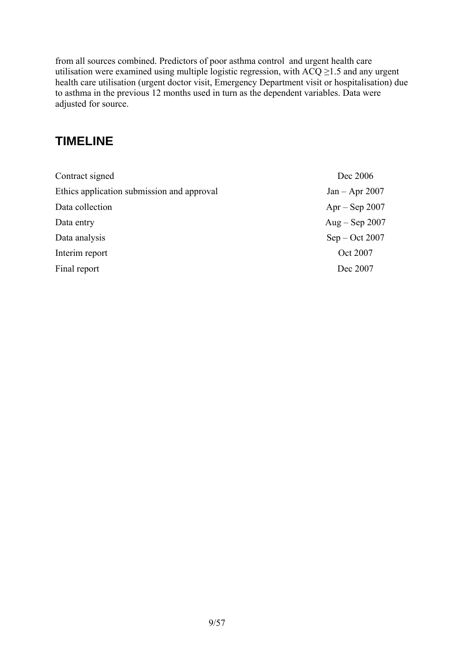from all sources combined. Predictors of poor asthma control and urgent health care utilisation were examined using multiple logistic regression, with  $ACQ \ge 1.5$  and any urgent health care utilisation (urgent doctor visit, Emergency Department visit or hospitalisation) due to asthma in the previous 12 months used in turn as the dependent variables. Data were adjusted for source.

## **TIMELINE**

| Contract signed                            | Dec 2006         |
|--------------------------------------------|------------------|
| Ethics application submission and approval | $Jan - Apr 2007$ |
| Data collection                            | $Apr - Sep 2007$ |
| Data entry                                 | Aug $-$ Sep 2007 |
| Data analysis                              | $Sep - Oct 2007$ |
| Interim report                             | Oct 2007         |
| Final report                               | Dec 2007         |
|                                            |                  |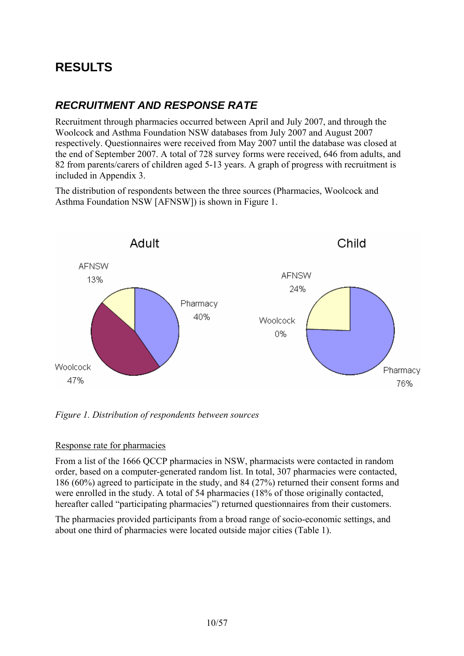## **RESULTS**

### *RECRUITMENT AND RESPONSE RATE*

Recruitment through pharmacies occurred between April and July 2007, and through the Woolcock and Asthma Foundation NSW databases from July 2007 and August 2007 respectively. Questionnaires were received from May 2007 until the database was closed at the end of September 2007. A total of 728 survey forms were received, 646 from adults, and 82 from parents/carers of children aged 5-13 years. A graph of progress with recruitment is included in Appendix 3.

The distribution of respondents between the three sources (Pharmacies, Woolcock and Asthma Foundation NSW [AFNSW]) is shown in Figure 1.



*Figure 1. Distribution of respondents between sources* 

#### Response rate for pharmacies

From a list of the 1666 QCCP pharmacies in NSW, pharmacists were contacted in random order, based on a computer-generated random list. In total, 307 pharmacies were contacted, 186 (60%) agreed to participate in the study, and 84 (27%) returned their consent forms and were enrolled in the study. A total of 54 pharmacies (18% of those originally contacted, hereafter called "participating pharmacies") returned questionnaires from their customers.

The pharmacies provided participants from a broad range of socio-economic settings, and about one third of pharmacies were located outside major cities (Table 1).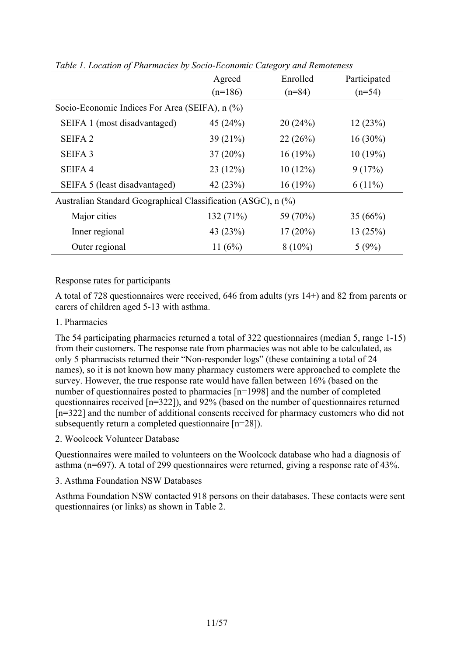|                                                               | Agreed     | Enrolled   | Participated |  |
|---------------------------------------------------------------|------------|------------|--------------|--|
|                                                               | $(n=186)$  | $(n=84)$   | $(n=54)$     |  |
| Socio-Economic Indices For Area (SEIFA), n (%)                |            |            |              |  |
| SEIFA 1 (most disadvantaged)                                  | 45 $(24%)$ | 20(24%)    | 12(23%)      |  |
| <b>SEIFA2</b>                                                 | 39(21%)    | 22(26%)    | $16(30\%)$   |  |
| <b>SEIFA 3</b>                                                | $37(20\%)$ | 16(19%)    | 10(19%)      |  |
| SEIFA <sub>4</sub>                                            | 23(12%)    | 10(12%)    | 9(17%)       |  |
| SEIFA 5 (least disadvantaged)                                 | 42 $(23%)$ | 16(19%)    | $6(11\%)$    |  |
| Australian Standard Geographical Classification (ASGC), n (%) |            |            |              |  |
| Major cities                                                  | 132(71%)   | 59 (70%)   | 35(66%)      |  |
| Inner regional                                                | 43 (23%)   | $17(20\%)$ | 13(25%)      |  |
| Outer regional                                                | 11 $(6%)$  | $8(10\%)$  | 5(9%)        |  |

*Table 1. Location of Pharmacies by Socio-Economic Category and Remoteness* 

#### Response rates for participants

A total of 728 questionnaires were received, 646 from adults (yrs 14+) and 82 from parents or carers of children aged 5-13 with asthma.

#### 1. Pharmacies

The 54 participating pharmacies returned a total of 322 questionnaires (median 5, range 1-15) from their customers. The response rate from pharmacies was not able to be calculated, as only 5 pharmacists returned their "Non-responder logs" (these containing a total of 24 names), so it is not known how many pharmacy customers were approached to complete the survey. However, the true response rate would have fallen between 16% (based on the number of questionnaires posted to pharmacies [n=1998] and the number of completed questionnaires received [n=322]), and 92% (based on the number of questionnaires returned [n=322] and the number of additional consents received for pharmacy customers who did not subsequently return a completed questionnaire [n=28]).

#### 2. Woolcock Volunteer Database

Questionnaires were mailed to volunteers on the Woolcock database who had a diagnosis of asthma (n=697). A total of 299 questionnaires were returned, giving a response rate of 43%.

#### 3. Asthma Foundation NSW Databases

Asthma Foundation NSW contacted 918 persons on their databases. These contacts were sent questionnaires (or links) as shown in Table 2.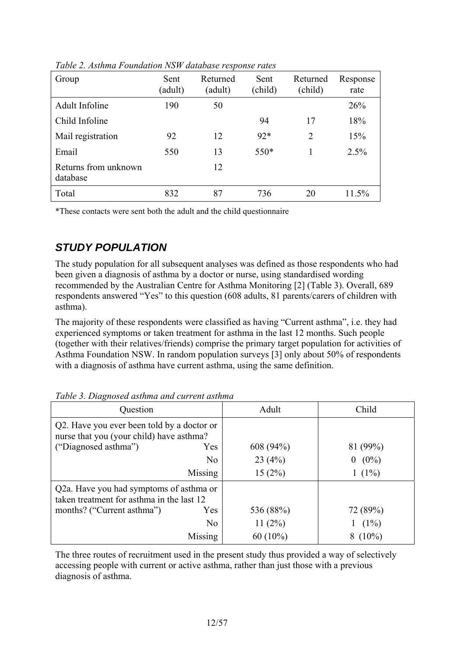| Group                            | Sent<br>(adult) | Returned<br>(adult) | Sent<br>(child) | Returned<br>(child) | Response<br>rate |
|----------------------------------|-----------------|---------------------|-----------------|---------------------|------------------|
| <b>Adult Infoline</b>            | 190             | 50                  |                 |                     | 26%              |
| Child Infoline                   |                 |                     | 94              | 17                  | 18%              |
| Mail registration                | 92              | 12                  | $92*$           | $\overline{2}$      | 15%              |
| Email                            | 550             | 13                  | $550*$          |                     | 2.5%             |
| Returns from unknown<br>database |                 | 12                  |                 |                     |                  |
| Total                            | 832             | 87                  | 736             | 20                  | 11.5%            |

*Table 2. Asthma Foundation NSW database response rates* 

\*These contacts were sent both the adult and the child questionnaire

### *STUDY POPULATION*

The study population for all subsequent analyses was defined as those respondents who had been given a diagnosis of asthma by a doctor or nurse, using standardised wording recommended by the Australian Centre for Asthma Monitoring [2] (Table 3). Overall, 689 respondents answered "Yes" to this question (608 adults, 81 parents/carers of children with asthma).

The majority of these respondents were classified as having "Current asthma", i.e. they had experienced symptoms or taken treatment for asthma in the last 12 months. Such people (together with their relatives/friends) comprise the primary target population for activities of Asthma Foundation NSW. In random population surveys [3] only about 50% of respondents with a diagnosis of asthma have current asthma, using the same definition.

| Question                                                                                                       |         | Adult      | Child               |
|----------------------------------------------------------------------------------------------------------------|---------|------------|---------------------|
| Q2. Have you ever been told by a doctor or<br>nurse that you (your child) have asthma?<br>("Diagnosed asthma") | Yes     | 608 (94%)  | 81 (99%)            |
|                                                                                                                |         |            |                     |
|                                                                                                                | No      | 23(4%)     | $(0\%)$<br>$\bf{0}$ |
|                                                                                                                | Missing | 15(2%)     | $(1\%)$             |
| Q2a. Have you had symptoms of asthma or<br>taken treatment for asthma in the last 12                           |         |            |                     |
| months? ("Current asthma")                                                                                     | Yes     | 536 (88%)  | 72 (89%)            |
|                                                                                                                | No      | 11(2%)     | $(1\%)$             |
|                                                                                                                | Missing | $60(10\%)$ | $(10\%)$            |

*Table 3. Diagnosed asthma and current asthma* 

The three routes of recruitment used in the present study thus provided a way of selectively accessing people with current or active asthma, rather than just those with a previous diagnosis of asthma.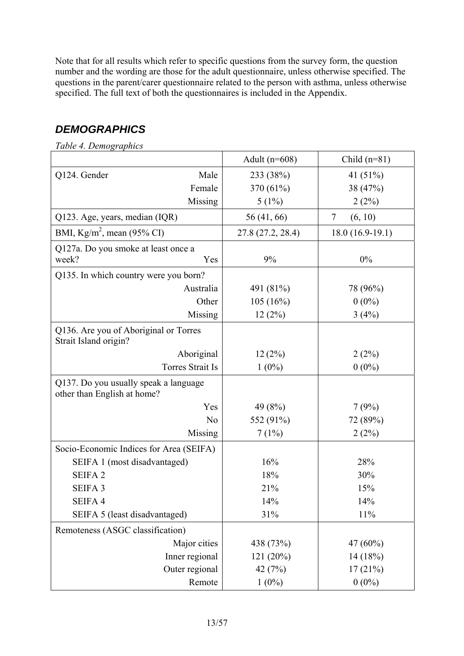Note that for all results which refer to specific questions from the survey form, the question number and the wording are those for the adult questionnaire, unless otherwise specified. The questions in the parent/carer questionnaire related to the person with asthma, unless otherwise specified. The full text of both the questionnaires is included in the Appendix.

### *DEMOGRAPHICS*

| Table 4. Demographics                                                |                         |                   |                   |
|----------------------------------------------------------------------|-------------------------|-------------------|-------------------|
|                                                                      |                         | Adult $(n=608)$   | Child $(n=81)$    |
| Q124. Gender                                                         | Male                    | 233 (38%)         | 41 $(51%)$        |
|                                                                      | Female                  | 370 (61%)         | 38 (47%)          |
|                                                                      | Missing                 | $5(1\%)$          | 2(2%)             |
| Q123. Age, years, median (IQR)                                       |                         | 56 (41, 66)       | 7<br>(6, 10)      |
| BMI, Kg/m <sup>2</sup> , mean (95% CI)                               |                         | 27.8 (27.2, 28.4) | $18.0(16.9-19.1)$ |
| Q127a. Do you smoke at least once a                                  |                         |                   |                   |
| week?                                                                | Yes                     | 9%                | $0\%$             |
| Q135. In which country were you born?                                |                         |                   |                   |
|                                                                      | Australia               | 491 (81%)         | 78 (96%)          |
|                                                                      | Other                   | 105(16%)          | $0(0\%)$          |
|                                                                      | Missing                 | 12(2%)            | 3(4%)             |
| Q136. Are you of Aboriginal or Torres<br>Strait Island origin?       |                         |                   |                   |
|                                                                      | Aboriginal              | 12(2%)            | 2(2%)             |
|                                                                      | <b>Torres Strait Is</b> | $1(0\%)$          | $0(0\%)$          |
| Q137. Do you usually speak a language<br>other than English at home? |                         |                   |                   |
|                                                                      | Yes                     | 49 (8%)           | 7(9%)             |
|                                                                      | N <sub>0</sub>          | 552 (91%)         | 72 (89%)          |
|                                                                      | <b>Missing</b>          | 7(1%)             | 2(2%)             |
| Socio-Economic Indices for Area (SEIFA)                              |                         |                   |                   |
| SEIFA 1 (most disadvantaged)                                         |                         | 16%               | 28%               |
| <b>SEIFA2</b>                                                        |                         | 18%               | 30%               |
| <b>SEIFA3</b>                                                        |                         | 21%               | 15%               |
| SEIFA 4                                                              |                         | 14%               | 14%               |
| SEIFA 5 (least disadvantaged)                                        |                         | 31%               | 11%               |
| Remoteness (ASGC classification)                                     |                         |                   |                   |
|                                                                      | Major cities            | 438 (73%)         | 47 (60%)          |
|                                                                      | Inner regional          | 121(20%)          | 14(18%)           |
|                                                                      | Outer regional          | 42 $(7%)$         | 17(21%)           |
|                                                                      | Remote                  | $1(0\%)$          | $0(0\%)$          |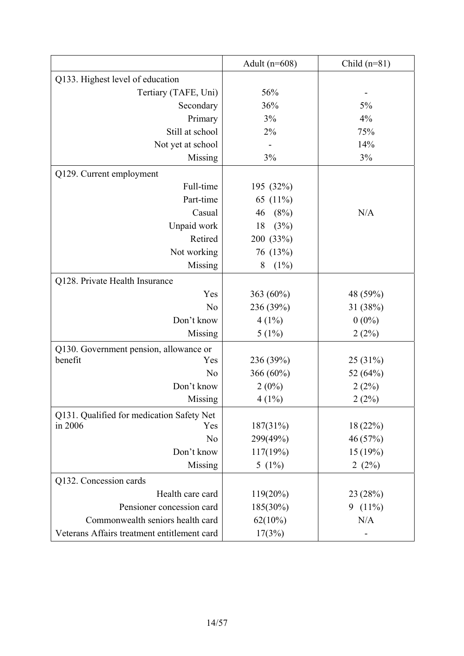|                                             | Adult ( $n=608$ ) | Child $(n=81)$ |
|---------------------------------------------|-------------------|----------------|
| Q133. Highest level of education            |                   |                |
| Tertiary (TAFE, Uni)                        | 56%               |                |
| Secondary                                   | 36%               | 5%             |
| Primary                                     | 3%                | 4%             |
| Still at school                             | 2%                | 75%            |
| Not yet at school                           |                   | 14%            |
| Missing                                     | 3%                | 3%             |
| Q129. Current employment                    |                   |                |
| Full-time                                   | 195 (32%)         |                |
| Part-time                                   | 65 (11%)          |                |
| Casual                                      | (8%)<br>46        | N/A            |
| Unpaid work                                 | (3%)<br>18        |                |
| Retired                                     | 200 (33%)         |                |
| Not working                                 | 76 (13%)          |                |
| Missing                                     | (1%)<br>8         |                |
| Q128. Private Health Insurance              |                   |                |
| Yes                                         | 363 (60%)         | 48 (59%)       |
| N <sub>o</sub>                              | 236 (39%)         | 31 (38%)       |
| Don't know                                  | $4(1\%)$          | $0(0\%)$       |
| Missing                                     | $5(1\%)$          | 2(2%)          |
| Q130. Government pension, allowance or      |                   |                |
| benefit<br>Yes                              | 236 (39%)         | 25(31%)        |
| N <sub>o</sub>                              | 366 (60%)         | 52 (64%)       |
| Don't know                                  | $2(0\%)$          | 2(2%)          |
| Missing                                     | $4(1\%)$          | 2(2%)          |
| Q131. Qualified for medication Safety Net   |                   |                |
| in 2006<br>Yes                              | 187(31%)          | 18 (22%)       |
| N <sub>o</sub>                              | 299(49%)          | 46 (57%)       |
| Don't know                                  | 117(19%)          | 15(19%)        |
| Missing                                     | 5 $(1\%)$         | 2 $(2%)$       |
| Q132. Concession cards                      |                   |                |
| Health care card                            | $119(20\%)$       | 23(28%)        |
| Pensioner concession card                   | $185(30\%)$       | 9 $(11\%)$     |
| Commonwealth seniors health card            | $62(10\%)$        | N/A            |
| Veterans Affairs treatment entitlement card | 17(3%)            |                |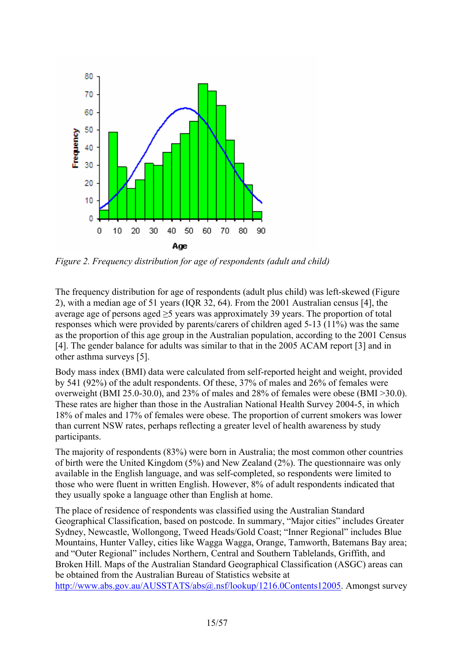

*Figure 2. Frequency distribution for age of respondents (adult and child)* 

The frequency distribution for age of respondents (adult plus child) was left-skewed (Figure 2), with a median age of 51 years (IQR 32, 64). From the 2001 Australian census [4], the average age of persons aged  $\geq$ 5 years was approximately 39 years. The proportion of total responses which were provided by parents/carers of children aged 5-13 (11%) was the same as the proportion of this age group in the Australian population, according to the 2001 Census [4]. The gender balance for adults was similar to that in the 2005 ACAM report [3] and in other asthma surveys [5].

Body mass index (BMI) data were calculated from self-reported height and weight, provided by 541 (92%) of the adult respondents. Of these, 37% of males and 26% of females were overweight (BMI 25.0-30.0), and 23% of males and 28% of females were obese (BMI >30.0). These rates are higher than those in the Australian National Health Survey 2004-5, in which 18% of males and 17% of females were obese. The proportion of current smokers was lower than current NSW rates, perhaps reflecting a greater level of health awareness by study participants.

The majority of respondents (83%) were born in Australia; the most common other countries of birth were the United Kingdom (5%) and New Zealand (2%). The questionnaire was only available in the English language, and was self-completed, so respondents were limited to those who were fluent in written English. However, 8% of adult respondents indicated that they usually spoke a language other than English at home.

The place of residence of respondents was classified using the Australian Standard Geographical Classification, based on postcode. In summary, "Major cities" includes Greater Sydney, Newcastle, Wollongong, Tweed Heads/Gold Coast; "Inner Regional" includes Blue Mountains, Hunter Valley, cities like Wagga Wagga, Orange, Tamworth, Batemans Bay area; and "Outer Regional" includes Northern, Central and Southern Tablelands, Griffith, and Broken Hill. Maps of the Australian Standard Geographical Classification (ASGC) areas can be obtained from the Australian Bureau of Statistics website at http://www.abs.gov.au/AUSSTATS/abs@.nsf/lookup/1216.0Contents12005. Amongst survey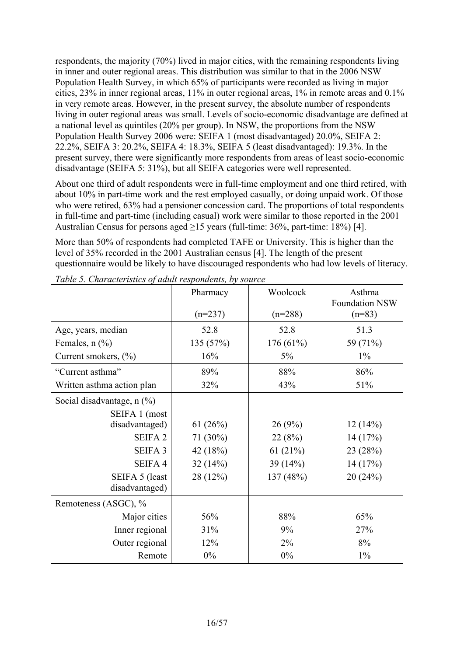respondents, the majority (70%) lived in major cities, with the remaining respondents living in inner and outer regional areas. This distribution was similar to that in the 2006 NSW Population Health Survey, in which 65% of participants were recorded as living in major cities, 23% in inner regional areas, 11% in outer regional areas, 1% in remote areas and 0.1% in very remote areas. However, in the present survey, the absolute number of respondents living in outer regional areas was small. Levels of socio-economic disadvantage are defined at a national level as quintiles (20% per group). In NSW, the proportions from the NSW Population Health Survey 2006 were: SEIFA 1 (most disadvantaged) 20.0%, SEIFA 2: 22.2%, SEIFA 3: 20.2%, SEIFA 4: 18.3%, SEIFA 5 (least disadvantaged): 19.3%. In the present survey, there were significantly more respondents from areas of least socio-economic disadvantage (SEIFA 5: 31%), but all SEIFA categories were well represented.

About one third of adult respondents were in full-time employment and one third retired, with about 10% in part-time work and the rest employed casually, or doing unpaid work. Of those who were retired, 63% had a pensioner concession card. The proportions of total respondents in full-time and part-time (including casual) work were similar to those reported in the 2001 Australian Census for persons aged ≥15 years (full-time: 36%, part-time: 18%) [4].

More than 50% of respondents had completed TAFE or University. This is higher than the level of 35% recorded in the 2001 Australian census [4]. The length of the present questionnaire would be likely to have discouraged respondents who had low levels of literacy.

| raole 5. Characterístics of audit respondents, o f som ce | Pharmacy<br>$(n=237)$ | Woolcock<br>$(n=288)$ | Asthma<br><b>Foundation NSW</b><br>$(n=83)$ |
|-----------------------------------------------------------|-----------------------|-----------------------|---------------------------------------------|
| Age, years, median                                        | 52.8                  | 52.8                  | 51.3                                        |
| Females, $n$ $(\frac{9}{6})$                              | 135 (57%)             | 176 (61%)             | 59 (71%)                                    |
| Current smokers, $(\%$ )                                  | 16%                   | $5\%$                 | $1\%$                                       |
| "Current asthma"                                          | 89%                   | 88%                   | 86%                                         |
| Written asthma action plan                                | 32%                   | 43%                   | 51%                                         |
| Social disadvantage, $n$ $(\%)$                           |                       |                       |                                             |
| SEIFA 1 (most                                             |                       |                       |                                             |
| disadvantaged)                                            | 61 $(26%)$            | 26(9%)                | 12(14%)                                     |
| <b>SEIFA2</b>                                             | 71 (30%)              | 22(8%)                | 14(17%)                                     |
| <b>SEIFA 3</b>                                            | 42 $(18%)$            | 61 $(21\%)$           | 23 (28%)                                    |
| SEIFA 4                                                   | 32(14%)               | 39 (14%)              | 14(17%)                                     |
| SEIFA 5 (least                                            | 28(12%)               | 137 (48%)             | 20(24%)                                     |
| disadvantaged)                                            |                       |                       |                                             |
| Remoteness (ASGC), %                                      |                       |                       |                                             |
| Major cities                                              | 56%                   | 88%                   | 65%                                         |
| Inner regional                                            | 31%                   | 9%                    | 27%                                         |
| Outer regional                                            | 12%                   | 2%                    | 8%                                          |
| Remote                                                    | $0\%$                 | $0\%$                 | $1\%$                                       |

*Table 5. Characteristics of adult respondents, by source*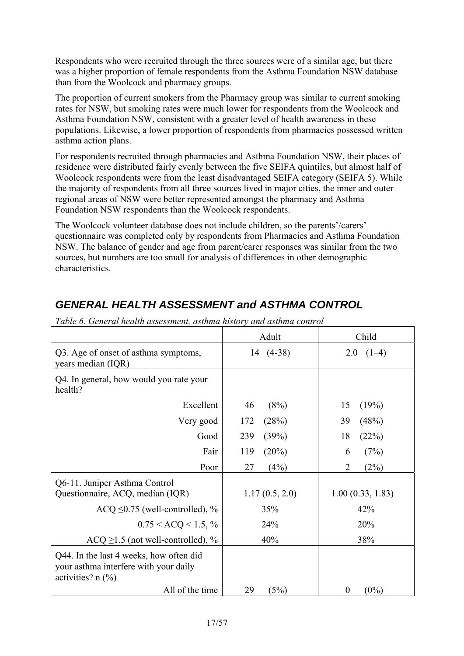Respondents who were recruited through the three sources were of a similar age, but there was a higher proportion of female respondents from the Asthma Foundation NSW database than from the Woolcock and pharmacy groups.

The proportion of current smokers from the Pharmacy group was similar to current smoking rates for NSW, but smoking rates were much lower for respondents from the Woolcock and Asthma Foundation NSW, consistent with a greater level of health awareness in these populations. Likewise, a lower proportion of respondents from pharmacies possessed written asthma action plans.

For respondents recruited through pharmacies and Asthma Foundation NSW, their places of residence were distributed fairly evenly between the five SEIFA quintiles, but almost half of Woolcock respondents were from the least disadvantaged SEIFA category (SEIFA 5). While the majority of respondents from all three sources lived in major cities, the inner and outer regional areas of NSW were better represented amongst the pharmacy and Asthma Foundation NSW respondents than the Woolcock respondents.

The Woolcock volunteer database does not include children, so the parents'/carers' questionnaire was completed only by respondents from Pharmacies and Asthma Foundation NSW. The balance of gender and age from parent/carer responses was similar from the two sources, but numbers are too small for analysis of differences in other demographic characteristics.

|                                                                                                         | Adult           | Child                  |
|---------------------------------------------------------------------------------------------------------|-----------------|------------------------|
| Q3. Age of onset of asthma symptoms,<br>years median (IQR)                                              | 14 (4-38)       | $(1-4)$<br>2.0         |
| Q4. In general, how would you rate your<br>health?                                                      |                 |                        |
| Excellent                                                                                               | (8%)<br>46      | (19%)<br>15            |
| Very good                                                                                               | (28%)<br>172    | (48%)<br>39            |
| Good                                                                                                    | 239<br>(39%)    | 18<br>(22%)            |
| Fair                                                                                                    | $(20\%)$<br>119 | (7%)<br>6              |
| Poor                                                                                                    | 27<br>(4%)      | $\overline{2}$<br>(2%) |
| Q6-11. Juniper Asthma Control<br>Questionnaire, ACQ, median (IQR)                                       | 1.17(0.5, 2.0)  | 1.00(0.33, 1.83)       |
| ACQ $\leq$ 0.75 (well-controlled), %                                                                    | 35%             | 42%                    |
| $0.75 < ACQ < 1.5, \%$                                                                                  | 24%             | 20%                    |
| $ACQ \ge 1.5$ (not well-controlled), %                                                                  | 40%             | 38%                    |
| Q44. In the last 4 weeks, how often did<br>your asthma interfere with your daily<br>activities? $n$ (%) |                 |                        |
| All of the time                                                                                         | 29<br>(5%)      | $(0\%)$<br>0           |

### *GENERAL HEALTH ASSESSMENT and ASTHMA CONTROL*

*Table 6. General health assessment, asthma history and asthma control*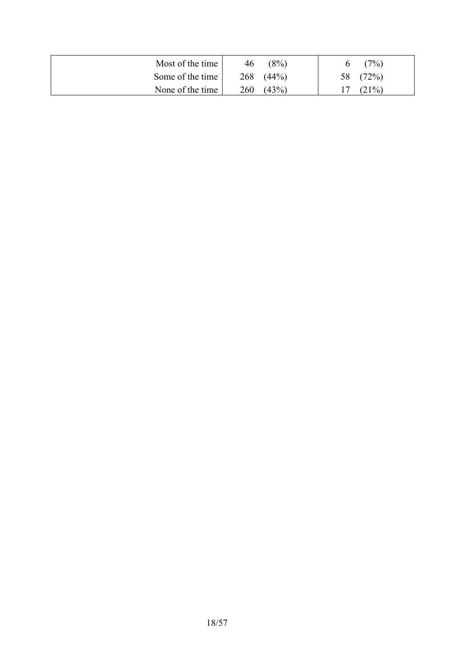| Most of the time | 46  | (8%)  | (7%)     |
|------------------|-----|-------|----------|
| Some of the time | 268 | (44%) | 58 (72%) |
| None of the time | 260 | (43%) | (21%)    |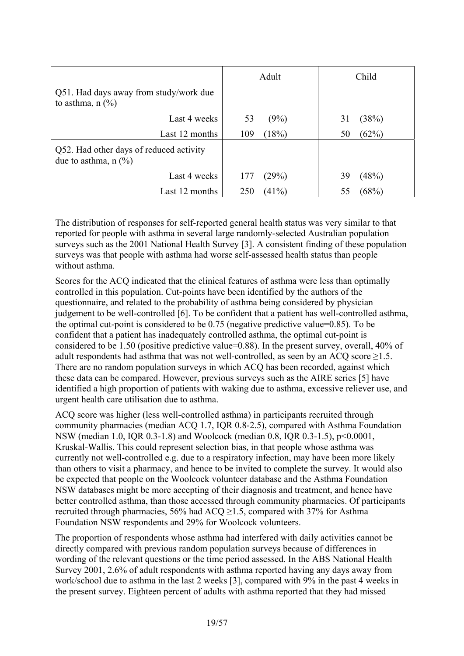|                                                                                     | Adult           | Child       |
|-------------------------------------------------------------------------------------|-----------------|-------------|
| Q51. Had days away from study/work due<br>to asthma, $n$ $\left(\frac{9}{6}\right)$ |                 |             |
| Last 4 weeks                                                                        | 53<br>(9%)      | (38%)<br>31 |
| Last 12 months                                                                      | (18%)<br>109    | (62%)<br>50 |
| Q52. Had other days of reduced activity<br>due to asthma, $n$ (%)                   |                 |             |
| Last 4 weeks                                                                        | (29%)<br>177    | (48%)<br>39 |
| Last 12 months                                                                      | $(41\%)$<br>250 | (68%)<br>55 |

The distribution of responses for self-reported general health status was very similar to that reported for people with asthma in several large randomly-selected Australian population surveys such as the 2001 National Health Survey [3]. A consistent finding of these population surveys was that people with asthma had worse self-assessed health status than people without asthma.

Scores for the ACQ indicated that the clinical features of asthma were less than optimally controlled in this population. Cut-points have been identified by the authors of the questionnaire, and related to the probability of asthma being considered by physician judgement to be well-controlled [6]. To be confident that a patient has well-controlled asthma, the optimal cut-point is considered to be 0.75 (negative predictive value=0.85). To be confident that a patient has inadequately controlled asthma, the optimal cut-point is considered to be 1.50 (positive predictive value=0.88). In the present survey, overall, 40% of adult respondents had asthma that was not well-controlled, as seen by an ACQ score ≥1.5. There are no random population surveys in which ACQ has been recorded, against which these data can be compared. However, previous surveys such as the AIRE series [5] have identified a high proportion of patients with waking due to asthma, excessive reliever use, and urgent health care utilisation due to asthma.

ACQ score was higher (less well-controlled asthma) in participants recruited through community pharmacies (median ACQ 1.7, IQR 0.8-2.5), compared with Asthma Foundation NSW (median 1.0, IQR 0.3-1.8) and Woolcock (median 0.8, IQR 0.3-1.5), p<0.0001, Kruskal-Wallis. This could represent selection bias, in that people whose asthma was currently not well-controlled e.g. due to a respiratory infection, may have been more likely than others to visit a pharmacy, and hence to be invited to complete the survey. It would also be expected that people on the Woolcock volunteer database and the Asthma Foundation NSW databases might be more accepting of their diagnosis and treatment, and hence have better controlled asthma, than those accessed through community pharmacies. Of participants recruited through pharmacies, 56% had ACQ ≥1.5, compared with 37% for Asthma Foundation NSW respondents and 29% for Woolcock volunteers.

The proportion of respondents whose asthma had interfered with daily activities cannot be directly compared with previous random population surveys because of differences in wording of the relevant questions or the time period assessed. In the ABS National Health Survey 2001, 2.6% of adult respondents with asthma reported having any days away from work/school due to asthma in the last 2 weeks [3], compared with 9% in the past 4 weeks in the present survey. Eighteen percent of adults with asthma reported that they had missed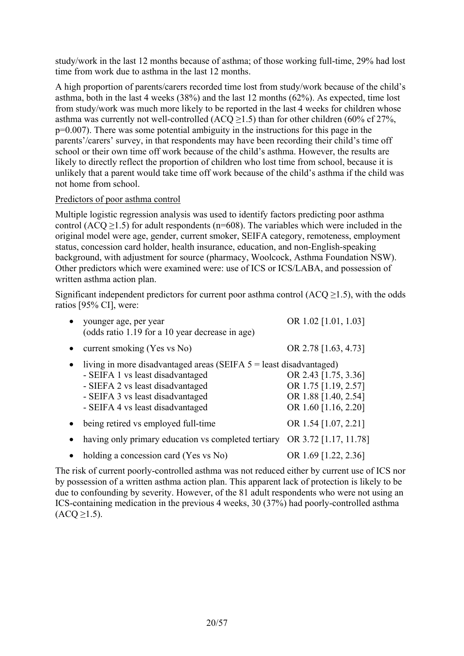study/work in the last 12 months because of asthma; of those working full-time, 29% had lost time from work due to asthma in the last 12 months.

A high proportion of parents/carers recorded time lost from study/work because of the child's asthma, both in the last 4 weeks (38%) and the last 12 months (62%). As expected, time lost from study/work was much more likely to be reported in the last 4 weeks for children whose asthma was currently not well-controlled (ACQ  $\geq$ 1.5) than for other children (60% cf 27%, p=0.007). There was some potential ambiguity in the instructions for this page in the parents'/carers' survey, in that respondents may have been recording their child's time off school or their own time off work because of the child's asthma. However, the results are likely to directly reflect the proportion of children who lost time from school, because it is unlikely that a parent would take time off work because of the child's asthma if the child was not home from school.

#### Predictors of poor asthma control

Multiple logistic regression analysis was used to identify factors predicting poor asthma control (ACQ  $\geq$ 1.5) for adult respondents (n=608). The variables which were included in the original model were age, gender, current smoker, SEIFA category, remoteness, employment status, concession card holder, health insurance, education, and non-English-speaking background, with adjustment for source (pharmacy, Woolcock, Asthma Foundation NSW). Other predictors which were examined were: use of ICS or ICS/LABA, and possession of written asthma action plan.

Significant independent predictors for current poor asthma control  $(ACO > 1.5)$ , with the odds ratios [95% CI], were:

| younger age, per year<br>(odds ratio 1.19 for a 10 year decrease in age)                                                                                                                                             | OR 1.02 [1.01, 1.03]                                                                         |
|----------------------------------------------------------------------------------------------------------------------------------------------------------------------------------------------------------------------|----------------------------------------------------------------------------------------------|
| current smoking (Yes vs No)                                                                                                                                                                                          | OR 2.78 [1.63, 4.73]                                                                         |
| living in more disadvantaged areas (SEIFA $5$ = least disadvantaged)<br>- SEIFA 1 vs least disadvantaged<br>- SIEFA 2 vs least disadvantaged<br>- SEIFA 3 vs least disadvantaged<br>- SEIFA 4 vs least disadvantaged | OR 2.43 [1.75, 3.36]<br>OR 1.75 [1.19, 2.57]<br>OR 1.88 [1.40, 2.54]<br>OR 1.60 [1.16, 2.20] |
| being retired vs employed full-time                                                                                                                                                                                  | OR 1.54 [1.07, 2.21]                                                                         |
| having only primary education vs completed tertiary                                                                                                                                                                  | OR 3.72 [1.17, 11.78]                                                                        |
| holding a concession card (Yes vs No)                                                                                                                                                                                | OR 1.69 [1.22, 2.36]                                                                         |

The risk of current poorly-controlled asthma was not reduced either by current use of ICS nor by possession of a written asthma action plan. This apparent lack of protection is likely to be due to confounding by severity. However, of the 81 adult respondents who were not using an ICS-containing medication in the previous 4 weeks, 30 (37%) had poorly-controlled asthma  $(ACQ \geq 1.5)$ .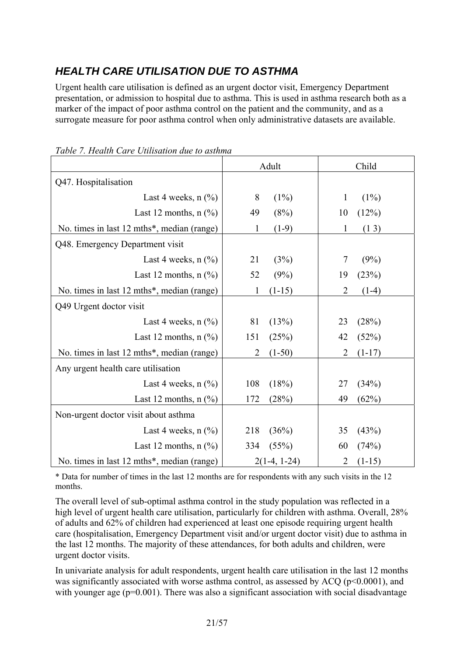### *HEALTH CARE UTILISATION DUE TO ASTHMA*

Urgent health care utilisation is defined as an urgent doctor visit, Emergency Department presentation, or admission to hospital due to asthma. This is used in asthma research both as a marker of the impact of poor asthma control on the patient and the community, and as a surrogate measure for poor asthma control when only administrative datasets are available.

|                                                | Adult                      | Child                      |
|------------------------------------------------|----------------------------|----------------------------|
| Q47. Hospitalisation                           |                            |                            |
| Last 4 weeks, $n$ $\left(\frac{9}{0}\right)$   | 8<br>$(1\%)$               | $(1\%)$<br>$\mathbf{1}$    |
| Last 12 months, $n$ $\left(\frac{9}{6}\right)$ | 49<br>(8%)                 | (12%)<br>10                |
| No. times in last 12 mths*, median (range)     | $\mathbf{1}$<br>$(1-9)$    | $\mathbf{1}$<br>(13)       |
| Q48. Emergency Department visit                |                            |                            |
| Last 4 weeks, $n$ (%)                          | 21<br>(3%)                 | $\overline{7}$<br>(9%)     |
| Last 12 months, $n$ $(\%)$                     | 52<br>(9%)                 | 19<br>(23%)                |
| No. times in last 12 mths*, median (range)     | $(1-15)$<br>1              | $\overline{2}$<br>$(1-4)$  |
| Q49 Urgent doctor visit                        |                            |                            |
| Last 4 weeks, $n$ $\left(\frac{9}{0}\right)$   | 81<br>(13%)                | 23<br>(28%)                |
| Last 12 months, $n$ $(\%)$                     | 151<br>(25%)               | 42<br>(52%)                |
| No. times in last 12 mths*, median (range)     | $\overline{2}$<br>$(1-50)$ | $\overline{2}$<br>$(1-17)$ |
| Any urgent health care utilisation             |                            |                            |
| Last 4 weeks, $n$ $\left(\frac{9}{0}\right)$   | 108<br>(18%)               | 27<br>(34%)                |
| Last 12 months, $n$ $(\%)$                     | 172<br>(28%)               | 49<br>(62%)                |
| Non-urgent doctor visit about asthma           |                            |                            |
| Last 4 weeks, $n$ $\left(\frac{9}{6}\right)$   | 218<br>(36%)               | 35<br>(43%)                |
| Last 12 months, $n$ $(\%)$                     | 334<br>(55%)               | 60<br>(74%)                |
| No. times in last 12 mths*, median (range)     | $2(1-4, 1-24)$             | 2<br>$(1-15)$              |

*Table 7. Health Care Utilisation due to asthma* 

\* Data for number of times in the last 12 months are for respondents with any such visits in the 12 months.

The overall level of sub-optimal asthma control in the study population was reflected in a high level of urgent health care utilisation, particularly for children with asthma. Overall, 28% of adults and 62% of children had experienced at least one episode requiring urgent health care (hospitalisation, Emergency Department visit and/or urgent doctor visit) due to asthma in the last 12 months. The majority of these attendances, for both adults and children, were urgent doctor visits.

In univariate analysis for adult respondents, urgent health care utilisation in the last 12 months was significantly associated with worse asthma control, as assessed by ACQ ( $p<0.0001$ ), and with younger age  $(p=0.001)$ . There was also a significant association with social disadvantage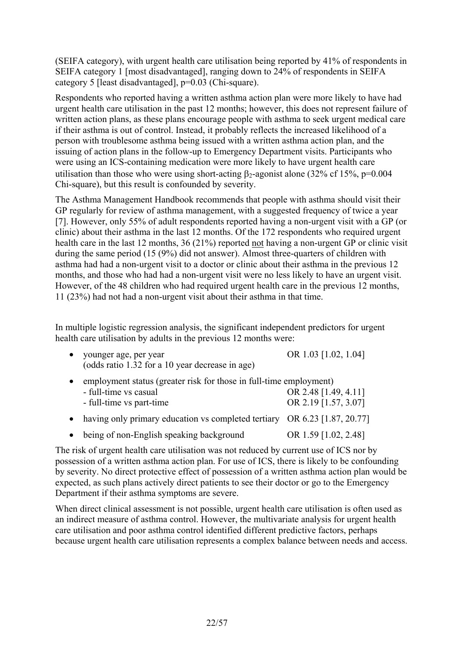(SEIFA category), with urgent health care utilisation being reported by 41% of respondents in SEIFA category 1 [most disadvantaged], ranging down to 24% of respondents in SEIFA category 5 [least disadvantaged], p=0.03 (Chi-square).

Respondents who reported having a written asthma action plan were more likely to have had urgent health care utilisation in the past 12 months; however, this does not represent failure of written action plans, as these plans encourage people with asthma to seek urgent medical care if their asthma is out of control. Instead, it probably reflects the increased likelihood of a person with troublesome asthma being issued with a written asthma action plan, and the issuing of action plans in the follow-up to Emergency Department visits. Participants who were using an ICS-containing medication were more likely to have urgent health care utilisation than those who were using short-acting  $β_2$ -agonist alone (32% cf 15%, p=0.004 Chi-square), but this result is confounded by severity.

The Asthma Management Handbook recommends that people with asthma should visit their GP regularly for review of asthma management, with a suggested frequency of twice a year [7]. However, only 55% of adult respondents reported having a non-urgent visit with a GP (or clinic) about their asthma in the last 12 months. Of the 172 respondents who required urgent health care in the last 12 months, 36 (21%) reported not having a non-urgent GP or clinic visit during the same period (15 (9%) did not answer). Almost three-quarters of children with asthma had had a non-urgent visit to a doctor or clinic about their asthma in the previous 12 months, and those who had had a non-urgent visit were no less likely to have an urgent visit. However, of the 48 children who had required urgent health care in the previous 12 months, 11 (23%) had not had a non-urgent visit about their asthma in that time.

In multiple logistic regression analysis, the significant independent predictors for urgent health care utilisation by adults in the previous 12 months were:

| younger age, per year<br>(odds ratio 1.32 for a 10 year decrease in age)                                                | OR 1.03 [1.02, 1.04]                         |
|-------------------------------------------------------------------------------------------------------------------------|----------------------------------------------|
| employment status (greater risk for those in full-time employment)<br>- full-time vs casual<br>- full-time vs part-time | OR 2.48 [1.49, 4.11]<br>OR 2.19 [1.57, 3.07] |
| having only primary education vs completed tertiary OR 6.23 [1.87, 20.77]                                               |                                              |

• being of non-English speaking background OR 1.59 [1.02, 2.48]

The risk of urgent health care utilisation was not reduced by current use of ICS nor by possession of a written asthma action plan. For use of ICS, there is likely to be confounding by severity. No direct protective effect of possession of a written asthma action plan would be expected, as such plans actively direct patients to see their doctor or go to the Emergency Department if their asthma symptoms are severe.

When direct clinical assessment is not possible, urgent health care utilisation is often used as an indirect measure of asthma control. However, the multivariate analysis for urgent health care utilisation and poor asthma control identified different predictive factors, perhaps because urgent health care utilisation represents a complex balance between needs and access.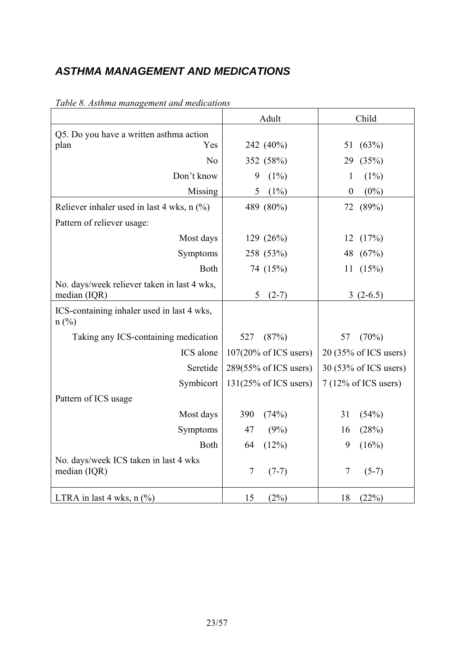### *ASTHMA MANAGEMENT AND MEDICATIONS*

|                                                             | Adult                            | Child                          |
|-------------------------------------------------------------|----------------------------------|--------------------------------|
| Q5. Do you have a written asthma action                     |                                  |                                |
| Yes<br>plan                                                 | 242 (40%)                        | (63%)<br>51                    |
| N <sub>o</sub>                                              | 352 (58%)                        | (35%)<br>29                    |
| Don't know                                                  | $(1\%)$<br>9                     | $\mathbf{1}$<br>(1%)           |
| Missing                                                     | $(1\%)$<br>5                     | $(0\%)$<br>$\boldsymbol{0}$    |
| Reliever inhaler used in last 4 wks, $n$ (%)                | 489 (80%)                        | 72<br>(89%)                    |
| Pattern of reliever usage:                                  |                                  |                                |
| Most days                                                   | 129 (26%)                        | 12(17%)                        |
| Symptoms                                                    | 258 (53%)                        | 48 (67%)                       |
| Both                                                        | 74 (15%)                         | (15%)<br>11                    |
| No. days/week reliever taken in last 4 wks,<br>median (IQR) | 5<br>$(2-7)$                     | $3(2-6.5)$                     |
| ICS-containing inhaler used in last 4 wks,<br>$n$ (%)       |                                  |                                |
| Taking any ICS-containing medication                        | 527<br>(87%)                     | 57<br>(70%)                    |
| ICS alone                                                   | $107(20\% \text{ of ICS users})$ | 20 (35% of ICS users)          |
| Seretide                                                    | 289(55% of ICS users)            | 30 (53% of ICS users)          |
| Symbicort                                                   | $131(25\% \text{ of ICS users})$ | $7(12\% \text{ of ICS users})$ |
| Pattern of ICS usage                                        |                                  |                                |
| Most days                                                   | 390<br>(74%)                     | 31<br>(54%)                    |
| Symptoms                                                    | 47<br>(9%)                       | (28%)<br>16                    |
| <b>Both</b>                                                 | (12%)<br>64                      | 9<br>(16%)                     |
| No. days/week ICS taken in last 4 wks<br>median (IQR)       | $\tau$<br>$(7-7)$                | 7<br>$(5-7)$                   |
| LTRA in last 4 wks, $n$ (%)                                 | 15<br>(2%)                       | 18<br>(22%)                    |

### *Table 8. Asthma management and medications*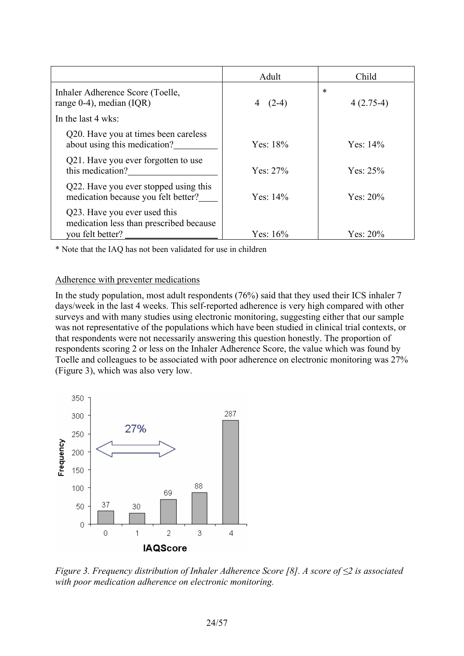|                                                                                             | Adult        | Child                 |
|---------------------------------------------------------------------------------------------|--------------|-----------------------|
| Inhaler Adherence Score (Toelle,<br>range $0-4$ ), median (IQR)                             | $(2-4)$<br>4 | $\ast$<br>$4(2.75-4)$ |
| In the last 4 wks:                                                                          |              |                       |
| Q20. Have you at times been careless<br>about using this medication?                        | Yes: $18%$   | Yes: $14%$            |
| Q21. Have you ever forgotten to use<br>this medication?                                     | Yes: $27%$   | Yes: $25%$            |
| Q22. Have you ever stopped using this<br>medication because you felt better?                | Yes: $14\%$  | Yes: $20%$            |
| Q23. Have you ever used this<br>medication less than prescribed because<br>you felt better? | Yes: $16%$   | Yes: $20\%$           |

\* Note that the IAQ has not been validated for use in children

#### Adherence with preventer medications

In the study population, most adult respondents (76%) said that they used their ICS inhaler 7 days/week in the last 4 weeks. This self-reported adherence is very high compared with other surveys and with many studies using electronic monitoring, suggesting either that our sample was not representative of the populations which have been studied in clinical trial contexts, or that respondents were not necessarily answering this question honestly. The proportion of respondents scoring 2 or less on the Inhaler Adherence Score, the value which was found by Toelle and colleagues to be associated with poor adherence on electronic monitoring was 27% (Figure 3), which was also very low.



*Figure 3. Frequency distribution of Inhaler Adherence Score [8]. A score of ≤2 is associated with poor medication adherence on electronic monitoring.*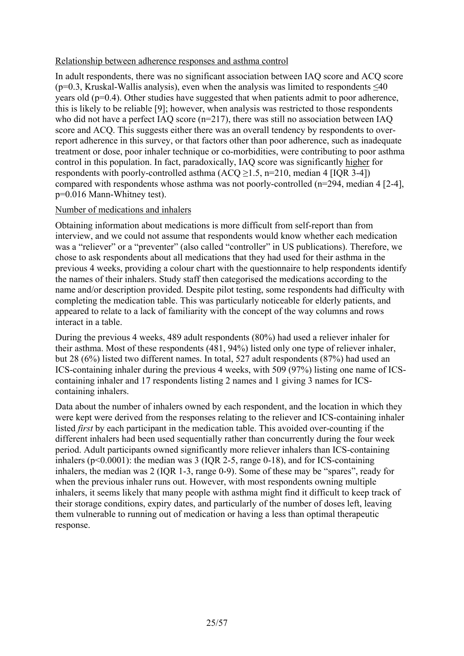#### Relationship between adherence responses and asthma control

In adult respondents, there was no significant association between IAQ score and ACQ score ( $p=0.3$ , Kruskal-Wallis analysis), even when the analysis was limited to respondents  $\leq 40$ years old (p=0.4). Other studies have suggested that when patients admit to poor adherence, this is likely to be reliable [9]; however, when analysis was restricted to those respondents who did not have a perfect IAQ score (n=217), there was still no association between IAQ score and ACQ. This suggests either there was an overall tendency by respondents to overreport adherence in this survey, or that factors other than poor adherence, such as inadequate treatment or dose, poor inhaler technique or co-morbidities, were contributing to poor asthma control in this population. In fact, paradoxically, IAQ score was significantly higher for respondents with poorly-controlled asthma  $(ACQ \ge 1.5, n=210, \text{ median } 4 \text{ [IQR 3-4]})$ compared with respondents whose asthma was not poorly-controlled (n=294, median 4 [2-4], p=0.016 Mann-Whitney test).

#### Number of medications and inhalers

Obtaining information about medications is more difficult from self-report than from interview, and we could not assume that respondents would know whether each medication was a "reliever" or a "preventer" (also called "controller" in US publications). Therefore, we chose to ask respondents about all medications that they had used for their asthma in the previous 4 weeks, providing a colour chart with the questionnaire to help respondents identify the names of their inhalers. Study staff then categorised the medications according to the name and/or description provided. Despite pilot testing, some respondents had difficulty with completing the medication table. This was particularly noticeable for elderly patients, and appeared to relate to a lack of familiarity with the concept of the way columns and rows interact in a table.

During the previous 4 weeks, 489 adult respondents (80%) had used a reliever inhaler for their asthma. Most of these respondents (481, 94%) listed only one type of reliever inhaler, but 28 (6%) listed two different names. In total, 527 adult respondents (87%) had used an ICS-containing inhaler during the previous 4 weeks, with 509 (97%) listing one name of ICScontaining inhaler and 17 respondents listing 2 names and 1 giving 3 names for ICScontaining inhalers.

Data about the number of inhalers owned by each respondent, and the location in which they were kept were derived from the responses relating to the reliever and ICS-containing inhaler listed *first* by each participant in the medication table. This avoided over-counting if the different inhalers had been used sequentially rather than concurrently during the four week period. Adult participants owned significantly more reliever inhalers than ICS-containing inhalers ( $p<0.0001$ ): the median was 3 (IQR 2-5, range 0-18), and for ICS-containing inhalers, the median was 2 (IQR 1-3, range 0-9). Some of these may be "spares", ready for when the previous inhaler runs out. However, with most respondents owning multiple inhalers, it seems likely that many people with asthma might find it difficult to keep track of their storage conditions, expiry dates, and particularly of the number of doses left, leaving them vulnerable to running out of medication or having a less than optimal therapeutic response.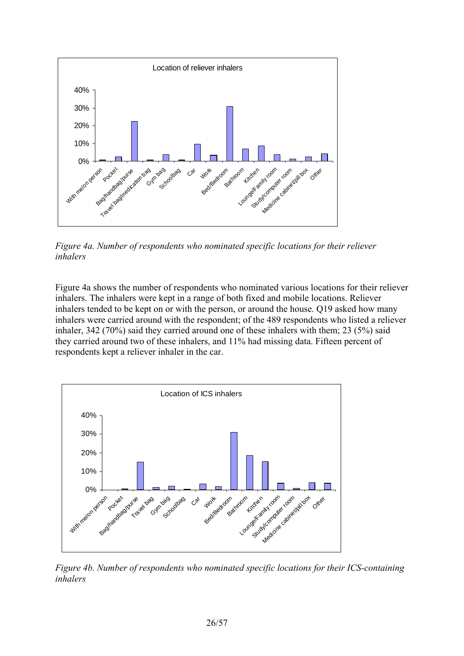

*Figure 4a. Number of respondents who nominated specific locations for their reliever inhalers* 

Figure 4a shows the number of respondents who nominated various locations for their reliever inhalers. The inhalers were kept in a range of both fixed and mobile locations. Reliever inhalers tended to be kept on or with the person, or around the house. Q19 asked how many inhalers were carried around with the respondent; of the 489 respondents who listed a reliever inhaler, 342 (70%) said they carried around one of these inhalers with them; 23 (5%) said they carried around two of these inhalers, and 11% had missing data. Fifteen percent of respondents kept a reliever inhaler in the car.



*Figure 4b. Number of respondents who nominated specific locations for their ICS-containing inhalers*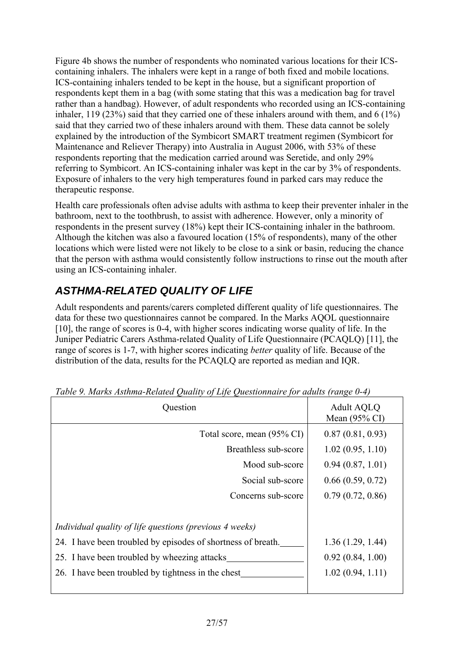Figure 4b shows the number of respondents who nominated various locations for their ICScontaining inhalers. The inhalers were kept in a range of both fixed and mobile locations. ICS-containing inhalers tended to be kept in the house, but a significant proportion of respondents kept them in a bag (with some stating that this was a medication bag for travel rather than a handbag). However, of adult respondents who recorded using an ICS-containing inhaler, 119 (23%) said that they carried one of these inhalers around with them, and 6 (1%) said that they carried two of these inhalers around with them. These data cannot be solely explained by the introduction of the Symbicort SMART treatment regimen (Symbicort for Maintenance and Reliever Therapy) into Australia in August 2006, with 53% of these respondents reporting that the medication carried around was Seretide, and only 29% referring to Symbicort. An ICS-containing inhaler was kept in the car by 3% of respondents. Exposure of inhalers to the very high temperatures found in parked cars may reduce the therapeutic response.

Health care professionals often advise adults with asthma to keep their preventer inhaler in the bathroom, next to the toothbrush, to assist with adherence. However, only a minority of respondents in the present survey (18%) kept their ICS-containing inhaler in the bathroom. Although the kitchen was also a favoured location (15% of respondents), many of the other locations which were listed were not likely to be close to a sink or basin, reducing the chance that the person with asthma would consistently follow instructions to rinse out the mouth after using an ICS-containing inhaler.

## *ASTHMA-RELATED QUALITY OF LIFE*

Adult respondents and parents/carers completed different quality of life questionnaires. The data for these two questionnaires cannot be compared. In the Marks AQOL questionnaire [10], the range of scores is 0-4, with higher scores indicating worse quality of life. In the Juniper Pediatric Carers Asthma-related Quality of Life Questionnaire (PCAQLQ) [11], the range of scores is 1-7, with higher scores indicating *better* quality of life. Because of the distribution of the data, results for the PCAQLQ are reported as median and IQR.

| Tubic 9. martin instrument celalcu guddurf of Life guestionnaire for addits (range 6-1) |                                               |  |
|-----------------------------------------------------------------------------------------|-----------------------------------------------|--|
| Question                                                                                | <b>Adult AQLQ</b><br>Mean $(95\% \text{ CI})$ |  |
| Total score, mean (95% CI)                                                              | 0.87(0.81, 0.93)                              |  |
| Breathless sub-score                                                                    | 1.02(0.95, 1.10)                              |  |
| Mood sub-score                                                                          | 0.94(0.87, 1.01)                              |  |
| Social sub-score                                                                        | 0.66(0.59, 0.72)                              |  |
| Concerns sub-score                                                                      | 0.79(0.72, 0.86)                              |  |
|                                                                                         |                                               |  |
| Individual quality of life questions (previous 4 weeks)                                 |                                               |  |
| 24. I have been troubled by episodes of shortness of breath.                            | 1.36(1.29, 1.44)                              |  |
| 25. I have been troubled by wheezing attacks                                            | 0.92(0.84, 1.00)                              |  |
| 26. I have been troubled by tightness in the chest_                                     | 1.02(0.94, 1.11)                              |  |
|                                                                                         |                                               |  |

*Table 9. Marks Asthma-Related Quality of Life Questionnaire for adults (range 0-4)*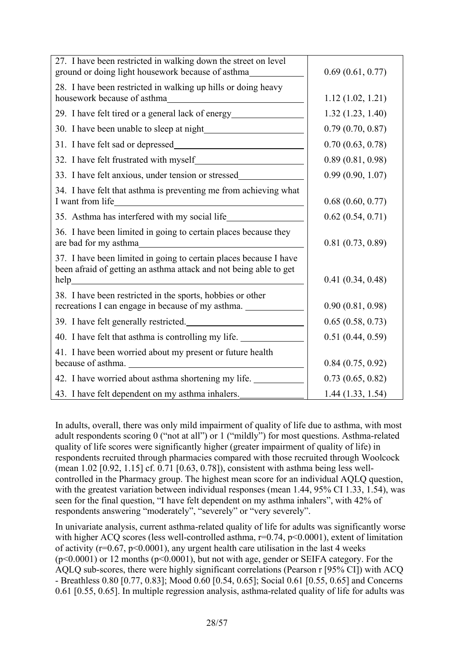| 27. I have been restricted in walking down the street on level<br>ground or doing light housework because of asthma_______________________________ | 0.69(0.61, 0.77) |
|----------------------------------------------------------------------------------------------------------------------------------------------------|------------------|
| 28. I have been restricted in walking up hills or doing heavy                                                                                      | 1.12(1.02, 1.21) |
| 29. I have felt tired or a general lack of energy_______________________________                                                                   | 1.32(1.23, 1.40) |
| 30. I have been unable to sleep at night                                                                                                           | 0.79(0.70, 0.87) |
|                                                                                                                                                    | 0.70(0.63, 0.78) |
|                                                                                                                                                    | 0.89(0.81, 0.98) |
| 33. I have felt anxious, under tension or stressed                                                                                                 | 0.99(0.90, 1.07) |
| 34. I have felt that asthma is preventing me from achieving what                                                                                   | 0.68(0.60, 0.77) |
| 35. Asthma has interfered with my social life                                                                                                      | 0.62(0.54, 0.71) |
| 36. I have been limited in going to certain places because they                                                                                    | 0.81(0.73, 0.89) |
| 37. I have been limited in going to certain places because I have<br>been afraid of getting an asthma attack and not being able to get             | 0.41(0.34, 0.48) |
| 38. I have been restricted in the sports, hobbies or other<br>recreations I can engage in because of my asthma.                                    | 0.90(0.81, 0.98) |
| 39. I have felt generally restricted.                                                                                                              | 0.65(0.58, 0.73) |
| 40. I have felt that asthma is controlling my life.                                                                                                | 0.51(0.44, 0.59) |
| 41. I have been worried about my present or future health<br>because of asthma.                                                                    | 0.84(0.75, 0.92) |
| 42. I have worried about asthma shortening my life.                                                                                                | 0.73(0.65, 0.82) |
| 43. I have felt dependent on my asthma inhalers.                                                                                                   | 1.44(1.33, 1.54) |

In adults, overall, there was only mild impairment of quality of life due to asthma, with most adult respondents scoring 0 ("not at all") or 1 ("mildly") for most questions. Asthma-related quality of life scores were significantly higher (greater impairment of quality of life) in respondents recruited through pharmacies compared with those recruited through Woolcock (mean 1.02 [0.92, 1.15] cf. 0.71 [0.63, 0.78]), consistent with asthma being less wellcontrolled in the Pharmacy group. The highest mean score for an individual AQLQ question, with the greatest variation between individual responses (mean 1.44, 95% CI 1.33, 1.54), was seen for the final question, "I have felt dependent on my asthma inhalers", with 42% of respondents answering "moderately", "severely" or "very severely".

In univariate analysis, current asthma-related quality of life for adults was significantly worse with higher ACQ scores (less well-controlled asthma,  $r=0.74$ ,  $p<0.0001$ ), extent of limitation of activity (r=0.67, p<0.0001), any urgent health care utilisation in the last 4 weeks (p<0.0001) or 12 months (p<0.0001), but not with age, gender or SEIFA category. For the AQLQ sub-scores, there were highly significant correlations (Pearson r [95% CI]) with ACQ - Breathless 0.80 [0.77, 0.83]; Mood 0.60 [0.54, 0.65]; Social 0.61 [0.55, 0.65] and Concerns 0.61 [0.55, 0.65]. In multiple regression analysis, asthma-related quality of life for adults was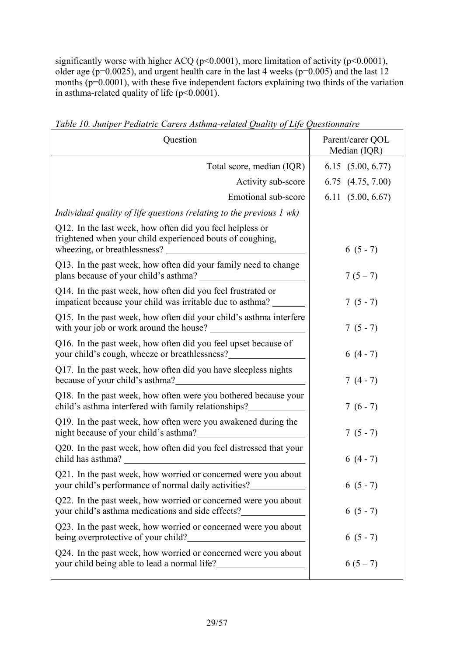significantly worse with higher ACQ (p<0.0001), more limitation of activity (p<0.0001), older age ( $p=0.0025$ ), and urgent health care in the last 4 weeks ( $p=0.005$ ) and the last 12 months  $(p=0.0001)$ , with these five independent factors explaining two thirds of the variation in asthma-related quality of life (p<0.0001).

| Question                                                                                                                                                                                                         | Parent/carer QOL<br>Median (IQR) |
|------------------------------------------------------------------------------------------------------------------------------------------------------------------------------------------------------------------|----------------------------------|
| Total score, median (IQR)                                                                                                                                                                                        | 6.15(5.00, 6.77)                 |
| Activity sub-score                                                                                                                                                                                               | 6.75 (4.75, 7.00)                |
| Emotional sub-score                                                                                                                                                                                              | 6.11(5.00, 6.67)                 |
| Individual quality of life questions (relating to the previous $I$ wk)                                                                                                                                           |                                  |
| Q12. In the last week, how often did you feel helpless or<br>frightened when your child experienced bouts of coughing,                                                                                           | $6(5-7)$                         |
| Q13. In the past week, how often did your family need to change                                                                                                                                                  | $7(5-7)$                         |
| Q14. In the past week, how often did you feel frustrated or<br>impatient because your child was irritable due to asthma?                                                                                         | $7(5-7)$                         |
| Q15. In the past week, how often did your child's asthma interfere<br>with your job or work around the house?                                                                                                    | $7(5-7)$                         |
| Q16. In the past week, how often did you feel upset because of                                                                                                                                                   | $6(4-7)$                         |
| Q17. In the past week, how often did you have sleepless nights                                                                                                                                                   | $7(4-7)$                         |
| Q18. In the past week, how often were you bothered because your<br>child's asthma interfered with family relationships?____________________________                                                              | $7(6-7)$                         |
| Q19. In the past week, how often were you awakened during the<br>night because of your child's asthma?_                                                                                                          | $7(5-7)$                         |
| Q20. In the past week, how often did you feel distressed that your<br>child has asthma?<br><u> 1989 - Johann Harry Barn, mars and de Branch and de Branch and de Branch and de Branch and de Branch and de B</u> | $6(4-7)$                         |
| Q21. In the past week, how worried or concerned were you about<br>your child's performance of normal daily activities?                                                                                           | $6(5-7)$                         |
| Q22. In the past week, how worried or concerned were you about<br>your child's asthma medications and side effects?                                                                                              | $6(5-7)$                         |
| Q23. In the past week, how worried or concerned were you about<br>being overprotective of your child?                                                                                                            | $6(5-7)$                         |
| Q24. In the past week, how worried or concerned were you about<br>your child being able to lead a normal life?                                                                                                   | $6(5-7)$                         |

*Table 10. Juniper Pediatric Carers Asthma-related Quality of Life Questionnaire*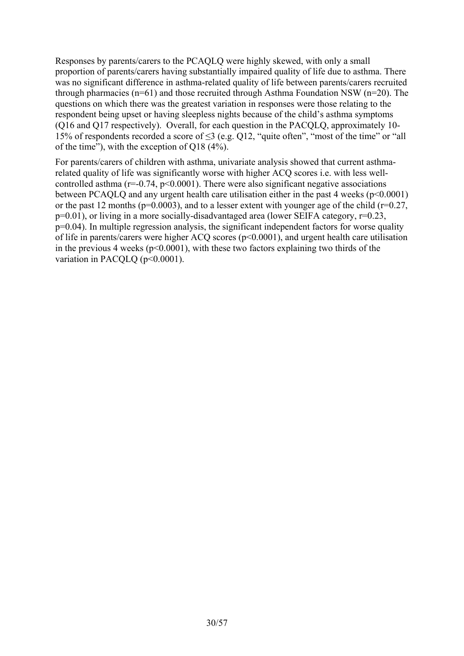Responses by parents/carers to the PCAQLQ were highly skewed, with only a small proportion of parents/carers having substantially impaired quality of life due to asthma. There was no significant difference in asthma-related quality of life between parents/carers recruited through pharmacies ( $n=61$ ) and those recruited through Asthma Foundation NSW ( $n=20$ ). The questions on which there was the greatest variation in responses were those relating to the respondent being upset or having sleepless nights because of the child's asthma symptoms (Q16 and Q17 respectively). Overall, for each question in the PACQLQ, approximately 10- 15% of respondents recorded a score of ≤3 (e.g. Q12, "quite often", "most of the time" or "all of the time"), with the exception of Q18 (4%).

For parents/carers of children with asthma, univariate analysis showed that current asthmarelated quality of life was significantly worse with higher ACQ scores i.e. with less wellcontrolled asthma ( $r=-0.74$ ,  $p<0.0001$ ). There were also significant negative associations between PCAQLQ and any urgent health care utilisation either in the past 4 weeks (p<0.0001) or the past 12 months ( $p=0.0003$ ), and to a lesser extent with younger age of the child ( $r=0.27$ , p=0.01), or living in a more socially-disadvantaged area (lower SEIFA category, r=0.23, p=0.04). In multiple regression analysis, the significant independent factors for worse quality of life in parents/carers were higher ACQ scores (p<0.0001), and urgent health care utilisation in the previous 4 weeks ( $p<0.0001$ ), with these two factors explaining two thirds of the variation in PACQLQ (p<0.0001).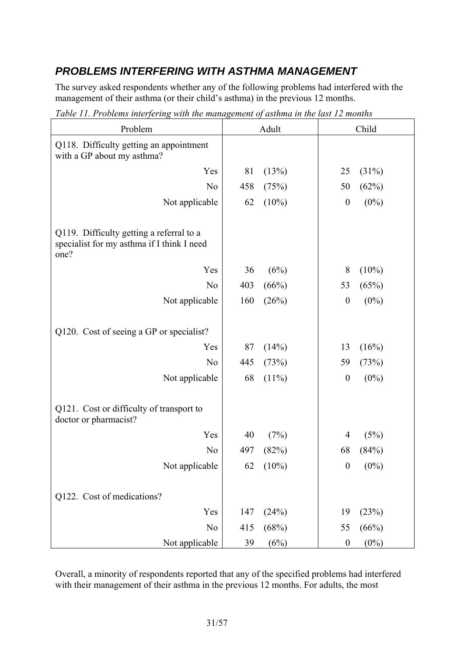### *PROBLEMS INTERFERING WITH ASTHMA MANAGEMENT*

The survey asked respondents whether any of the following problems had interfered with the management of their asthma (or their child's asthma) in the previous 12 months.

| Problem                                                               |     | Adult    |                  | Child    |
|-----------------------------------------------------------------------|-----|----------|------------------|----------|
| Q118. Difficulty getting an appointment<br>with a GP about my asthma? |     |          |                  |          |
| Yes                                                                   | 81  | (13%)    | 25               | (31%)    |
| N <sub>o</sub>                                                        | 458 | (75%)    | 50               | (62%)    |
| Not applicable                                                        | 62  | $(10\%)$ | $\boldsymbol{0}$ | $(0\%)$  |
| Q119. Difficulty getting a referral to a                              |     |          |                  |          |
| specialist for my asthma if I think I need<br>one?                    |     |          |                  |          |
| Yes                                                                   | 36  | (6%)     | 8                | $(10\%)$ |
| N <sub>o</sub>                                                        | 403 | (66%)    | 53               | (65%)    |
| Not applicable                                                        | 160 | (26%)    | $\boldsymbol{0}$ | $(0\%)$  |
|                                                                       |     |          |                  |          |
| Q120. Cost of seeing a GP or specialist?                              |     |          |                  |          |
| Yes                                                                   | 87  | (14%)    | 13               | (16%)    |
| N <sub>o</sub>                                                        | 445 | (73%)    | 59               | (73%)    |
| Not applicable                                                        | 68  | $(11\%)$ | $\boldsymbol{0}$ | $(0\%)$  |
|                                                                       |     |          |                  |          |
| Q121. Cost or difficulty of transport to<br>doctor or pharmacist?     |     |          |                  |          |
| Yes                                                                   | 40  | (7%)     | 4                | (5%)     |
| N <sub>o</sub>                                                        | 497 | (82%)    | 68               | (84%)    |
| Not applicable                                                        | 62  | $(10\%)$ | $\mathbf{0}$     | $(0\%)$  |
|                                                                       |     |          |                  |          |
| Q122. Cost of medications?                                            |     |          |                  |          |
| Yes                                                                   | 147 | (24%)    | 19               | (23%)    |
| N <sub>o</sub>                                                        | 415 | (68%)    | 55               | (66%)    |
| Not applicable                                                        | 39  | (6%)     | $\boldsymbol{0}$ | $(0\%)$  |

*Table 11. Problems interfering with the management of asthma in the last 12 months* 

Overall, a minority of respondents reported that any of the specified problems had interfered with their management of their asthma in the previous 12 months. For adults, the most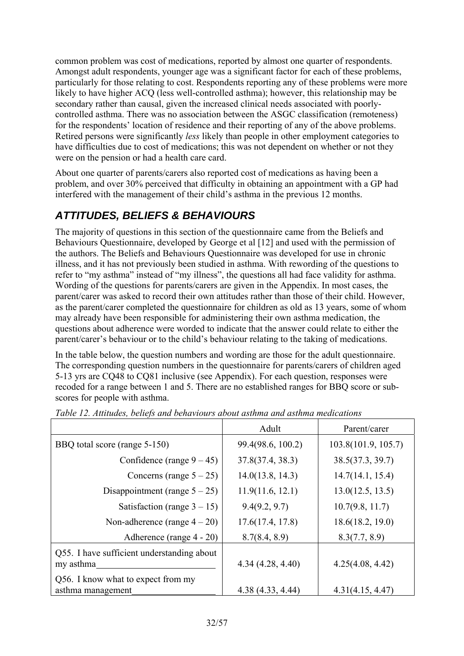common problem was cost of medications, reported by almost one quarter of respondents. Amongst adult respondents, younger age was a significant factor for each of these problems, particularly for those relating to cost. Respondents reporting any of these problems were more likely to have higher ACQ (less well-controlled asthma); however, this relationship may be secondary rather than causal, given the increased clinical needs associated with poorlycontrolled asthma. There was no association between the ASGC classification (remoteness) for the respondents' location of residence and their reporting of any of the above problems. Retired persons were significantly *less* likely than people in other employment categories to have difficulties due to cost of medications; this was not dependent on whether or not they were on the pension or had a health care card.

About one quarter of parents/carers also reported cost of medications as having been a problem, and over 30% perceived that difficulty in obtaining an appointment with a GP had interfered with the management of their child's asthma in the previous 12 months.

### *ATTITUDES, BELIEFS & BEHAVIOURS*

The majority of questions in this section of the questionnaire came from the Beliefs and Behaviours Questionnaire, developed by George et al [12] and used with the permission of the authors. The Beliefs and Behaviours Questionnaire was developed for use in chronic illness, and it has not previously been studied in asthma. With rewording of the questions to refer to "my asthma" instead of "my illness", the questions all had face validity for asthma. Wording of the questions for parents/carers are given in the Appendix. In most cases, the parent/carer was asked to record their own attitudes rather than those of their child. However, as the parent/carer completed the questionnaire for children as old as 13 years, some of whom may already have been responsible for administering their own asthma medication, the questions about adherence were worded to indicate that the answer could relate to either the parent/carer's behaviour or to the child's behaviour relating to the taking of medications.

In the table below, the question numbers and wording are those for the adult questionnaire. The corresponding question numbers in the questionnaire for parents/carers of children aged 5-13 yrs are CQ48 to CQ81 inclusive (see Appendix). For each question, responses were recoded for a range between 1 and 5. There are no established ranges for BBQ score or subscores for people with asthma.

|                                                         | Adult             | Parent/carer        |
|---------------------------------------------------------|-------------------|---------------------|
| BBQ total score (range 5-150)                           | 99.4(98.6, 100.2) | 103.8(101.9, 105.7) |
| Confidence (range $9 - 45$ )                            | 37.8(37.4, 38.3)  | 38.5(37.3, 39.7)    |
| Concerns (range $5 - 25$ )                              | 14.0(13.8, 14.3)  | 14.7(14.1, 15.4)    |
| Disappointment (range $5 - 25$ )                        | 11.9(11.6, 12.1)  | 13.0(12.5, 13.5)    |
| Satisfaction (range $3 - 15$ )                          | 9.4(9.2, 9.7)     | 10.7(9.8, 11.7)     |
| Non-adherence (range $4-20$ )                           | 17.6(17.4, 17.8)  | 18.6(18.2, 19.0)    |
| Adherence (range 4 - 20)                                | 8.7(8.4, 8.9)     | 8.3(7.7, 8.9)       |
| Q55. I have sufficient understanding about<br>my asthma | 4.34(4.28, 4.40)  | 4.25(4.08, 4.42)    |
| Q56. I know what to expect from my<br>asthma management | 4.38 (4.33, 4.44) | 4.31(4.15, 4.47)    |

*Table 12. Attitudes, beliefs and behaviours about asthma and asthma medications*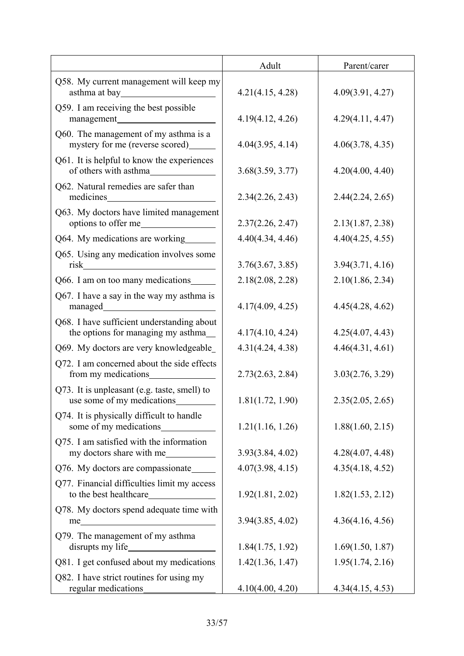|                                                                                   | Adult            | Parent/carer     |
|-----------------------------------------------------------------------------------|------------------|------------------|
| Q58. My current management will keep my                                           | 4.21(4.15, 4.28) | 4.09(3.91, 4.27) |
| Q59. I am receiving the best possible                                             | 4.19(4.12, 4.26) | 4.29(4.11, 4.47) |
| Q60. The management of my asthma is a<br>mystery for me (reverse scored)_________ | 4.04(3.95, 4.14) | 4.06(3.78, 4.35) |
| Q61. It is helpful to know the experiences                                        | 3.68(3.59, 3.77) | 4.20(4.00, 4.40) |
| Q62. Natural remedies are safer than<br>medicines                                 | 2.34(2.26, 2.43) | 2.44(2.24, 2.65) |
| Q63. My doctors have limited management<br>options to offer me_                   | 2.37(2.26, 2.47) | 2.13(1.87, 2.38) |
| Q64. My medications are working                                                   | 4.40(4.34, 4.46) | 4.40(4.25, 4.55) |
| Q65. Using any medication involves some<br>risk                                   | 3.76(3.67, 3.85) | 3.94(3.71, 4.16) |
| Q66. I am on too many medications                                                 | 2.18(2.08, 2.28) | 2.10(1.86, 2.34) |
| Q67. I have a say in the way my asthma is                                         | 4.17(4.09, 4.25) | 4.45(4.28, 4.62) |
| Q68. I have sufficient understanding about<br>the options for managing my asthma_ | 4.17(4.10, 4.24) | 4.25(4.07, 4.43) |
| Q69. My doctors are very knowledgeable                                            | 4.31(4.24, 4.38) | 4.46(4.31, 4.61) |
| Q72. I am concerned about the side effects<br>from my medications                 | 2.73(2.63, 2.84) | 3.03(2.76, 3.29) |
| Q73. It is unpleasant (e.g. taste, smell) to<br>use some of my medications        | 1.81(1.72, 1.90) | 2.35(2.05, 2.65) |
| Q74. It is physically difficult to handle                                         | 1.21(1.16, 1.26) | 1.88(1.60, 2.15) |
| Q75. I am satisfied with the information<br>my doctors share with me              | 3.93(3.84, 4.02) | 4.28(4.07, 4.48) |
| Q76. My doctors are compassionate_                                                | 4.07(3.98, 4.15) | 4.35(4.18, 4.52) |
| Q77. Financial difficulties limit my access                                       | 1.92(1.81, 2.02) | 1.82(1.53, 2.12) |
| Q78. My doctors spend adequate time with                                          | 3.94(3.85, 4.02) | 4.36(4.16, 4.56) |
| Q79. The management of my asthma                                                  | 1.84(1.75, 1.92) | 1.69(1.50, 1.87) |
| Q81. I get confused about my medications                                          | 1.42(1.36, 1.47) | 1.95(1.74, 2.16) |
| Q82. I have strict routines for using my                                          | 4.10(4.00, 4.20) | 4.34(4.15, 4.53) |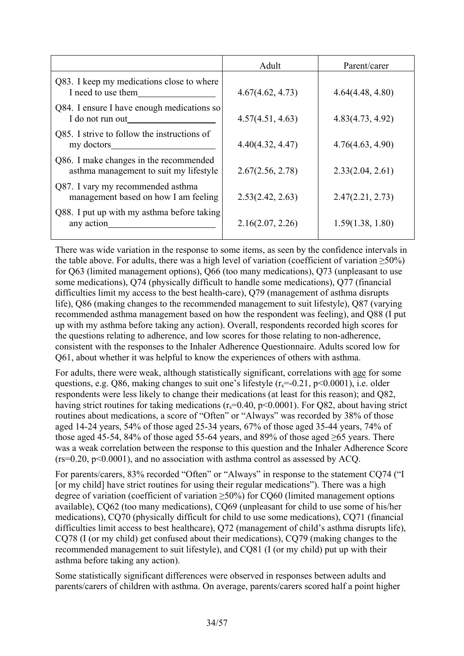|                                                                                  | Adult            | Parent/carer     |
|----------------------------------------------------------------------------------|------------------|------------------|
| Q83. I keep my medications close to where<br>I need to use them                  | 4.67(4.62, 4.73) | 4.64(4.48, 4.80) |
| Q84. I ensure I have enough medications so<br>I do not run out                   | 4.57(4.51, 4.63) | 4.83(4.73, 4.92) |
| Q85. I strive to follow the instructions of<br>my doctors                        | 4.40(4.32, 4.47) | 4.76(4.63, 4.90) |
| Q86. I make changes in the recommended<br>asthma management to suit my lifestyle | 2.67(2.56, 2.78) | 2.33(2.04, 2.61) |
| Q87. I vary my recommended asthma<br>management based on how I am feeling        | 2.53(2.42, 2.63) | 2.47(2.21, 2.73) |
| Q88. I put up with my asthma before taking<br>any action                         | 2.16(2.07, 2.26) | 1.59(1.38, 1.80) |

There was wide variation in the response to some items, as seen by the confidence intervals in the table above. For adults, there was a high level of variation (coefficient of variation  $>50\%$ ) for Q63 (limited management options), Q66 (too many medications), Q73 (unpleasant to use some medications), Q74 (physically difficult to handle some medications), Q77 (financial difficulties limit my access to the best health-care), Q79 (management of asthma disrupts life), Q86 (making changes to the recommended management to suit lifestyle), Q87 (varying recommended asthma management based on how the respondent was feeling), and Q88 (I put up with my asthma before taking any action). Overall, respondents recorded high scores for the questions relating to adherence, and low scores for those relating to non-adherence, consistent with the responses to the Inhaler Adherence Questionnaire. Adults scored low for Q61, about whether it was helpful to know the experiences of others with asthma.

For adults, there were weak, although statistically significant, correlations with age for some questions, e.g. Q86, making changes to suit one's lifestyle  $(r_s = -0.21, p \le 0.0001)$ , i.e. older respondents were less likely to change their medications (at least for this reason); and Q82, having strict routines for taking medications ( $r_s$ =0.40, p<0.0001). For Q82, about having strict routines about medications, a score of "Often" or "Always" was recorded by 38% of those aged 14-24 years, 54% of those aged 25-34 years, 67% of those aged 35-44 years, 74% of those aged 45-54, 84% of those aged 55-64 years, and 89% of those aged  $\geq$ 65 years. There was a weak correlation between the response to this question and the Inhaler Adherence Score  $(rs=0.20, p<0.0001)$ , and no association with asthma control as assessed by ACQ.

For parents/carers, 83% recorded "Often" or "Always" in response to the statement CQ74 ("I [or my child] have strict routines for using their regular medications"). There was a high degree of variation (coefficient of variation  $\geq$ 50%) for CQ60 (limited management options available), CQ62 (too many medications), CQ69 (unpleasant for child to use some of his/her medications), CQ70 (physically difficult for child to use some medications), CQ71 (financial difficulties limit access to best healthcare), Q72 (management of child's asthma disrupts life), CQ78 (I (or my child) get confused about their medications), CQ79 (making changes to the recommended management to suit lifestyle), and CQ81 (I (or my child) put up with their asthma before taking any action).

Some statistically significant differences were observed in responses between adults and parents/carers of children with asthma. On average, parents/carers scored half a point higher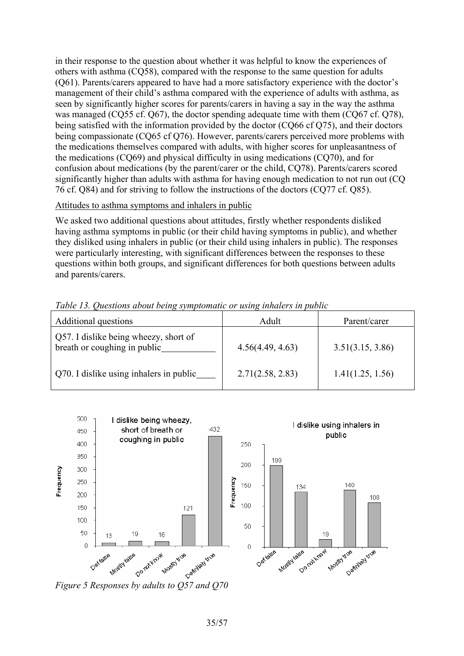in their response to the question about whether it was helpful to know the experiences of others with asthma (CQ58), compared with the response to the same question for adults (Q61). Parents/carers appeared to have had a more satisfactory experience with the doctor's management of their child's asthma compared with the experience of adults with asthma, as seen by significantly higher scores for parents/carers in having a say in the way the asthma was managed (CQ55 cf. Q67), the doctor spending adequate time with them (CQ67 cf. Q78), being satisfied with the information provided by the doctor (CQ66 cf Q75), and their doctors being compassionate (CQ65 cf Q76). However, parents/carers perceived more problems with the medications themselves compared with adults, with higher scores for unpleasantness of the medications (CQ69) and physical difficulty in using medications (CQ70), and for confusion about medications (by the parent/carer or the child, CQ78). Parents/carers scored significantly higher than adults with asthma for having enough medication to not run out (CQ 76 cf. Q84) and for striving to follow the instructions of the doctors (CQ77 cf. Q85).

#### Attitudes to asthma symptoms and inhalers in public

We asked two additional questions about attitudes, firstly whether respondents disliked having asthma symptoms in public (or their child having symptoms in public), and whether they disliked using inhalers in public (or their child using inhalers in public). The responses were particularly interesting, with significant differences between the responses to these questions within both groups, and significant differences for both questions between adults and parents/carers.

| Additional questions                                                  | Adult            | Parent/carer     |
|-----------------------------------------------------------------------|------------------|------------------|
| Q57. I dislike being wheezy, short of<br>breath or coughing in public | 4.56(4.49, 4.63) | 3.51(3.15, 3.86) |
| Q70. I dislike using inhalers in public                               | 2.71(2.58, 2.83) | 1.41(1.25, 1.56) |

*Table 13. Questions about being symptomatic or using inhalers in public* 

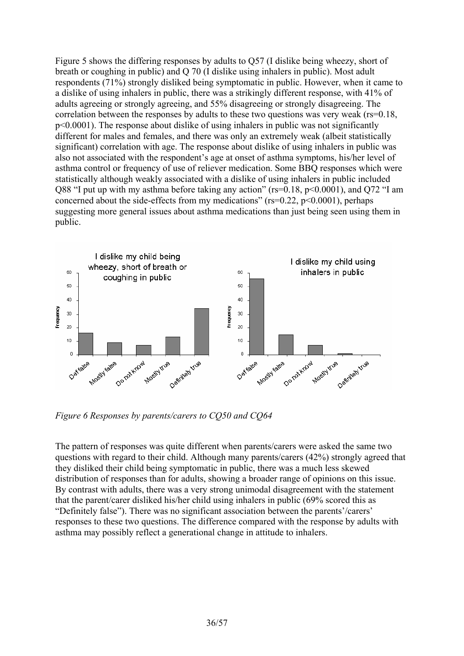Figure 5 shows the differing responses by adults to Q57 (I dislike being wheezy, short of breath or coughing in public) and Q 70 (I dislike using inhalers in public). Most adult respondents (71%) strongly disliked being symptomatic in public. However, when it came to a dislike of using inhalers in public, there was a strikingly different response, with 41% of adults agreeing or strongly agreeing, and 55% disagreeing or strongly disagreeing. The correlation between the responses by adults to these two questions was very weak (rs=0.18, p<0.0001). The response about dislike of using inhalers in public was not significantly different for males and females, and there was only an extremely weak (albeit statistically significant) correlation with age. The response about dislike of using inhalers in public was also not associated with the respondent's age at onset of asthma symptoms, his/her level of asthma control or frequency of use of reliever medication. Some BBQ responses which were statistically although weakly associated with a dislike of using inhalers in public included Q88 "I put up with my asthma before taking any action" (rs=0.18, p<0.0001), and Q72 "I am concerned about the side-effects from my medications" ( $rs=0.22$ ,  $p<0.0001$ ), perhaps suggesting more general issues about asthma medications than just being seen using them in public.



*Figure 6 Responses by parents/carers to CQ50 and CQ64* 

The pattern of responses was quite different when parents/carers were asked the same two questions with regard to their child. Although many parents/carers (42%) strongly agreed that they disliked their child being symptomatic in public, there was a much less skewed distribution of responses than for adults, showing a broader range of opinions on this issue. By contrast with adults, there was a very strong unimodal disagreement with the statement that the parent/carer disliked his/her child using inhalers in public (69% scored this as "Definitely false"). There was no significant association between the parents'/carers' responses to these two questions. The difference compared with the response by adults with asthma may possibly reflect a generational change in attitude to inhalers.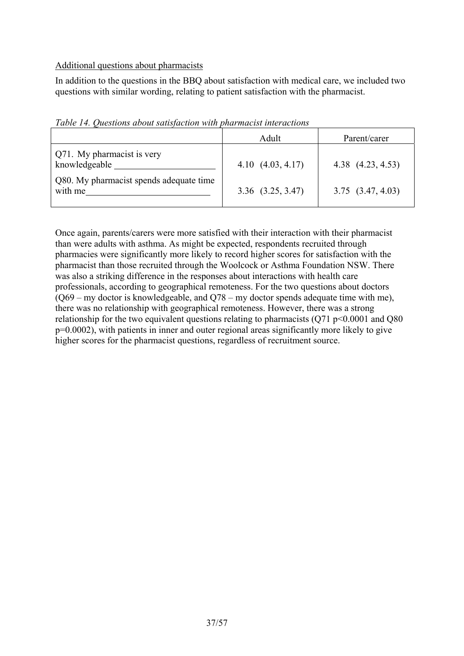#### Additional questions about pharmacists

In addition to the questions in the BBQ about satisfaction with medical care, we included two questions with similar wording, relating to patient satisfaction with the pharmacist.

|                                                    | Adult                 | Parent/carer          |
|----------------------------------------------------|-----------------------|-----------------------|
| Q71. My pharmacist is very<br>knowledgeable        | $4.10\ (4.03, 4.17)$  | 4.38 (4.23, 4.53)     |
| Q80. My pharmacist spends adequate time<br>with me | $3.36$ $(3.25, 3.47)$ | $3.75$ $(3.47, 4.03)$ |

*Table 14. Questions about satisfaction with pharmacist interactions* 

Once again, parents/carers were more satisfied with their interaction with their pharmacist than were adults with asthma. As might be expected, respondents recruited through pharmacies were significantly more likely to record higher scores for satisfaction with the pharmacist than those recruited through the Woolcock or Asthma Foundation NSW. There was also a striking difference in the responses about interactions with health care professionals, according to geographical remoteness. For the two questions about doctors  $(069 - mv$  doctor is knowledgeable, and  $0.78 - mv$  doctor spends adequate time with me), there was no relationship with geographical remoteness. However, there was a strong relationship for the two equivalent questions relating to pharmacists  $(Q71 p<0.0001$  and Q80 p=0.0002), with patients in inner and outer regional areas significantly more likely to give higher scores for the pharmacist questions, regardless of recruitment source.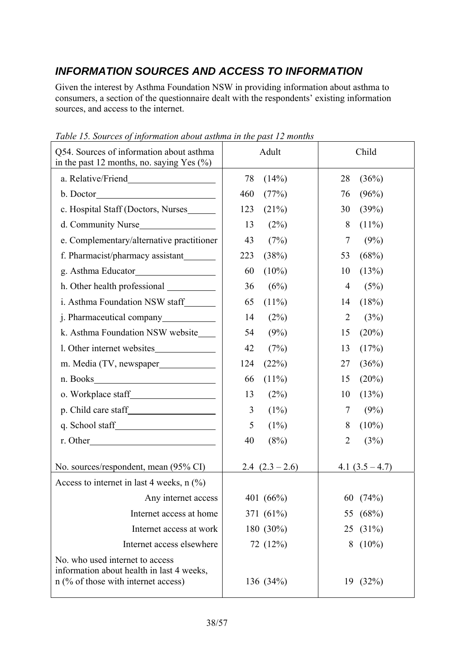# *INFORMATION SOURCES AND ACCESS TO INFORMATION*

Given the interest by Asthma Foundation NSW in providing information about asthma to consumers, a section of the questionnaire dealt with the respondents' existing information sources, and access to the internet.

| Tuble 15, Sources by information about asiming in the past 12 months<br>Q54. Sources of information about asthma<br>in the past 12 months, no. saying Yes $(\%)$ | Child<br>Adult    |                        |
|------------------------------------------------------------------------------------------------------------------------------------------------------------------|-------------------|------------------------|
|                                                                                                                                                                  | 78<br>(14%)       | (36%)<br>28            |
|                                                                                                                                                                  | 460<br>(77%)      | (96%)<br>76            |
| c. Hospital Staff (Doctors, Nurses                                                                                                                               | 123<br>(21%)      | 30<br>(39%)            |
| d. Community Nurse                                                                                                                                               | 13<br>(2%)        | 8<br>$(11\%)$          |
| e. Complementary/alternative practitioner                                                                                                                        | 43<br>(7%)        | 7<br>(9%)              |
| f. Pharmacist/pharmacy assistant                                                                                                                                 | 223<br>(38%)      | (68%)<br>53            |
|                                                                                                                                                                  | 60<br>$(10\%)$    | 10<br>(13%)            |
|                                                                                                                                                                  | 36<br>(6%)        | $\overline{4}$<br>(5%) |
| i. Asthma Foundation NSW staff                                                                                                                                   | 65<br>$(11\%)$    | (18%)<br>14            |
|                                                                                                                                                                  | 14<br>(2%)        | $\overline{2}$<br>(3%) |
| k. Asthma Foundation NSW website                                                                                                                                 | (9%)<br>54        | (20%)<br>15            |
| 1. Other internet websites                                                                                                                                       | 42<br>(7%)        | (17%)<br>13            |
| m. Media (TV, newspaper                                                                                                                                          | 124<br>(22%)      | 27<br>(36%)            |
|                                                                                                                                                                  | $(11\%)$<br>66    | (20%)<br>15            |
|                                                                                                                                                                  | 13<br>(2%)        | (13%)<br>10            |
|                                                                                                                                                                  | 3<br>(1%)         | 7<br>(9%)              |
|                                                                                                                                                                  | 5<br>(1%)         | $(10\%)$<br>8          |
|                                                                                                                                                                  | 40<br>(8%)        | $\overline{2}$<br>(3%) |
| No. sources/respondent, mean (95% CI)                                                                                                                            | 2.4 $(2.3 - 2.6)$ | 4.1 $(3.5 – 4.7)$      |
| Access to internet in last 4 weeks, $n$ (%)                                                                                                                      |                   |                        |
| Any internet access                                                                                                                                              | 401 (66%)         | (74%)<br>60            |
| Internet access at home                                                                                                                                          | 371 (61%)         | 55 (68%)               |
| Internet access at work                                                                                                                                          | 180 (30%)         | 25 (31%)               |
| Internet access elsewhere                                                                                                                                        | 72 (12%)          | $(10\%)$<br>8          |
| No. who used internet to access<br>information about health in last 4 weeks,<br>$n$ (% of those with internet access)                                            | 136 (34%)         | 19(32%)                |

*Table 15. Sources of information about asthma in the past 12 months*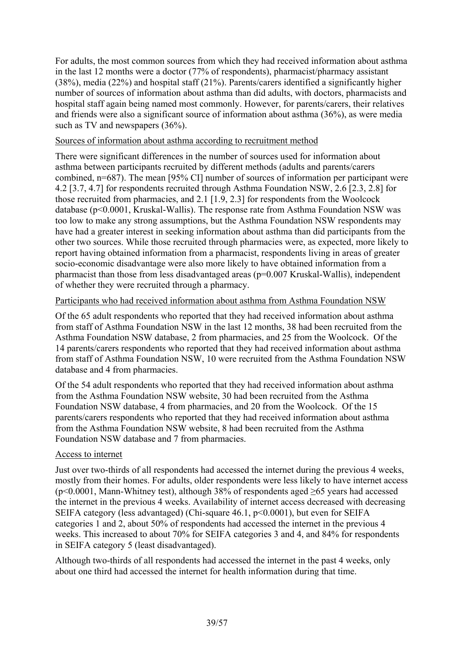For adults, the most common sources from which they had received information about asthma in the last 12 months were a doctor (77% of respondents), pharmacist/pharmacy assistant (38%), media (22%) and hospital staff (21%). Parents/carers identified a significantly higher number of sources of information about asthma than did adults, with doctors, pharmacists and hospital staff again being named most commonly. However, for parents/carers, their relatives and friends were also a significant source of information about asthma (36%), as were media such as TV and newspapers (36%).

### Sources of information about asthma according to recruitment method

There were significant differences in the number of sources used for information about asthma between participants recruited by different methods (adults and parents/carers combined, n=687). The mean [95% CI] number of sources of information per participant were 4.2 [3.7, 4.7] for respondents recruited through Asthma Foundation NSW, 2.6 [2.3, 2.8] for those recruited from pharmacies, and 2.1 [1.9, 2.3] for respondents from the Woolcock database (p<0.0001, Kruskal-Wallis). The response rate from Asthma Foundation NSW was too low to make any strong assumptions, but the Asthma Foundation NSW respondents may have had a greater interest in seeking information about asthma than did participants from the other two sources. While those recruited through pharmacies were, as expected, more likely to report having obtained information from a pharmacist, respondents living in areas of greater socio-economic disadvantage were also more likely to have obtained information from a pharmacist than those from less disadvantaged areas (p=0.007 Kruskal-Wallis), independent of whether they were recruited through a pharmacy.

#### Participants who had received information about asthma from Asthma Foundation NSW

Of the 65 adult respondents who reported that they had received information about asthma from staff of Asthma Foundation NSW in the last 12 months, 38 had been recruited from the Asthma Foundation NSW database, 2 from pharmacies, and 25 from the Woolcock. Of the 14 parents/carers respondents who reported that they had received information about asthma from staff of Asthma Foundation NSW, 10 were recruited from the Asthma Foundation NSW database and 4 from pharmacies.

Of the 54 adult respondents who reported that they had received information about asthma from the Asthma Foundation NSW website, 30 had been recruited from the Asthma Foundation NSW database, 4 from pharmacies, and 20 from the Woolcock. Of the 15 parents/carers respondents who reported that they had received information about asthma from the Asthma Foundation NSW website, 8 had been recruited from the Asthma Foundation NSW database and 7 from pharmacies.

### Access to internet

Just over two-thirds of all respondents had accessed the internet during the previous 4 weeks, mostly from their homes. For adults, older respondents were less likely to have internet access ( $p$ <0.0001, Mann-Whitney test), although 38% of respondents aged >65 years had accessed the internet in the previous 4 weeks. Availability of internet access decreased with decreasing SEIFA category (less advantaged) (Chi-square 46.1, p<0.0001), but even for SEIFA categories 1 and 2, about 50% of respondents had accessed the internet in the previous 4 weeks. This increased to about 70% for SEIFA categories 3 and 4, and 84% for respondents in SEIFA category 5 (least disadvantaged).

Although two-thirds of all respondents had accessed the internet in the past 4 weeks, only about one third had accessed the internet for health information during that time.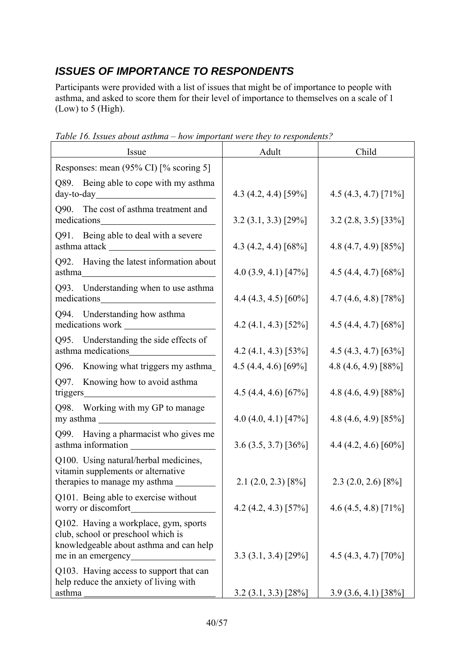# *ISSUES OF IMPORTANCE TO RESPONDENTS*

Participants were provided with a list of issues that might be of importance to people with asthma, and asked to score them for their level of importance to themselves on a scale of 1 (Low) to 5 (High).

| Issue                                                                                                                                                                   | Adult                       | Child                  |  |
|-------------------------------------------------------------------------------------------------------------------------------------------------------------------------|-----------------------------|------------------------|--|
| Responses: mean (95% CI) [% scoring 5]                                                                                                                                  |                             |                        |  |
| Q89. Being able to cope with my asthma                                                                                                                                  | 4.3 $(4.2, 4.4)$ [59%]      | 4.5 $(4.3, 4.7)$ [71%] |  |
| Q90. The cost of asthma treatment and<br>medications                                                                                                                    | $3.2(3.1, 3.3)$ [29%]       | $3.2(2.8, 3.5)$ [33%]  |  |
| Q91. Being able to deal with a severe                                                                                                                                   | 4.3 $(4.2, 4.4)$ [68%]      | 4.8 $(4.7, 4.9)$ [85%] |  |
| Q92. Having the latest information about                                                                                                                                | $4.0(3.9, 4.1)$ [47%]       | 4.5 (4.4, 4.7) [68%]   |  |
| Q93. Understanding when to use asthma<br>medications                                                                                                                    | 4.4 $(4.3, 4.5)$ [60%]      | 4.7 $(4.6, 4.8)$ [78%] |  |
| Q94. Understanding how asthma                                                                                                                                           | 4.2 $(4.1, 4.3)$ [52%]      | 4.5 $(4.4, 4.7)$ [68%] |  |
| Q95. Understanding the side effects of                                                                                                                                  | $4.2$ (4.1, 4.3) [53%]      | 4.5 (4.3, 4.7) [63%]   |  |
| Knowing what triggers my asthma_<br>Q96.                                                                                                                                | 4.5 $(4.4, 4.6)$ [69%]      | 4.8 (4.6, 4.9) [88%]   |  |
| Knowing how to avoid asthma<br>Q97.<br>triggers<br><u> 1980 - Johann Barn, mars eta bainar eta bat erroman erroman erroman erroman erroman erroman erroman erroman </u> | 4.5 $(4.4, 4.6)$ [67%]      | 4.8 $(4.6, 4.9)$ [88%] |  |
| Q98. Working with my GP to manage                                                                                                                                       | 4.0 $(4.0, 4.1)$ [47%]      | 4.8 $(4.6, 4.9)$ [85%] |  |
| Q99. Having a pharmacist who gives me<br>asthma information                                                                                                             | $3.6(3.5, 3.7)$ [36%]       | 4.4 $(4.2, 4.6)$ [60%] |  |
| Q100. Using natural/herbal medicines,<br>vitamin supplements or alternative                                                                                             |                             |                        |  |
| therapies to manage my asthma                                                                                                                                           | $2.1(2.0, 2.3)$ [8%]        | $2.3$ (2.0, 2.6) [8%]  |  |
| Q101. Being able to exercise without<br>worry or discomfort                                                                                                             | 4.2 $(4.2, 4.3)$ [57%]      | 4.6 $(4.5, 4.8)$ [71%] |  |
| Q102. Having a workplace, gym, sports<br>club, school or preschool which is<br>knowledgeable about asthma and can help                                                  |                             |                        |  |
| me in an emergency<br>Q103. Having access to support that can<br>help reduce the anxiety of living with                                                                 | $3.3(3.1, 3.4)$ [29%]       | 4.5 (4.3, 4.7) [70%]   |  |
| asthma                                                                                                                                                                  | $3.2$ $(3.1, 3.3)$ $[28\%]$ | $3.9(3.6, 4.1)$ [38%]  |  |

*Table 16. Issues about asthma – how important were they to respondents?*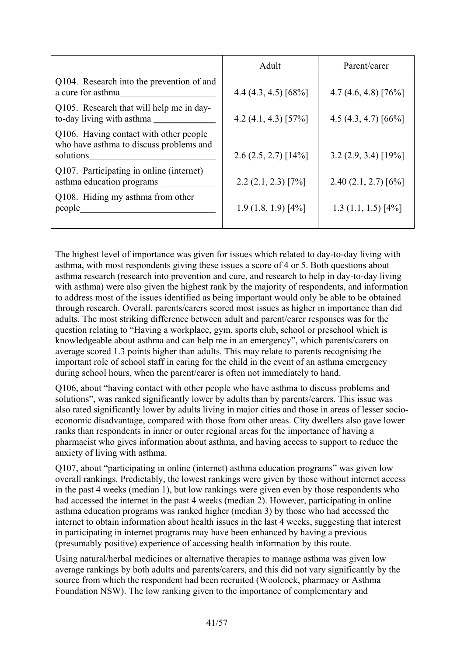| Adult                  | Parent/carer           |
|------------------------|------------------------|
| 4.4 $(4.3, 4.5)$ [68%] | $4.7(4.6, 4.8)$ [76%]  |
| 4.2 $(4.1, 4.3)$ [57%] | 4.5 $(4.3, 4.7)$ [66%] |
| $2.6(2.5, 2.7)$ [14%]  | $3.2(2.9, 3.4)$ [19%]  |
| $2.2(2.1, 2.3)$ [7%]   | $2.40(2.1, 2.7)$ [6%]  |
| $1.9(1.8, 1.9)$ [4%]   | $1.3(1.1, 1.5)$ [4%]   |
|                        |                        |

The highest level of importance was given for issues which related to day-to-day living with asthma, with most respondents giving these issues a score of 4 or 5. Both questions about asthma research (research into prevention and cure, and research to help in day-to-day living with asthma) were also given the highest rank by the majority of respondents, and information to address most of the issues identified as being important would only be able to be obtained through research. Overall, parents/carers scored most issues as higher in importance than did adults. The most striking difference between adult and parent/carer responses was for the question relating to "Having a workplace, gym, sports club, school or preschool which is knowledgeable about asthma and can help me in an emergency", which parents/carers on average scored 1.3 points higher than adults. This may relate to parents recognising the important role of school staff in caring for the child in the event of an asthma emergency during school hours, when the parent/carer is often not immediately to hand.

Q106, about "having contact with other people who have asthma to discuss problems and solutions", was ranked significantly lower by adults than by parents/carers. This issue was also rated significantly lower by adults living in major cities and those in areas of lesser socioeconomic disadvantage, compared with those from other areas. City dwellers also gave lower ranks than respondents in inner or outer regional areas for the importance of having a pharmacist who gives information about asthma, and having access to support to reduce the anxiety of living with asthma.

Q107, about "participating in online (internet) asthma education programs" was given low overall rankings. Predictably, the lowest rankings were given by those without internet access in the past 4 weeks (median 1), but low rankings were given even by those respondents who had accessed the internet in the past 4 weeks (median 2). However, participating in online asthma education programs was ranked higher (median 3) by those who had accessed the internet to obtain information about health issues in the last 4 weeks, suggesting that interest in participating in internet programs may have been enhanced by having a previous (presumably positive) experience of accessing health information by this route.

Using natural/herbal medicines or alternative therapies to manage asthma was given low average rankings by both adults and parents/carers, and this did not vary significantly by the source from which the respondent had been recruited (Woolcock, pharmacy or Asthma Foundation NSW). The low ranking given to the importance of complementary and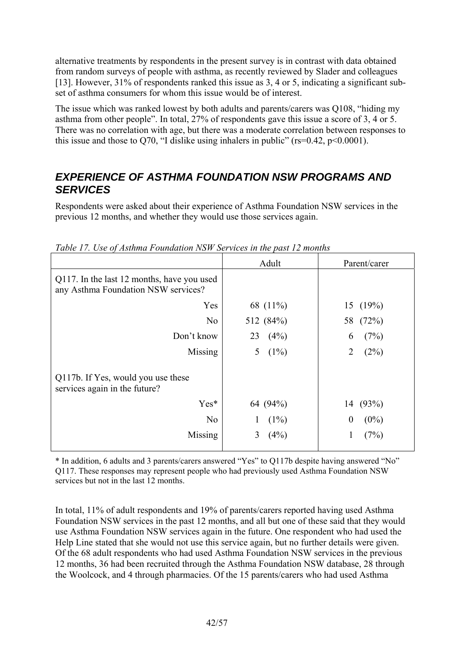alternative treatments by respondents in the present survey is in contrast with data obtained from random surveys of people with asthma, as recently reviewed by Slader and colleagues [13]. However, 31% of respondents ranked this issue as 3, 4 or 5, indicating a significant subset of asthma consumers for whom this issue would be of interest.

The issue which was ranked lowest by both adults and parents/carers was Q108, "hiding my asthma from other people". In total, 27% of respondents gave this issue a score of 3, 4 or 5. There was no correlation with age, but there was a moderate correlation between responses to this issue and those to O70, "I dislike using inhalers in public" ( $rs=0.42$ ,  $p<0.0001$ ).

## *EXPERIENCE OF ASTHMA FOUNDATION NSW PROGRAMS AND SERVICES*

Respondents were asked about their experience of Asthma Foundation NSW services in the previous 12 months, and whether they would use those services again.

|                                                                                   | Adult        | Parent/carer           |
|-----------------------------------------------------------------------------------|--------------|------------------------|
| Q117. In the last 12 months, have you used<br>any Asthma Foundation NSW services? |              |                        |
| Yes                                                                               | 68 (11%)     | 15 $(19%)$             |
| N <sub>0</sub>                                                                    | 512 (84%)    | 58 (72%)               |
| Don't know                                                                        | 23<br>(4%)   | (7%)<br>6              |
| Missing                                                                           | $(1\%)$<br>5 | $\overline{2}$<br>(2%) |
| Q117b. If Yes, would you use these<br>services again in the future?               |              |                        |
| Yes*                                                                              | 64 (94%)     | 14 (93%)               |
| N <sub>0</sub>                                                                    | $(1\%)$      | $(0\%)$<br>$\theta$    |
| Missing                                                                           | (4%)<br>3    | (7%)<br>1              |
|                                                                                   |              |                        |

*Table 17. Use of Asthma Foundation NSW Services in the past 12 months* 

\* In addition, 6 adults and 3 parents/carers answered "Yes" to Q117b despite having answered "No" Q117. These responses may represent people who had previously used Asthma Foundation NSW services but not in the last 12 months.

In total, 11% of adult respondents and 19% of parents/carers reported having used Asthma Foundation NSW services in the past 12 months, and all but one of these said that they would use Asthma Foundation NSW services again in the future. One respondent who had used the Help Line stated that she would not use this service again, but no further details were given. Of the 68 adult respondents who had used Asthma Foundation NSW services in the previous 12 months, 36 had been recruited through the Asthma Foundation NSW database, 28 through the Woolcock, and 4 through pharmacies. Of the 15 parents/carers who had used Asthma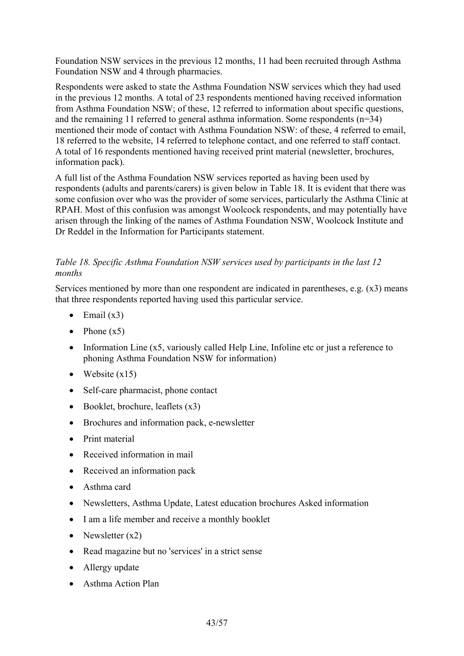Foundation NSW services in the previous 12 months, 11 had been recruited through Asthma Foundation NSW and 4 through pharmacies.

Respondents were asked to state the Asthma Foundation NSW services which they had used in the previous 12 months. A total of 23 respondents mentioned having received information from Asthma Foundation NSW; of these, 12 referred to information about specific questions, and the remaining 11 referred to general asthma information. Some respondents (n=34) mentioned their mode of contact with Asthma Foundation NSW: of these, 4 referred to email, 18 referred to the website, 14 referred to telephone contact, and one referred to staff contact. A total of 16 respondents mentioned having received print material (newsletter, brochures, information pack).

A full list of the Asthma Foundation NSW services reported as having been used by respondents (adults and parents/carers) is given below in Table 18. It is evident that there was some confusion over who was the provider of some services, particularly the Asthma Clinic at RPAH. Most of this confusion was amongst Woolcock respondents, and may potentially have arisen through the linking of the names of Asthma Foundation NSW, Woolcock Institute and Dr Reddel in the Information for Participants statement.

### *Table 18. Specific Asthma Foundation NSW services used by participants in the last 12 months*

Services mentioned by more than one respondent are indicated in parentheses, e.g. (x3) means that three respondents reported having used this particular service.

- Email  $(x3)$
- Phone  $(x5)$
- Information Line (x5, variously called Help Line, Infoline etc or just a reference to phoning Asthma Foundation NSW for information)
- Website  $(x15)$
- Self-care pharmacist, phone contact
- Booklet, brochure, leaflets  $(x3)$
- Brochures and information pack, e-newsletter
- Print material
- Received information in mail
- Received an information pack
- Asthma card
- Newsletters, Asthma Update, Latest education brochures Asked information
- I am a life member and receive a monthly booklet
- Newsletter  $(x2)$
- Read magazine but no 'services' in a strict sense
- Allergy update
- Asthma Action Plan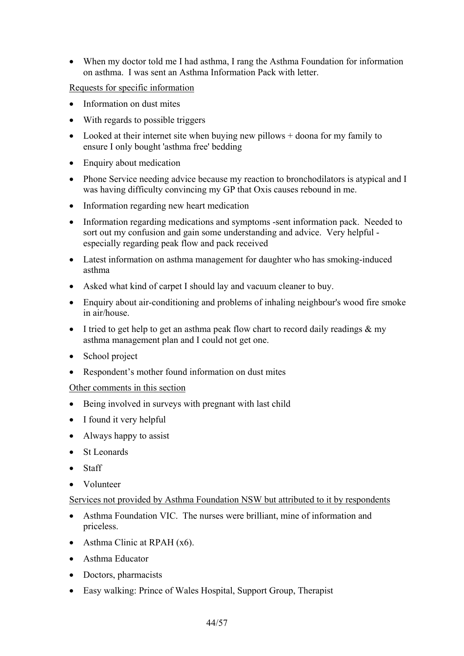• When my doctor told me I had asthma, I rang the Asthma Foundation for information on asthma. I was sent an Asthma Information Pack with letter.

Requests for specific information

- Information on dust mites
- With regards to possible triggers
- Looked at their internet site when buying new pillows + doona for my family to ensure I only bought 'asthma free' bedding
- Enquiry about medication
- Phone Service needing advice because my reaction to bronchodilators is atypical and I was having difficulty convincing my GP that Oxis causes rebound in me.
- Information regarding new heart medication
- Information regarding medications and symptoms -sent information pack. Needed to sort out my confusion and gain some understanding and advice. Very helpful especially regarding peak flow and pack received
- Latest information on asthma management for daughter who has smoking-induced asthma
- Asked what kind of carpet I should lay and vacuum cleaner to buy.
- Enquiry about air-conditioning and problems of inhaling neighbour's wood fire smoke in air/house.
- I tried to get help to get an asthma peak flow chart to record daily readings  $\&$  my asthma management plan and I could not get one.
- School project
- Respondent's mother found information on dust mites

#### Other comments in this section

- Being involved in surveys with pregnant with last child
- I found it very helpful
- Always happy to assist
- St Leonards
- Staff
- Volunteer

#### Services not provided by Asthma Foundation NSW but attributed to it by respondents

- Asthma Foundation VIC. The nurses were brilliant, mine of information and priceless.
- Asthma Clinic at RPAH (x6).
- Asthma Educator
- Doctors, pharmacists
- Easy walking: Prince of Wales Hospital, Support Group, Therapist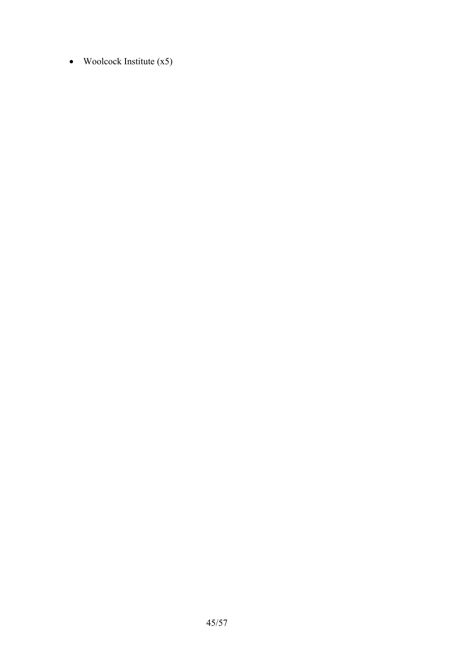• Woolcock Institute  $(x5)$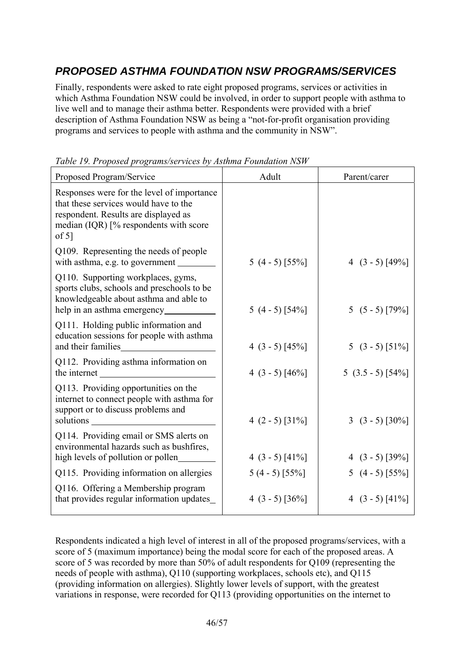# *PROPOSED ASTHMA FOUNDATION NSW PROGRAMS/SERVICES*

Finally, respondents were asked to rate eight proposed programs, services or activities in which Asthma Foundation NSW could be involved, in order to support people with asthma to live well and to manage their asthma better. Respondents were provided with a brief description of Asthma Foundation NSW as being a "not-for-profit organisation providing programs and services to people with asthma and the community in NSW".

| Proposed Program/Service                                                                                                                                                          | Adult             | Parent/carer      |
|-----------------------------------------------------------------------------------------------------------------------------------------------------------------------------------|-------------------|-------------------|
| Responses were for the level of importance<br>that these services would have to the<br>respondent. Results are displayed as<br>median (IQR) [% respondents with score<br>of $5$ ] |                   |                   |
| Q109. Representing the needs of people<br>with asthma, e.g. to government                                                                                                         | 5 $(4 - 5)$ [55%] | 4 $(3 - 5)$ [49%] |
| Q110. Supporting workplaces, gyms,<br>sports clubs, schools and preschools to be<br>knowledgeable about asthma and able to                                                        | $5(4-5)[54%]$     | $5(5-5)[79%]$     |
| Q111. Holding public information and<br>education sessions for people with asthma<br>and their families                                                                           | 4 $(3 - 5)$ [45%] | 5 $(3 - 5)$ [51%] |
| Q112. Providing asthma information on<br>the internet                                                                                                                             | 4 $(3 - 5)$ [46%] | $5(3.5-5)[54\%]$  |
| Q113. Providing opportunities on the<br>internet to connect people with asthma for<br>support or to discuss problems and<br>solutions                                             | 4 $(2 - 5)$ [31%] | 3 $(3 - 5)$ [30%] |
| Q114. Providing email or SMS alerts on<br>environmental hazards such as bushfires,<br>high levels of pollution or pollen                                                          | 4 $(3 - 5)$ [41%] | 4 $(3 - 5)$ [39%] |
| Q115. Providing information on allergies                                                                                                                                          | $5(4-5)$ [55%]    | 5 $(4 - 5)$ [55%] |
| Q116. Offering a Membership program<br>that provides regular information updates                                                                                                  | 4 $(3 - 5)$ [36%] | 4 $(3 - 5)$ [41%] |

*Table 19. Proposed programs/services by Asthma Foundation NSW* 

Respondents indicated a high level of interest in all of the proposed programs/services, with a score of 5 (maximum importance) being the modal score for each of the proposed areas. A score of 5 was recorded by more than 50% of adult respondents for Q109 (representing the needs of people with asthma), Q110 (supporting workplaces, schools etc), and Q115 (providing information on allergies). Slightly lower levels of support, with the greatest variations in response, were recorded for Q113 (providing opportunities on the internet to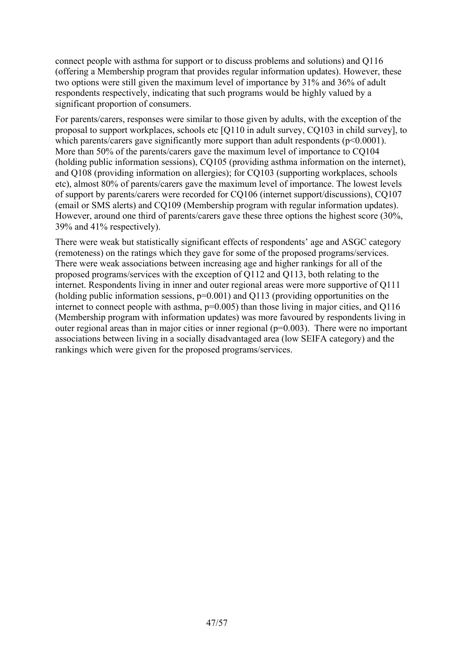connect people with asthma for support or to discuss problems and solutions) and Q116 (offering a Membership program that provides regular information updates). However, these two options were still given the maximum level of importance by 31% and 36% of adult respondents respectively, indicating that such programs would be highly valued by a significant proportion of consumers.

For parents/carers, responses were similar to those given by adults, with the exception of the proposal to support workplaces, schools etc [Q110 in adult survey, CQ103 in child survey], to which parents/carers gave significantly more support than adult respondents ( $p<0.0001$ ). More than 50% of the parents/carers gave the maximum level of importance to CQ104 (holding public information sessions), CQ105 (providing asthma information on the internet), and Q108 (providing information on allergies); for CQ103 (supporting workplaces, schools etc), almost 80% of parents/carers gave the maximum level of importance. The lowest levels of support by parents/carers were recorded for CQ106 (internet support/discussions), CQ107 (email or SMS alerts) and CQ109 (Membership program with regular information updates). However, around one third of parents/carers gave these three options the highest score (30%, 39% and 41% respectively).

There were weak but statistically significant effects of respondents' age and ASGC category (remoteness) on the ratings which they gave for some of the proposed programs/services. There were weak associations between increasing age and higher rankings for all of the proposed programs/services with the exception of Q112 and Q113, both relating to the internet. Respondents living in inner and outer regional areas were more supportive of Q111 (holding public information sessions,  $p=0.001$ ) and  $Q113$  (providing opportunities on the internet to connect people with asthma,  $p=0.005$ ) than those living in major cities, and Q116 (Membership program with information updates) was more favoured by respondents living in outer regional areas than in major cities or inner regional  $(p=0.003)$ . There were no important associations between living in a socially disadvantaged area (low SEIFA category) and the rankings which were given for the proposed programs/services.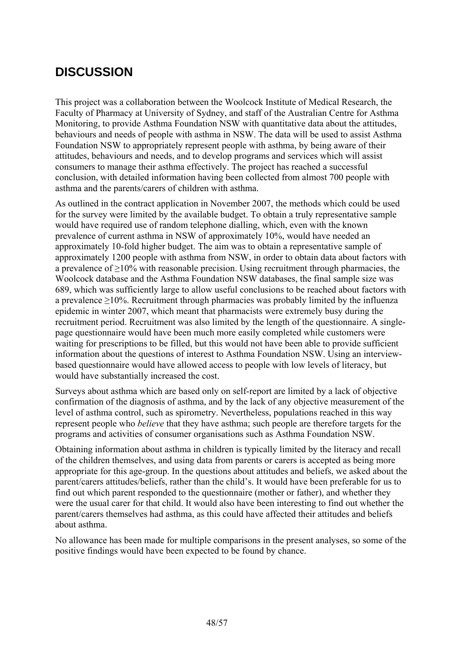# **DISCUSSION**

This project was a collaboration between the Woolcock Institute of Medical Research, the Faculty of Pharmacy at University of Sydney, and staff of the Australian Centre for Asthma Monitoring, to provide Asthma Foundation NSW with quantitative data about the attitudes, behaviours and needs of people with asthma in NSW. The data will be used to assist Asthma Foundation NSW to appropriately represent people with asthma, by being aware of their attitudes, behaviours and needs, and to develop programs and services which will assist consumers to manage their asthma effectively. The project has reached a successful conclusion, with detailed information having been collected from almost 700 people with asthma and the parents/carers of children with asthma.

As outlined in the contract application in November 2007, the methods which could be used for the survey were limited by the available budget. To obtain a truly representative sample would have required use of random telephone dialling, which, even with the known prevalence of current asthma in NSW of approximately 10%, would have needed an approximately 10-fold higher budget. The aim was to obtain a representative sample of approximately 1200 people with asthma from NSW, in order to obtain data about factors with a prevalence of  $\geq$ 10% with reasonable precision. Using recruitment through pharmacies, the Woolcock database and the Asthma Foundation NSW databases, the final sample size was 689, which was sufficiently large to allow useful conclusions to be reached about factors with a prevalence  $\geq$ 10%. Recruitment through pharmacies was probably limited by the influenza epidemic in winter 2007, which meant that pharmacists were extremely busy during the recruitment period. Recruitment was also limited by the length of the questionnaire. A singlepage questionnaire would have been much more easily completed while customers were waiting for prescriptions to be filled, but this would not have been able to provide sufficient information about the questions of interest to Asthma Foundation NSW. Using an interviewbased questionnaire would have allowed access to people with low levels of literacy, but would have substantially increased the cost.

Surveys about asthma which are based only on self-report are limited by a lack of objective confirmation of the diagnosis of asthma, and by the lack of any objective measurement of the level of asthma control, such as spirometry. Nevertheless, populations reached in this way represent people who *believe* that they have asthma; such people are therefore targets for the programs and activities of consumer organisations such as Asthma Foundation NSW.

Obtaining information about asthma in children is typically limited by the literacy and recall of the children themselves, and using data from parents or carers is accepted as being more appropriate for this age-group. In the questions about attitudes and beliefs, we asked about the parent/carers attitudes/beliefs, rather than the child's. It would have been preferable for us to find out which parent responded to the questionnaire (mother or father), and whether they were the usual carer for that child. It would also have been interesting to find out whether the parent/carers themselves had asthma, as this could have affected their attitudes and beliefs about asthma.

No allowance has been made for multiple comparisons in the present analyses, so some of the positive findings would have been expected to be found by chance.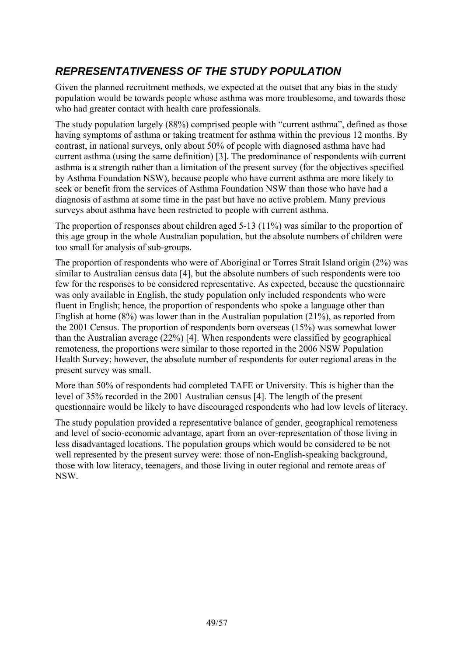# *REPRESENTATIVENESS OF THE STUDY POPULATION*

Given the planned recruitment methods, we expected at the outset that any bias in the study population would be towards people whose asthma was more troublesome, and towards those who had greater contact with health care professionals.

The study population largely (88%) comprised people with "current asthma", defined as those having symptoms of asthma or taking treatment for asthma within the previous 12 months. By contrast, in national surveys, only about 50% of people with diagnosed asthma have had current asthma (using the same definition) [3]. The predominance of respondents with current asthma is a strength rather than a limitation of the present survey (for the objectives specified by Asthma Foundation NSW), because people who have current asthma are more likely to seek or benefit from the services of Asthma Foundation NSW than those who have had a diagnosis of asthma at some time in the past but have no active problem. Many previous surveys about asthma have been restricted to people with current asthma.

The proportion of responses about children aged 5-13 (11%) was similar to the proportion of this age group in the whole Australian population, but the absolute numbers of children were too small for analysis of sub-groups.

The proportion of respondents who were of Aboriginal or Torres Strait Island origin (2%) was similar to Australian census data [4], but the absolute numbers of such respondents were too few for the responses to be considered representative. As expected, because the questionnaire was only available in English, the study population only included respondents who were fluent in English; hence, the proportion of respondents who spoke a language other than English at home (8%) was lower than in the Australian population (21%), as reported from the 2001 Census. The proportion of respondents born overseas (15%) was somewhat lower than the Australian average (22%) [4]. When respondents were classified by geographical remoteness, the proportions were similar to those reported in the 2006 NSW Population Health Survey; however, the absolute number of respondents for outer regional areas in the present survey was small.

More than 50% of respondents had completed TAFE or University. This is higher than the level of 35% recorded in the 2001 Australian census [4]. The length of the present questionnaire would be likely to have discouraged respondents who had low levels of literacy.

The study population provided a representative balance of gender, geographical remoteness and level of socio-economic advantage, apart from an over-representation of those living in less disadvantaged locations. The population groups which would be considered to be not well represented by the present survey were: those of non-English-speaking background, those with low literacy, teenagers, and those living in outer regional and remote areas of NSW.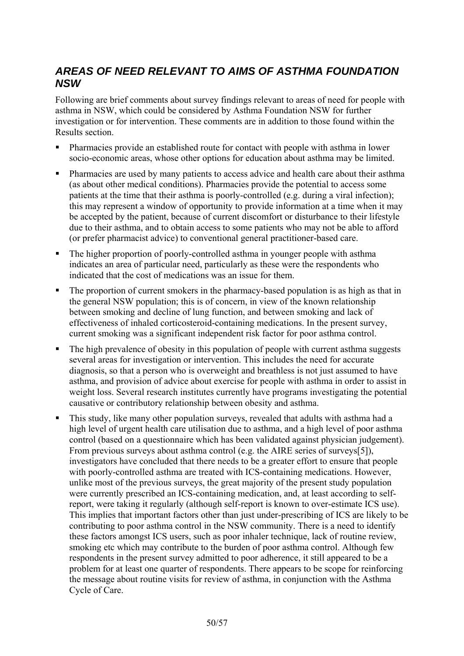## *AREAS OF NEED RELEVANT TO AIMS OF ASTHMA FOUNDATION NSW*

Following are brief comments about survey findings relevant to areas of need for people with asthma in NSW, which could be considered by Asthma Foundation NSW for further investigation or for intervention. These comments are in addition to those found within the Results section.

- Pharmacies provide an established route for contact with people with asthma in lower socio-economic areas, whose other options for education about asthma may be limited.
- Pharmacies are used by many patients to access advice and health care about their asthma (as about other medical conditions). Pharmacies provide the potential to access some patients at the time that their asthma is poorly-controlled (e.g. during a viral infection); this may represent a window of opportunity to provide information at a time when it may be accepted by the patient, because of current discomfort or disturbance to their lifestyle due to their asthma, and to obtain access to some patients who may not be able to afford (or prefer pharmacist advice) to conventional general practitioner-based care.
- The higher proportion of poorly-controlled asthma in younger people with asthma indicates an area of particular need, particularly as these were the respondents who indicated that the cost of medications was an issue for them.
- The proportion of current smokers in the pharmacy-based population is as high as that in the general NSW population; this is of concern, in view of the known relationship between smoking and decline of lung function, and between smoking and lack of effectiveness of inhaled corticosteroid-containing medications. In the present survey, current smoking was a significant independent risk factor for poor asthma control.
- The high prevalence of obesity in this population of people with current asthma suggests several areas for investigation or intervention. This includes the need for accurate diagnosis, so that a person who is overweight and breathless is not just assumed to have asthma, and provision of advice about exercise for people with asthma in order to assist in weight loss. Several research institutes currently have programs investigating the potential causative or contributory relationship between obesity and asthma.
- This study, like many other population surveys, revealed that adults with asthma had a high level of urgent health care utilisation due to asthma, and a high level of poor asthma control (based on a questionnaire which has been validated against physician judgement). From previous surveys about asthma control (e.g. the AIRE series of surveys[5]), investigators have concluded that there needs to be a greater effort to ensure that people with poorly-controlled asthma are treated with ICS-containing medications. However, unlike most of the previous surveys, the great majority of the present study population were currently prescribed an ICS-containing medication, and, at least according to selfreport, were taking it regularly (although self-report is known to over-estimate ICS use). This implies that important factors other than just under-prescribing of ICS are likely to be contributing to poor asthma control in the NSW community. There is a need to identify these factors amongst ICS users, such as poor inhaler technique, lack of routine review, smoking etc which may contribute to the burden of poor asthma control. Although few respondents in the present survey admitted to poor adherence, it still appeared to be a problem for at least one quarter of respondents. There appears to be scope for reinforcing the message about routine visits for review of asthma, in conjunction with the Asthma Cycle of Care.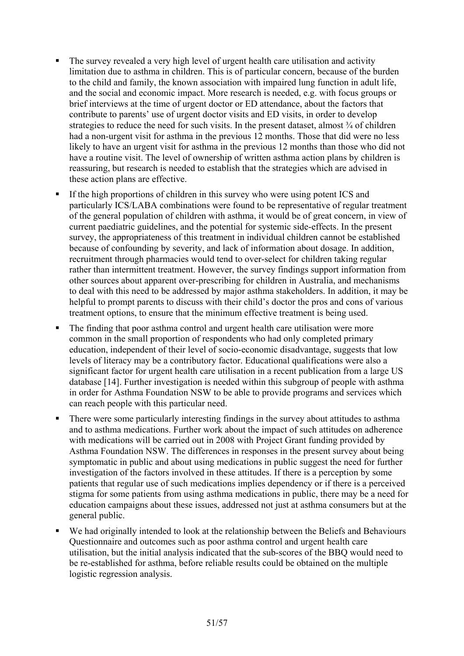- The survey revealed a very high level of urgent health care utilisation and activity limitation due to asthma in children. This is of particular concern, because of the burden to the child and family, the known association with impaired lung function in adult life, and the social and economic impact. More research is needed, e.g. with focus groups or brief interviews at the time of urgent doctor or ED attendance, about the factors that contribute to parents' use of urgent doctor visits and ED visits, in order to develop strategies to reduce the need for such visits. In the present dataset, almost  $\frac{3}{4}$  of children had a non-urgent visit for asthma in the previous 12 months. Those that did were no less likely to have an urgent visit for asthma in the previous 12 months than those who did not have a routine visit. The level of ownership of written asthma action plans by children is reassuring, but research is needed to establish that the strategies which are advised in these action plans are effective.
- If the high proportions of children in this survey who were using potent ICS and particularly ICS/LABA combinations were found to be representative of regular treatment of the general population of children with asthma, it would be of great concern, in view of current paediatric guidelines, and the potential for systemic side-effects. In the present survey, the appropriateness of this treatment in individual children cannot be established because of confounding by severity, and lack of information about dosage. In addition, recruitment through pharmacies would tend to over-select for children taking regular rather than intermittent treatment. However, the survey findings support information from other sources about apparent over-prescribing for children in Australia, and mechanisms to deal with this need to be addressed by major asthma stakeholders. In addition, it may be helpful to prompt parents to discuss with their child's doctor the pros and cons of various treatment options, to ensure that the minimum effective treatment is being used.
- The finding that poor asthma control and urgent health care utilisation were more common in the small proportion of respondents who had only completed primary education, independent of their level of socio-economic disadvantage, suggests that low levels of literacy may be a contributory factor. Educational qualifications were also a significant factor for urgent health care utilisation in a recent publication from a large US database [14]. Further investigation is needed within this subgroup of people with asthma in order for Asthma Foundation NSW to be able to provide programs and services which can reach people with this particular need.
- There were some particularly interesting findings in the survey about attitudes to asthma and to asthma medications. Further work about the impact of such attitudes on adherence with medications will be carried out in 2008 with Project Grant funding provided by Asthma Foundation NSW. The differences in responses in the present survey about being symptomatic in public and about using medications in public suggest the need for further investigation of the factors involved in these attitudes. If there is a perception by some patients that regular use of such medications implies dependency or if there is a perceived stigma for some patients from using asthma medications in public, there may be a need for education campaigns about these issues, addressed not just at asthma consumers but at the general public.
- We had originally intended to look at the relationship between the Beliefs and Behaviours Questionnaire and outcomes such as poor asthma control and urgent health care utilisation, but the initial analysis indicated that the sub-scores of the BBQ would need to be re-established for asthma, before reliable results could be obtained on the multiple logistic regression analysis.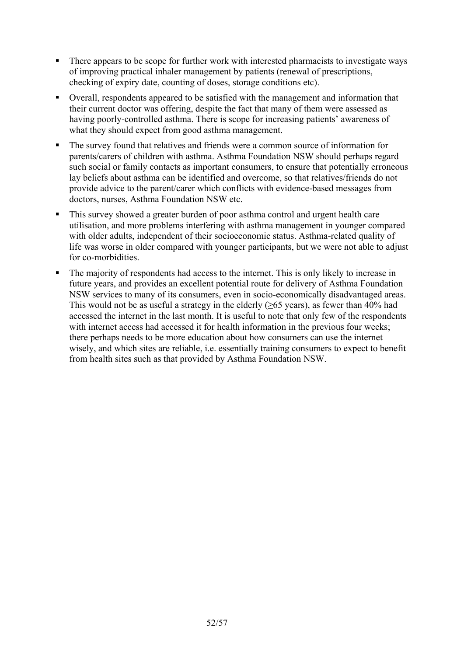- There appears to be scope for further work with interested pharmacists to investigate ways of improving practical inhaler management by patients (renewal of prescriptions, checking of expiry date, counting of doses, storage conditions etc).
- Overall, respondents appeared to be satisfied with the management and information that their current doctor was offering, despite the fact that many of them were assessed as having poorly-controlled asthma. There is scope for increasing patients' awareness of what they should expect from good asthma management.
- The survey found that relatives and friends were a common source of information for parents/carers of children with asthma. Asthma Foundation NSW should perhaps regard such social or family contacts as important consumers, to ensure that potentially erroneous lay beliefs about asthma can be identified and overcome, so that relatives/friends do not provide advice to the parent/carer which conflicts with evidence-based messages from doctors, nurses, Asthma Foundation NSW etc.
- This survey showed a greater burden of poor asthma control and urgent health care utilisation, and more problems interfering with asthma management in younger compared with older adults, independent of their socioeconomic status. Asthma-related quality of life was worse in older compared with younger participants, but we were not able to adjust for co-morbidities.
- The majority of respondents had access to the internet. This is only likely to increase in future years, and provides an excellent potential route for delivery of Asthma Foundation NSW services to many of its consumers, even in socio-economically disadvantaged areas. This would not be as useful a strategy in the elderly ( $>65$  years), as fewer than 40% had accessed the internet in the last month. It is useful to note that only few of the respondents with internet access had accessed it for health information in the previous four weeks; there perhaps needs to be more education about how consumers can use the internet wisely, and which sites are reliable, i.e. essentially training consumers to expect to benefit from health sites such as that provided by Asthma Foundation NSW.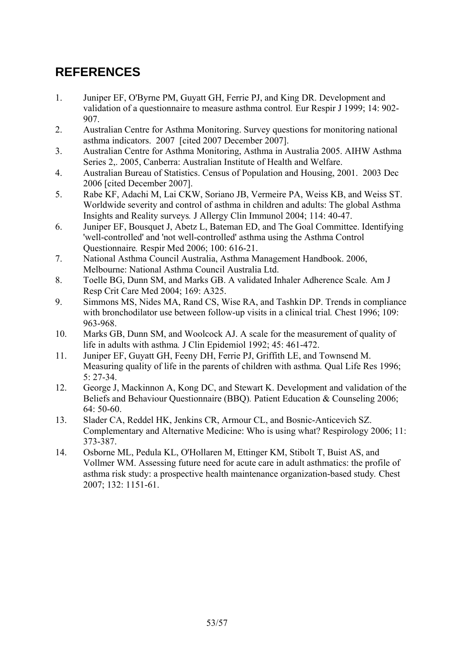# **REFERENCES**

- 1. Juniper EF, O'Byrne PM, Guyatt GH, Ferrie PJ, and King DR. Development and validation of a questionnaire to measure asthma control*.* Eur Respir J 1999; 14: 902- 907.
- 2. Australian Centre for Asthma Monitoring. Survey questions for monitoring national asthma indicators. 2007 [cited 2007 December 2007].
- 3. Australian Centre for Asthma Monitoring, Asthma in Australia 2005. AIHW Asthma Series 2,. 2005, Canberra: Australian Institute of Health and Welfare.
- 4. Australian Bureau of Statistics. Census of Population and Housing, 2001. 2003 Dec 2006 [cited December 2007].
- 5. Rabe KF, Adachi M, Lai CKW, Soriano JB, Vermeire PA, Weiss KB, and Weiss ST. Worldwide severity and control of asthma in children and adults: The global Asthma Insights and Reality surveys*.* J Allergy Clin Immunol 2004; 114: 40-47.
- 6. Juniper EF, Bousquet J, Abetz L, Bateman ED, and The Goal Committee. Identifying 'well-controlled' and 'not well-controlled' asthma using the Asthma Control Questionnaire*.* Respir Med 2006; 100: 616-21.
- 7. National Asthma Council Australia, Asthma Management Handbook. 2006, Melbourne: National Asthma Council Australia Ltd.
- 8. Toelle BG, Dunn SM, and Marks GB. A validated Inhaler Adherence Scale*.* Am J Resp Crit Care Med 2004; 169: A325.
- 9. Simmons MS, Nides MA, Rand CS, Wise RA, and Tashkin DP. Trends in compliance with bronchodilator use between follow-up visits in a clinical trial*.* Chest 1996; 109: 963-968.
- 10. Marks GB, Dunn SM, and Woolcock AJ. A scale for the measurement of quality of life in adults with asthma*.* J Clin Epidemiol 1992; 45: 461-472.
- 11. Juniper EF, Guyatt GH, Feeny DH, Ferrie PJ, Griffith LE, and Townsend M. Measuring quality of life in the parents of children with asthma*.* Qual Life Res 1996; 5: 27-34.
- 12. George J, Mackinnon A, Kong DC, and Stewart K. Development and validation of the Beliefs and Behaviour Questionnaire (BBQ)*.* Patient Education & Counseling 2006; 64: 50-60.
- 13. Slader CA, Reddel HK, Jenkins CR, Armour CL, and Bosnic-Anticevich SZ. Complementary and Alternative Medicine: Who is using what? Respirology 2006; 11: 373-387.
- 14. Osborne ML, Pedula KL, O'Hollaren M, Ettinger KM, Stibolt T, Buist AS, and Vollmer WM. Assessing future need for acute care in adult asthmatics: the profile of asthma risk study: a prospective health maintenance organization-based study*.* Chest 2007; 132: 1151-61.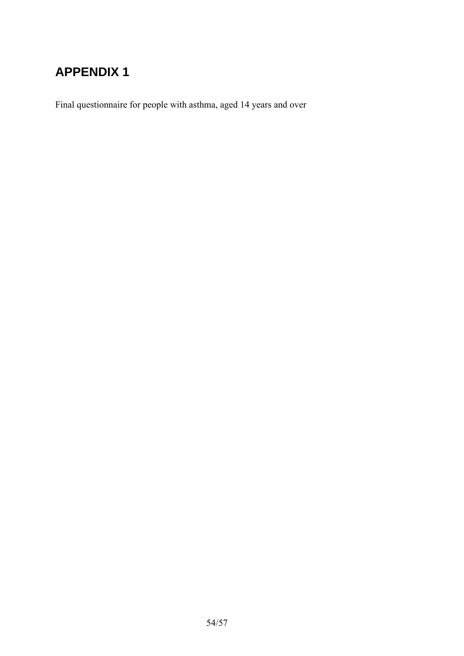# **APPENDIX 1**

Final questionnaire for people with asthma, aged 14 years and over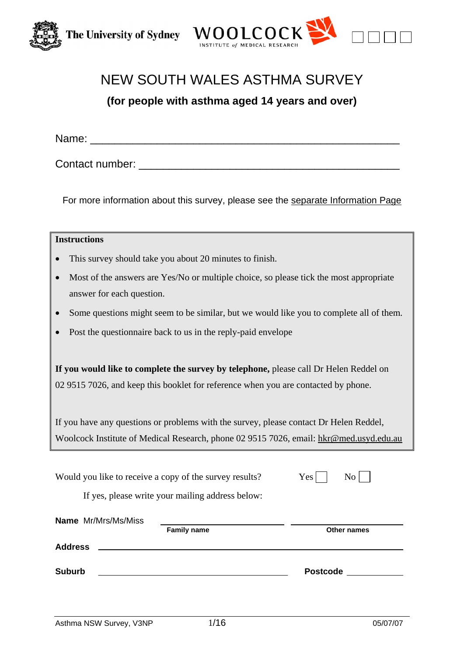



# NEW SOUTH WALES ASTHMA SURVEY

**(for people with asthma aged 14 years and over)** 

Name: \_\_\_\_\_\_\_\_\_\_\_\_\_\_\_\_\_\_\_\_\_\_\_\_\_\_\_\_\_\_\_\_\_\_\_\_\_\_\_\_\_\_\_\_\_\_\_\_\_\_\_

Contact number: \_\_\_\_\_\_\_\_\_\_\_\_\_\_\_\_\_\_\_\_\_\_\_\_\_\_\_\_\_\_\_\_\_\_\_\_\_\_\_\_\_\_\_

For more information about this survey, please see the separate Information Page

| <b>Instructions</b>                                                                                                                                                                                                                                                   |  |  |  |  |
|-----------------------------------------------------------------------------------------------------------------------------------------------------------------------------------------------------------------------------------------------------------------------|--|--|--|--|
| This survey should take you about 20 minutes to finish.                                                                                                                                                                                                               |  |  |  |  |
| Most of the answers are Yes/No or multiple choice, so please tick the most appropriate<br>answer for each question.                                                                                                                                                   |  |  |  |  |
| Some questions might seem to be similar, but we would like you to complete all of them.<br>$\bullet$                                                                                                                                                                  |  |  |  |  |
| Post the questionnaire back to us in the reply-paid envelope                                                                                                                                                                                                          |  |  |  |  |
| If you would like to complete the survey by telephone, please call Dr Helen Reddel on<br>02 9515 7026, and keep this booklet for reference when you are contacted by phone.<br>If you have any questions or problems with the survey, please contact Dr Helen Reddel, |  |  |  |  |
| Woolcock Institute of Medical Research, phone 02 9515 7026, email: hkr@med.usyd.edu.au                                                                                                                                                                                |  |  |  |  |
| Would you like to receive a copy of the survey results?<br>Yes<br>N <sub>o</sub><br>If yes, please write your mailing address below:                                                                                                                                  |  |  |  |  |
| <b>Name</b> Mr/Mrs/Ms/Miss                                                                                                                                                                                                                                            |  |  |  |  |
| <b>Family name</b><br>Other names<br><b>Address</b>                                                                                                                                                                                                                   |  |  |  |  |
|                                                                                                                                                                                                                                                                       |  |  |  |  |
| <b>Suburb</b><br><b>Postcode</b>                                                                                                                                                                                                                                      |  |  |  |  |
|                                                                                                                                                                                                                                                                       |  |  |  |  |
|                                                                                                                                                                                                                                                                       |  |  |  |  |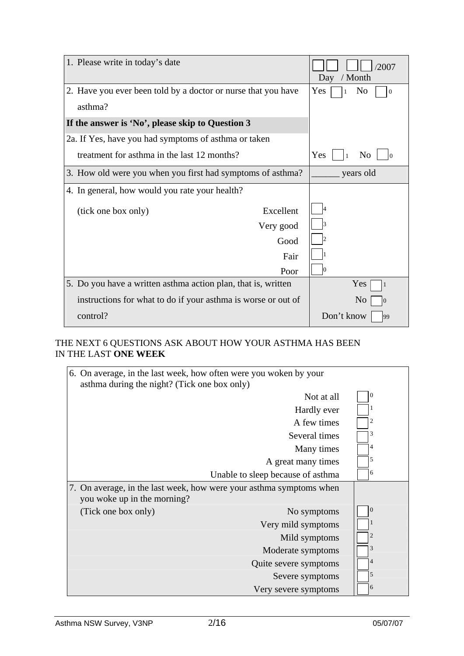| 1. Please write in today's date                               | /2007<br>/ Month<br>Day                           |
|---------------------------------------------------------------|---------------------------------------------------|
| 2. Have you ever been told by a doctor or nurse that you have | Yes<br>N <sub>0</sub><br>$\theta$<br>$\mathbf{1}$ |
| asthma?                                                       |                                                   |
| If the answer is 'No', please skip to Question 3              |                                                   |
| 2a. If Yes, have you had symptoms of asthma or taken          |                                                   |
| treatment for asthma in the last 12 months?                   | Yes<br>N <sub>0</sub>                             |
| 3. How old were you when you first had symptoms of asthma?    | years old                                         |
| 4. In general, how would you rate your health?                |                                                   |
| Excellent<br>(tick one box only)                              |                                                   |
| Very good                                                     |                                                   |
| Good                                                          |                                                   |
| Fair                                                          |                                                   |
| Poor                                                          |                                                   |
| 5. Do you have a written asthma action plan, that is, written | Yes<br>$\vert$ 1                                  |
| instructions for what to do if your asthma is worse or out of | N <sub>o</sub><br>$\overline{0}$                  |
| control?                                                      | Don't know<br>99                                  |

## THE NEXT 6 QUESTIONS ASK ABOUT HOW YOUR ASTHMA HAS BEEN IN THE LAST **ONE WEEK**

| 6. On average, in the last week, how often were you woken by your<br>asthma during the night? (Tick one box only) |                                   |                |
|-------------------------------------------------------------------------------------------------------------------|-----------------------------------|----------------|
|                                                                                                                   | Not at all                        | $\overline{0}$ |
|                                                                                                                   | Hardly ever                       |                |
|                                                                                                                   | A few times                       | 2              |
|                                                                                                                   | Several times                     | 3              |
|                                                                                                                   | Many times                        | 4              |
|                                                                                                                   | A great many times                | 5              |
|                                                                                                                   | Unable to sleep because of asthma | 6              |
| 7. On average, in the last week, how were your asthma symptoms when<br>you woke up in the morning?                |                                   |                |
| (Tick one box only)                                                                                               | No symptoms                       | $\Omega$       |
|                                                                                                                   | Very mild symptoms                |                |
|                                                                                                                   | Mild symptoms                     | 2              |
|                                                                                                                   | Moderate symptoms                 | 3              |
|                                                                                                                   | Quite severe symptoms             | 4              |
|                                                                                                                   | Severe symptoms                   | 5              |
|                                                                                                                   | Very severe symptoms              | 6              |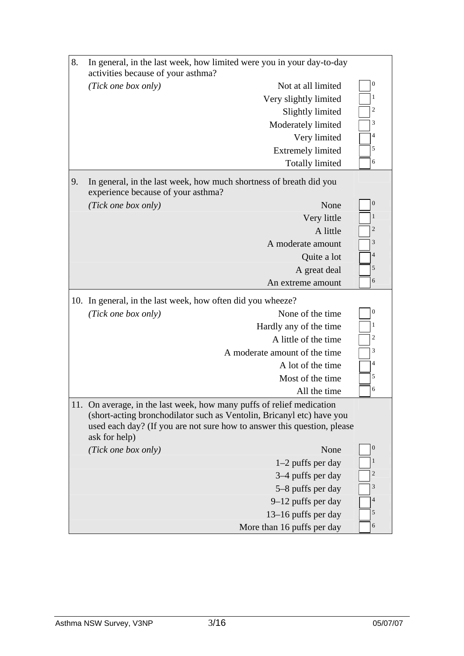| 8.  | In general, in the last week, how limited were you in your day-to-day                               |                                                                                                                                                                                                                       |                  |  |  |  |
|-----|-----------------------------------------------------------------------------------------------------|-----------------------------------------------------------------------------------------------------------------------------------------------------------------------------------------------------------------------|------------------|--|--|--|
|     | activities because of your asthma?<br>$\boldsymbol{0}$<br>(Tick one box only)<br>Not at all limited |                                                                                                                                                                                                                       |                  |  |  |  |
|     |                                                                                                     | Very slightly limited                                                                                                                                                                                                 | 1                |  |  |  |
|     |                                                                                                     | Slightly limited                                                                                                                                                                                                      | 2                |  |  |  |
|     |                                                                                                     | Moderately limited                                                                                                                                                                                                    | 3                |  |  |  |
|     |                                                                                                     | Very limited                                                                                                                                                                                                          | 4                |  |  |  |
|     |                                                                                                     | <b>Extremely limited</b>                                                                                                                                                                                              | 5                |  |  |  |
|     |                                                                                                     | <b>Totally limited</b>                                                                                                                                                                                                | 6                |  |  |  |
| 9.  | experience because of your asthma?                                                                  | In general, in the last week, how much shortness of breath did you                                                                                                                                                    |                  |  |  |  |
|     | (Tick one box only)                                                                                 | None                                                                                                                                                                                                                  | $\mathbf{0}$     |  |  |  |
|     |                                                                                                     | Very little                                                                                                                                                                                                           | $\mathbf{1}$     |  |  |  |
|     |                                                                                                     | A little                                                                                                                                                                                                              | $\overline{c}$   |  |  |  |
|     |                                                                                                     | A moderate amount                                                                                                                                                                                                     | 3                |  |  |  |
|     |                                                                                                     | Quite a lot                                                                                                                                                                                                           | $\overline{4}$   |  |  |  |
|     |                                                                                                     | A great deal                                                                                                                                                                                                          | 5                |  |  |  |
|     |                                                                                                     | An extreme amount                                                                                                                                                                                                     | 6                |  |  |  |
| 10. | In general, in the last week, how often did you wheeze?                                             |                                                                                                                                                                                                                       |                  |  |  |  |
|     | (Tick one box only)                                                                                 | None of the time                                                                                                                                                                                                      | $\boldsymbol{0}$ |  |  |  |
|     |                                                                                                     | Hardly any of the time                                                                                                                                                                                                | 1                |  |  |  |
|     |                                                                                                     | A little of the time                                                                                                                                                                                                  | 2                |  |  |  |
|     |                                                                                                     | A moderate amount of the time                                                                                                                                                                                         | 3                |  |  |  |
|     |                                                                                                     | A lot of the time                                                                                                                                                                                                     | 4                |  |  |  |
|     |                                                                                                     | Most of the time                                                                                                                                                                                                      | 5                |  |  |  |
|     |                                                                                                     | All the time                                                                                                                                                                                                          | 6                |  |  |  |
| 11. | ask for help)                                                                                       | On average, in the last week, how many puffs of relief medication<br>(short-acting bronchodilator such as Ventolin, Bricanyl etc) have you<br>used each day? (If you are not sure how to answer this question, please |                  |  |  |  |
|     | (Tick one box only)                                                                                 | None                                                                                                                                                                                                                  | $\boldsymbol{0}$ |  |  |  |
|     |                                                                                                     | $1-2$ puffs per day                                                                                                                                                                                                   | 1                |  |  |  |
|     |                                                                                                     | 3–4 puffs per day                                                                                                                                                                                                     | 2                |  |  |  |
|     |                                                                                                     | 5–8 puffs per day                                                                                                                                                                                                     | 3                |  |  |  |
|     |                                                                                                     | 9–12 puffs per day                                                                                                                                                                                                    | 4                |  |  |  |
|     |                                                                                                     | 13–16 puffs per day                                                                                                                                                                                                   | 5                |  |  |  |
|     | 6<br>More than 16 puffs per day                                                                     |                                                                                                                                                                                                                       |                  |  |  |  |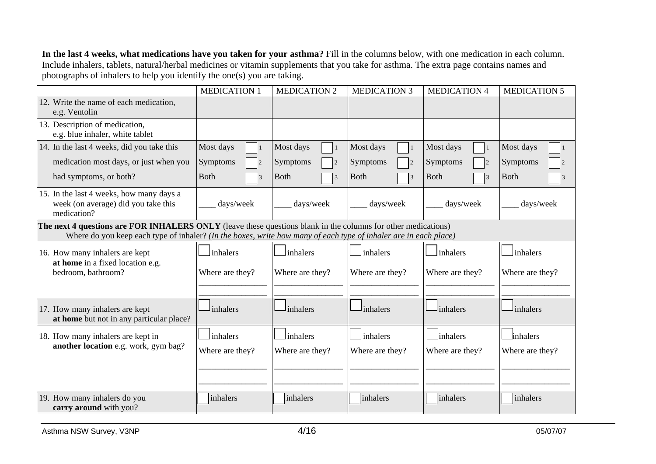**In the last 4 weeks, what medications have you taken for your asthma?** Fill in the columns below, with one medication in each column. Include inhalers, tablets, natural/herbal medicines or vitamin supplements that you take for asthma. The extra page contains names and photographs of inhalers to help you identify the one(s) you are taking.

|                                                                                                                                                                                                                                   | <b>MEDICATION 1</b>         | <b>MEDICATION 2</b>           | <b>MEDICATION 3</b>            | <b>MEDICATION 4</b> | <b>MEDICATION 5</b> |  |
|-----------------------------------------------------------------------------------------------------------------------------------------------------------------------------------------------------------------------------------|-----------------------------|-------------------------------|--------------------------------|---------------------|---------------------|--|
| 12. Write the name of each medication,<br>e.g. Ventolin                                                                                                                                                                           |                             |                               |                                |                     |                     |  |
| 13. Description of medication,<br>e.g. blue inhaler, white tablet                                                                                                                                                                 |                             |                               |                                |                     |                     |  |
| 14. In the last 4 weeks, did you take this                                                                                                                                                                                        | Most days<br>$\overline{1}$ | Most days                     | Most days<br>$\vert$ 1         | Most days           | Most days           |  |
| medication most days, or just when you                                                                                                                                                                                            | Symptoms                    | Symptoms                      | Symptoms<br> 2                 | Symptoms            | Symptoms            |  |
| had symptoms, or both?                                                                                                                                                                                                            | <b>B</b> oth<br>3           | <b>Both</b><br>$\overline{3}$ | <b>Both</b><br>$\vert 3 \vert$ | <b>Both</b>         | <b>Both</b>         |  |
| 15. In the last 4 weeks, how many days a<br>week (on average) did you take this<br>medication?                                                                                                                                    | days/week                   | days/week                     | days/week                      | days/week           | days/week           |  |
| The next 4 questions are FOR INHALERS ONLY (leave these questions blank in the columns for other medications)<br>Where do you keep each type of inhaler? (In the boxes, write how many of each type of inhaler are in each place) |                             |                               |                                |                     |                     |  |
| 16. How many inhalers are kept<br>at home in a fixed location e.g.                                                                                                                                                                | inhalers                    | inhalers                      | inhalers                       | inhalers            | inhalers            |  |
| bedroom, bathroom?                                                                                                                                                                                                                | Where are they?             | Where are they?               | Where are they?                | Where are they?     | Where are they?     |  |
| 17. How many inhalers are kept<br>at home but not in any particular place?                                                                                                                                                        | inhalers                    | inhalers                      | inhalers                       | inhalers            | inhalers            |  |
| 18. How many inhalers are kept in                                                                                                                                                                                                 | inhalers                    | inhalers                      | inhalers                       | linhalers           | inhalers            |  |
| another location e.g. work, gym bag?                                                                                                                                                                                              | Where are they?             | Where are they?               | Where are they?                | Where are they?     | Where are they?     |  |
|                                                                                                                                                                                                                                   |                             |                               |                                |                     |                     |  |
| 19. How many inhalers do you<br>carry around with you?                                                                                                                                                                            | inhalers                    | inhalers                      | inhalers                       | inhalers            | inhalers            |  |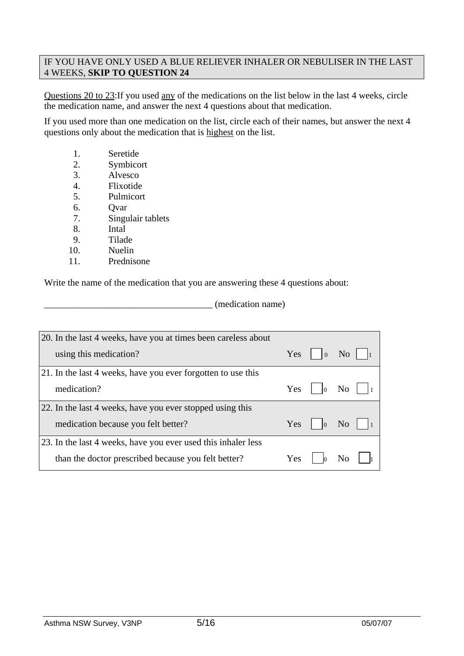### IF YOU HAVE ONLY USED A BLUE RELIEVER INHALER OR NEBULISER IN THE LAST 4 WEEKS, **SKIP TO QUESTION 24**

Questions 20 to 23:If you used any of the medications on the list below in the last 4 weeks, circle the medication name, and answer the next 4 questions about that medication.

If you used more than one medication on the list, circle each of their names, but answer the next 4 questions only about the medication that is highest on the list.

- 1. Seretide
- 2. Symbicort
- 3. Alvesco
- 4. Flixotide
- 5. Pulmicort
- 6. Qvar
- 7. Singulair tablets
- 8. Intal
- 9. Tilade
- 10. Nuelin
- 11. Prednisone

Write the name of the medication that you are answering these 4 questions about:

\_\_\_\_\_\_\_\_\_\_\_\_\_\_\_\_\_\_\_\_\_\_\_\_\_\_\_\_\_\_\_\_\_\_\_\_ (medication name)

| 20. In the last 4 weeks, have you at times been careless about |     |                             |    |
|----------------------------------------------------------------|-----|-----------------------------|----|
| using this medication?                                         |     | $Yes \mid \mid_0 \text{No}$ |    |
| 21. In the last 4 weeks, have you ever forgotten to use this   |     |                             |    |
| medication?                                                    |     | Yes $\vert$ $\vert$ 0 No    |    |
| 22. In the last 4 weeks, have you ever stopped using this      |     |                             |    |
| medication because you felt better?                            |     | $Yes \mid  0$               | No |
| 23. In the last 4 weeks, have you ever used this inhaler less  |     |                             |    |
| than the doctor prescribed because you felt better?            | Yes |                             |    |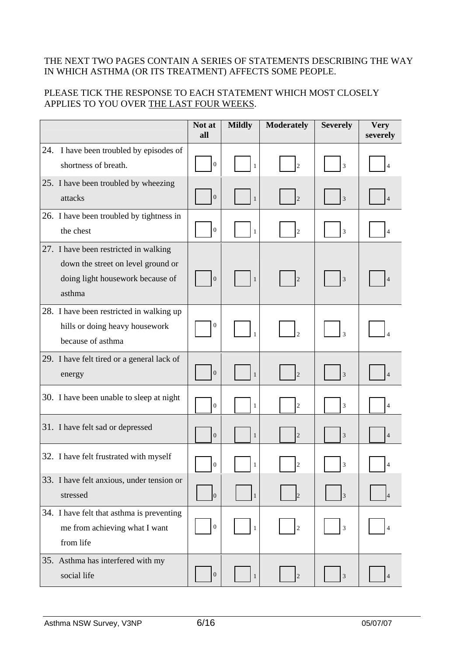### THE NEXT TWO PAGES CONTAIN A SERIES OF STATEMENTS DESCRIBING THE WAY IN WHICH ASTHMA (OR ITS TREATMENT) AFFECTS SOME PEOPLE.

## PLEASE TICK THE RESPONSE TO EACH STATEMENT WHICH MOST CLOSELY APPLIES TO YOU OVER THE LAST FOUR WEEKS.

|     |                                                                                                                           | Not at<br>all    | <b>Mildly</b> | <b>Moderately</b> | <b>Severely</b>          | <b>Very</b><br>severely |
|-----|---------------------------------------------------------------------------------------------------------------------------|------------------|---------------|-------------------|--------------------------|-------------------------|
| 24. | I have been troubled by episodes of<br>shortness of breath.                                                               | $\boldsymbol{0}$ | $\mathbf{1}$  | $\overline{2}$    | $\overline{3}$           |                         |
|     | 25. I have been troubled by wheezing<br>attacks                                                                           | $\boldsymbol{0}$ | $\mathbf{1}$  | $\overline{2}$    | 3                        |                         |
|     | 26. I have been troubled by tightness in<br>the chest                                                                     | $\boldsymbol{0}$ | $\mathbf{1}$  | $\overline{2}$    | 3                        |                         |
|     | 27. I have been restricted in walking<br>down the street on level ground or<br>doing light housework because of<br>asthma | $\boldsymbol{0}$ | $\mathbf{1}$  |                   | 3                        |                         |
|     | 28. I have been restricted in walking up<br>hills or doing heavy housework<br>because of asthma                           | $\boldsymbol{0}$ |               |                   | $\overline{\mathcal{E}}$ |                         |
|     | 29. I have felt tired or a general lack of<br>energy                                                                      | $\boldsymbol{0}$ | $\mathbf{1}$  | $\overline{2}$    | $\overline{3}$           |                         |
|     | 30. I have been unable to sleep at night                                                                                  | $\boldsymbol{0}$ | $\mathbf{1}$  | $\overline{2}$    | $\mathfrak{Z}$           | 4                       |
|     | 31. I have felt sad or depressed                                                                                          | $\boldsymbol{0}$ | $\mathbf{1}$  | $\overline{2}$    | 3                        | $\overline{4}$          |
|     | 32. I have felt frustrated with myself                                                                                    | $\overline{0}$   | $\mathbf{1}$  |                   | 3                        |                         |
|     | 33. I have felt anxious, under tension or<br>stressed                                                                     | $\vert 0 \vert$  | $\mathbf{1}$  |                   | $\vert 3 \vert$          |                         |
|     | 34. I have felt that asthma is preventing<br>me from achieving what I want<br>from life                                   | $\boldsymbol{0}$ | $\mathbf{1}$  | $\sqrt{2}$        | $\mathfrak{Z}$           |                         |
|     | 35. Asthma has interfered with my<br>social life                                                                          | $\boldsymbol{0}$ | $\mathbf{1}$  | $\overline{2}$    | $\mathfrak{Z}$           | $\overline{4}$          |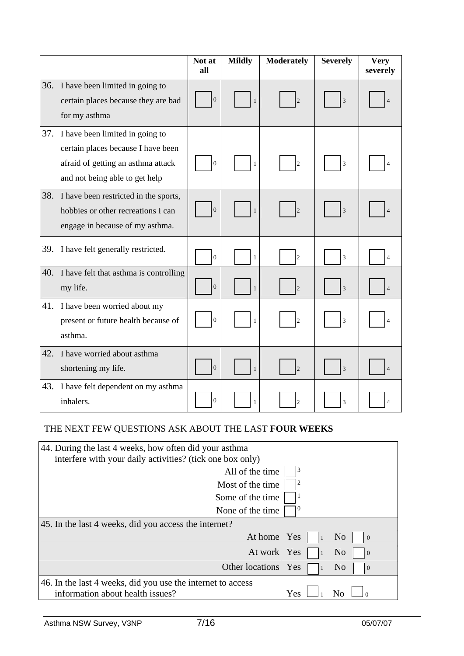|     |                                                                                                                                               | Not at<br>all    | <b>Mildly</b> | <b>Moderately</b> | <b>Severely</b> | <b>Very</b><br>severely  |
|-----|-----------------------------------------------------------------------------------------------------------------------------------------------|------------------|---------------|-------------------|-----------------|--------------------------|
| 36. | I have been limited in going to<br>certain places because they are bad<br>for my asthma                                                       | $\boldsymbol{0}$ | $\mathbf{1}$  | $\overline{c}$    | 3               |                          |
| 37. | I have been limited in going to<br>certain places because I have been<br>afraid of getting an asthma attack<br>and not being able to get help | $\overline{0}$   | 1             | $\overline{c}$    | 3               |                          |
| 38. | I have been restricted in the sports,<br>hobbies or other recreations I can<br>engage in because of my asthma.                                | $\overline{0}$   | $\mathbf{1}$  | $\mathfrak{D}$    | $\overline{3}$  |                          |
| 39. | I have felt generally restricted.                                                                                                             | $\mathbf{0}$     | $\mathbf{1}$  | $\overline{2}$    | $\overline{3}$  | $\overline{\mathcal{L}}$ |
| 40. | I have felt that asthma is controlling<br>my life.                                                                                            | $\overline{0}$   | $\mathbf{1}$  | $\overline{2}$    | 3               |                          |
| 41. | I have been worried about my<br>present or future health because of<br>asthma.                                                                | $\overline{0}$   | 1             | $\overline{c}$    | $\overline{3}$  |                          |
| 42. | I have worried about asthma<br>shortening my life.                                                                                            | $\boldsymbol{0}$ | $\mathbf{1}$  | $\overline{2}$    | $\overline{3}$  |                          |
| 43. | I have felt dependent on my asthma<br>inhalers.                                                                                               | $\overline{0}$   | 1             | $\mathfrak{D}$    | $\overline{3}$  |                          |

## THE NEXT FEW QUESTIONS ASK ABOUT THE LAST **FOUR WEEKS**

| 44. During the last 4 weeks, how often did your asthma                                          |            |                                  |  |  |  |
|-------------------------------------------------------------------------------------------------|------------|----------------------------------|--|--|--|
| interfere with your daily activities? (tick one box only)                                       |            |                                  |  |  |  |
| All of the time                                                                                 | 3          |                                  |  |  |  |
| Most of the time                                                                                |            |                                  |  |  |  |
| Some of the time                                                                                |            |                                  |  |  |  |
| None of the time.                                                                               | $\epsilon$ |                                  |  |  |  |
| 45. In the last 4 weeks, did you access the internet?                                           |            |                                  |  |  |  |
| At home Yes                                                                                     |            | N <sub>0</sub><br>$\overline{0}$ |  |  |  |
| At work Yes                                                                                     |            | N <sub>0</sub><br>$\overline{0}$ |  |  |  |
| Other locations Yes                                                                             |            | N <sub>0</sub><br>$\overline{0}$ |  |  |  |
| 46. In the last 4 weeks, did you use the internet to access<br>information about health issues? | Yes        |                                  |  |  |  |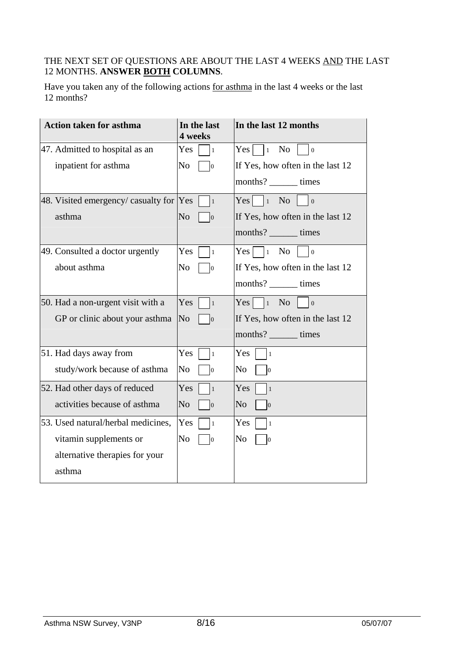## THE NEXT SET OF QUESTIONS ARE ABOUT THE LAST 4 WEEKS AND THE LAST 12 MONTHS. **ANSWER BOTH COLUMNS**.

Have you taken any of the following actions for asthma in the last 4 weeks or the last 12 months?

| <b>Action taken for asthma</b>          | In the last<br>4 weeks           | In the last 12 months                                 |
|-----------------------------------------|----------------------------------|-------------------------------------------------------|
| 47. Admitted to hospital as an          | <b>Yes</b><br>$\mathbf{1}$       | N <sub>o</sub><br>$Yes \mid \mid_1$<br>$\overline{0}$ |
| inpatient for asthma                    | No<br>lо                         | If Yes, how often in the last 12                      |
|                                         |                                  | months? _______ times                                 |
| 48. Visited emergency/ casualty for Yes | $\vert$ 1                        | No<br>$Yes \mid 1$<br>$\overline{0}$                  |
| asthma                                  | N <sub>o</sub><br>$\overline{0}$ | If Yes, how often in the last 12                      |
|                                         |                                  | months? _______ times                                 |
| 49. Consulted a doctor urgently         | Yes<br>$\mathbf{1}$              | $Yes \mid \exists_1 \space No$<br>$\overline{0}$      |
| about asthma                            | N <sub>0</sub><br>lО             | If Yes, how often in the last 12                      |
|                                         |                                  | months? _______ times                                 |
| 50. Had a non-urgent visit with a       | Yes<br>  1                       | $Yes \mid \cdot \mid_1$<br>No<br>$\vert$ 0            |
| GP or clinic about your asthma          | N <sub>o</sub><br>10             | If Yes, how often in the last 12                      |
|                                         |                                  | months? _______ times                                 |
| 51. Had days away from                  | Yes<br>$\mathbf{1}$              | Yes<br>$\vert$ 1                                      |
| study/work because of asthma            | No<br>lо                         | No<br>$ 0\rangle$                                     |
| 52. Had other days of reduced           | Yes<br>$\mathbf{1}$              | Yes<br>$\vert$ 1                                      |
| activities because of asthma            | N <sub>o</sub><br>$\overline{0}$ | No<br>$ 0\rangle$                                     |
| 53. Used natural/herbal medicines,      | <b>Yes</b><br>$\mathbf{1}$       | Yes<br>$\vert$ 1                                      |
| vitamin supplements or                  | No<br>$\vert 0 \vert$            | No<br>$ 0\rangle$                                     |
| alternative therapies for your          |                                  |                                                       |
| asthma                                  |                                  |                                                       |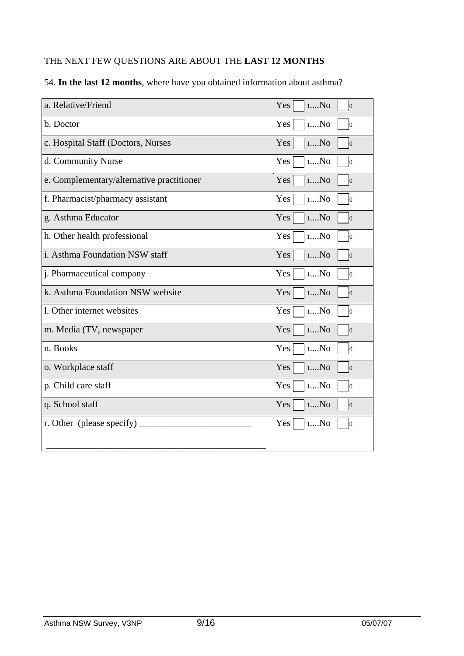## THE NEXT FEW QUESTIONS ARE ABOUT THE **LAST 12 MONTHS**

| a. Relative/Friend                        | 1N <sub>0</sub><br>Yes<br>$\overline{0}$  |
|-------------------------------------------|-------------------------------------------|
| b. Doctor                                 | 1N <sub>0</sub><br>Yes<br>$\vert 0 \vert$ |
| c. Hospital Staff (Doctors, Nurses        | Yes<br>1N <sub>0</sub><br>$\vert 0 \vert$ |
| d. Community Nurse                        | Yes<br>$1N0$<br>$\vert 0 \vert$           |
| e. Complementary/alternative practitioner | Yes<br>1N <sub>0</sub><br>$\overline{0}$  |
| f. Pharmacist/pharmacy assistant          | Yes<br>$1N$<br>Ю                          |
| g. Asthma Educator                        | Yes<br>1N <sub>0</sub><br>$\overline{0}$  |
| h. Other health professional              | Yes<br>1N <sub>0</sub><br>Ю               |
| i. Asthma Foundation NSW staff            | Yes<br>1N <sub>0</sub><br>$\vert 0 \vert$ |
| j. Pharmaceutical company                 | Yes<br>1N <sub>0</sub><br>10              |
| k. Asthma Foundation NSW website          | Yes<br>1N <sub>0</sub><br>$\vert 0 \vert$ |
| 1. Other internet websites                | Yes<br>1N <sub>0</sub><br>10              |
| m. Media (TV, newspaper                   | Yes<br>1N <sub>0</sub><br>$\vert 0 \vert$ |
| n. Books                                  | Yes<br>1N <sub>0</sub><br>lо              |
| o. Workplace staff                        | Yes<br>1N <sub>0</sub><br>$\vert 0 \vert$ |
| p. Child care staff                       | Yes<br>1N <sub>0</sub><br>lо              |
| q. School staff                           | Yes<br>1N <sub>0</sub><br>$\vert 0 \vert$ |
| r. Other (please specify)                 | 1N <sub>0</sub><br>Yes<br>ю               |
|                                           |                                           |

## 54. **In the last 12 months**, where have you obtained information about asthma?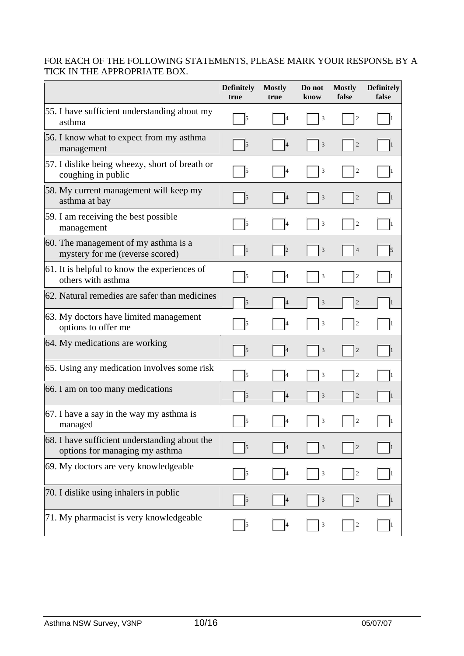## FOR EACH OF THE FOLLOWING STATEMENTS, PLEASE MARK YOUR RESPONSE BY A TICK IN THE APPROPRIATE BOX.

|                                                                                 | <b>Definitely</b><br>true | <b>Mostly</b><br>true | Do not<br>know | <b>Mostly</b><br>false  | <b>Definitely</b><br>false |
|---------------------------------------------------------------------------------|---------------------------|-----------------------|----------------|-------------------------|----------------------------|
| 55. I have sufficient understanding about my<br>asthma                          | 5                         | 4                     | 3              | $\overline{c}$          | l1                         |
| 56. I know what to expect from my asthma<br>management                          | $\vert$ 5                 | $\vert 4$             | 3              | $\overline{c}$          | 1                          |
| 57. I dislike being wheezy, short of breath or<br>coughing in public            | 5                         | 14                    | 3              | $\overline{c}$          |                            |
| 58. My current management will keep my<br>asthma at bay                         | $\vert$ 5                 | 4                     | 3              | $\overline{c}$          | 11                         |
| 59. I am receiving the best possible<br>management                              | $\vert$ 5                 | 4                     | 3              | $\overline{c}$          | 11                         |
| 60. The management of my asthma is a<br>mystery for me (reverse scored)         | 1                         | $ 2\rangle$           | 3              | $\overline{4}$          | 5                          |
| 61. It is helpful to know the experiences of<br>others with asthma              | $\vert$ 5                 | 4                     | 3              | $\overline{c}$          | 11                         |
| 62. Natural remedies are safer than medicines                                   | 5                         | 4                     | 3              | $\overline{c}$          | $\mathbf{1}$               |
| 63. My doctors have limited management<br>options to offer me                   | 5                         | $\vert 4$             | 3              | $\overline{c}$          | 11                         |
| 64. My medications are working                                                  | 5                         | 4                     | 3              | $\overline{c}$          | 1                          |
| 65. Using any medication involves some risk                                     | 5                         |                       | 3              | $\mathbf{2}$            | 1                          |
| 66. I am on too many medications                                                | 5                         | $\overline{4}$        | 3              | $\overline{c}$          |                            |
| 67. I have a say in the way my asthma is<br>managed                             | 5                         | 4                     | 3              | $\sqrt{2}$              |                            |
| 68. I have sufficient understanding about the<br>options for managing my asthma | 5                         |                       | 3              | $\overline{c}$          |                            |
| 69. My doctors are very knowledgeable                                           | 5                         |                       | 3              | $\overline{c}$          |                            |
| 70. I dislike using inhalers in public                                          | 5                         | 4                     | 3              | $\overline{\mathbf{c}}$ |                            |
| 71. My pharmacist is very knowledgeable                                         | 5                         |                       | 3              | $\boldsymbol{2}$        |                            |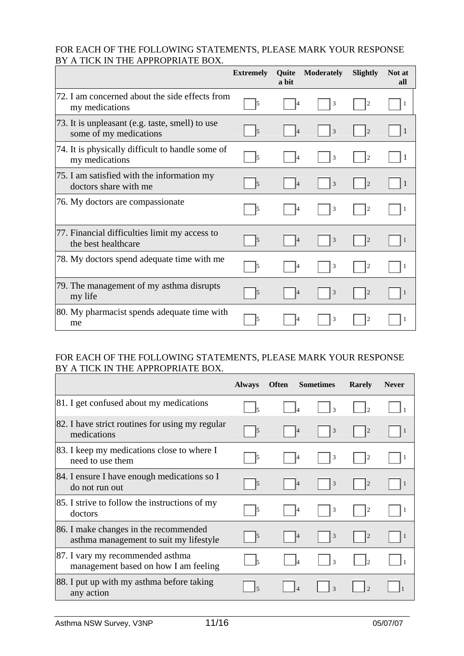#### FOR EACH OF THE FOLLOWING STATEMENTS, PLEASE MARK YOUR RESPONSE BY A TICK IN THE APPROPRIATE BOX.

|                                                                           | <b>Extremely</b>     | <b>Ouite</b><br>a bit | <b>Moderately</b> | Slightly       | Not at<br>all |
|---------------------------------------------------------------------------|----------------------|-----------------------|-------------------|----------------|---------------|
| 72. I am concerned about the side effects from<br>my medications          | 5                    | 14                    | 3                 | $\overline{2}$ | -1            |
| 73. It is unpleasant (e.g. taste, smell) to use<br>some of my medications | $\vert$ <sub>5</sub> | 4                     | 3                 | $\overline{2}$ |               |
| 74. It is physically difficult to handle some of<br>my medications        | $\sqrt{5}$           | 14                    | 3                 | $\overline{2}$ |               |
| 75. I am satisfied with the information my<br>doctors share with me       | 15                   | 14                    | 3                 | $\overline{c}$ |               |
| 76. My doctors are compassionate                                          | $\vert$ 5            | 4                     | 3                 | $\overline{2}$ |               |
| 77. Financial difficulties limit my access to<br>the best healthcare      | $\vert$ 5            | 4                     | 3                 | $\vert$ 2      |               |
| 78. My doctors spend adequate time with me                                | 5                    | 14                    | 3                 | 2              |               |
| 79. The management of my asthma disrupts<br>my life                       | 15                   | 4                     | 3                 | $\vert$ 2      |               |
| 80. My pharmacist spends adequate time with<br>me                         | 15                   |                       | 3                 | 2              |               |

## FOR EACH OF THE FOLLOWING STATEMENTS, PLEASE MARK YOUR RESPONSE BY A TICK IN THE APPROPRIATE BOX.

|                                                                                 | <b>Always</b>            | <b>Often</b> | <b>Sometimes</b> | Rarely                      | <b>Never</b> |
|---------------------------------------------------------------------------------|--------------------------|--------------|------------------|-----------------------------|--------------|
| 81. I get confused about my medications                                         | $\overline{\phantom{a}}$ |              | $\mathcal{R}$    | $\mathcal{D}_{\mathcal{A}}$ |              |
| 82. I have strict routines for using my regular<br>medications                  | $\vert$ 5                | 14           | 3                | $\overline{c}$              | - 1          |
| [83. I keep my medications close to where I<br>need to use them                 | $\vert$ 5                |              | 3                | $\overline{2}$              |              |
| 84. I ensure I have enough medications so I<br>do not run out                   | $\vert$ 5                |              | $\mathfrak{Z}$   | $\overline{2}$              |              |
| 85. I strive to follow the instructions of my<br>doctors                        | 5                        | 14           | 3                | $\overline{2}$              |              |
| 86. I make changes in the recommended<br>asthma management to suit my lifestyle | $\vert$ 5                | 4            | $\mathfrak{Z}$   | $\vert$ 2                   | 1            |
| 87. I vary my recommended asthma<br>management based on how I am feeling        |                          |              | $\mathcal{R}$    | 0                           |              |
| 88. I put up with my asthma before taking<br>any action                         | $\overline{5}$           |              | $\mathcal{R}$    |                             |              |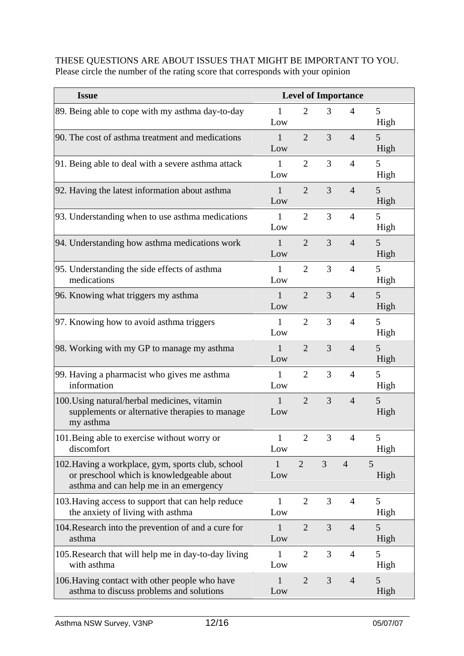#### THESE QUESTIONS ARE ABOUT ISSUES THAT MIGHT BE IMPORTANT TO YOU. Please circle the number of the rating score that corresponds with your opinion

| <b>Issue</b>                                                                                                                             | <b>Level of Importance</b> |                |                |                |           |
|------------------------------------------------------------------------------------------------------------------------------------------|----------------------------|----------------|----------------|----------------|-----------|
| 89. Being able to cope with my asthma day-to-day                                                                                         | 1<br>Low                   | $\overline{2}$ | 3              | 4              | 5<br>High |
| 90. The cost of asthma treatment and medications                                                                                         | $\mathbf{1}$<br>Low        | $\overline{2}$ | $\overline{3}$ | $\overline{4}$ | 5<br>High |
| 91. Being able to deal with a severe asthma attack                                                                                       | 1<br>Low                   | $\overline{2}$ | 3              | $\overline{4}$ | 5<br>High |
| 92. Having the latest information about asthma                                                                                           | $\mathbf{1}$<br>Low        | $\overline{2}$ | 3              | $\overline{4}$ | 5<br>High |
| 93. Understanding when to use asthma medications                                                                                         | $\mathbf{1}$<br>Low        | $\overline{2}$ | 3              | $\overline{4}$ | 5<br>High |
| 94. Understanding how asthma medications work                                                                                            | $\mathbf{1}$<br>Low        | $\overline{2}$ | 3              | $\overline{4}$ | 5<br>High |
| 95. Understanding the side effects of asthma<br>medications                                                                              | 1<br>Low                   | $\overline{2}$ | 3              | $\overline{4}$ | 5<br>High |
| 96. Knowing what triggers my asthma                                                                                                      | $\mathbf{1}$<br>Low        | $\overline{2}$ | $\overline{3}$ | $\overline{4}$ | 5<br>High |
| 97. Knowing how to avoid asthma triggers                                                                                                 | 1<br>Low                   | $\overline{2}$ | 3              | $\overline{4}$ | 5<br>High |
| 98. Working with my GP to manage my asthma                                                                                               | $\mathbf{1}$<br>Low        | $\overline{2}$ | 3              | $\overline{4}$ | 5<br>High |
| 99. Having a pharmacist who gives me asthma<br>information                                                                               | $\mathbf{1}$<br>Low        | $\overline{2}$ | 3              | $\overline{4}$ | 5<br>High |
| 100. Using natural/herbal medicines, vitamin<br>supplements or alternative therapies to manage<br>my asthma                              | $\mathbf{1}$<br>Low        | $\overline{2}$ | 3              | $\overline{4}$ | 5<br>High |
| 101. Being able to exercise without worry or<br>discomfort                                                                               | 1<br>Low                   | 2              | 3              | 4              | 5<br>High |
| 102. Having a workplace, gym, sports club, school<br>or preschool which is knowledgeable about<br>asthma and can help me in an emergency | $\mathbf{1}$<br>Low        | $\overline{2}$ | 3              | $\overline{4}$ | 5<br>High |
| 103. Having access to support that can help reduce<br>the anxiety of living with asthma                                                  | $\mathbf{1}$<br>Low        | $\overline{2}$ | 3              | $\overline{4}$ | 5<br>High |
| 104. Research into the prevention of and a cure for<br>asthma                                                                            | 1<br>Low                   | $\overline{2}$ | 3              | $\overline{4}$ | 5<br>High |
| 105. Research that will help me in day-to-day living<br>with asthma                                                                      | 1<br>Low                   | $\overline{2}$ | 3              | $\overline{4}$ | 5<br>High |
| 106. Having contact with other people who have<br>asthma to discuss problems and solutions                                               | 1<br>Low                   | $\overline{2}$ | 3              | $\overline{4}$ | 5<br>High |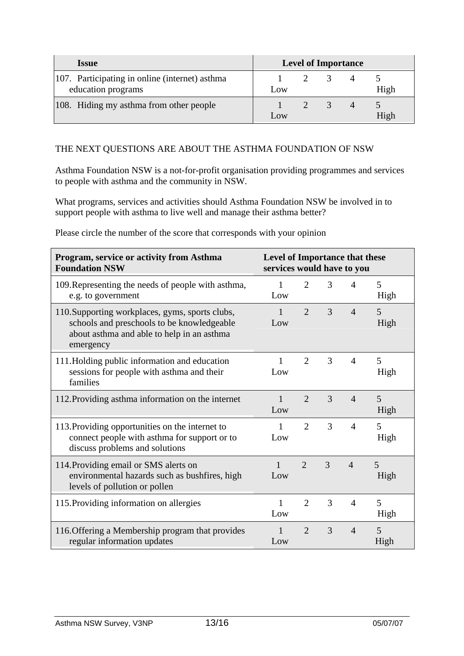| <i><b>Issue</b></i>                                                  | <b>Level of Importance</b> |  |  |          |      |
|----------------------------------------------------------------------|----------------------------|--|--|----------|------|
| 107. Participating in online (internet) asthma<br>education programs | Low                        |  |  |          | High |
| 108. Hiding my asthma from other people                              | Low                        |  |  | $\Delta$ | High |

### THE NEXT QUESTIONS ARE ABOUT THE ASTHMA FOUNDATION OF NSW

Asthma Foundation NSW is a not-for-profit organisation providing programmes and services to people with asthma and the community in NSW.

What programs, services and activities should Asthma Foundation NSW be involved in to support people with asthma to live well and manage their asthma better?

| Please circle the number of the score that corresponds with your opinion |  |  |
|--------------------------------------------------------------------------|--|--|
|--------------------------------------------------------------------------|--|--|

| Program, service or activity from Asthma<br><b>Foundation NSW</b>                                                                                        | Level of Importance that these<br>services would have to you |                             |                |                |           |
|----------------------------------------------------------------------------------------------------------------------------------------------------------|--------------------------------------------------------------|-----------------------------|----------------|----------------|-----------|
| 109. Representing the needs of people with asthma,<br>e.g. to government                                                                                 | 1<br>Low                                                     | $\overline{2}$              | 3              | $\overline{4}$ | 5<br>High |
| 110. Supporting workplaces, gyms, sports clubs,<br>schools and preschools to be knowledgeable<br>about asthma and able to help in an asthma<br>emergency | $\mathbf{1}$<br>Low                                          | $\mathcal{D}_{\mathcal{L}}$ | 3              | $\overline{4}$ | 5<br>High |
| 111. Holding public information and education<br>sessions for people with asthma and their<br>families                                                   | 1<br>Low                                                     | $\overline{2}$              | $\overline{3}$ | $\overline{4}$ | 5<br>High |
| 112. Providing asthma information on the internet                                                                                                        | $\mathbf{1}$<br>Low                                          | $\overline{2}$              | 3              | $\overline{4}$ | 5<br>High |
| 113. Providing opportunities on the internet to<br>connect people with asthma for support or to<br>discuss problems and solutions                        | 1<br>Low                                                     | $\overline{2}$              | 3              | $\overline{4}$ | 5<br>High |
| 114. Providing email or SMS alerts on<br>environmental hazards such as bushfires, high<br>levels of pollution or pollen                                  | $\mathbf{1}$<br>Low                                          | $\mathcal{D}_{\mathcal{L}}$ | 3              | $\overline{4}$ | 5<br>High |
| 115. Providing information on allergies                                                                                                                  | 1<br>Low                                                     | 2                           | 3              | $\overline{4}$ | 5<br>High |
| 116. Offering a Membership program that provides<br>regular information updates                                                                          | 1<br>Low                                                     | $\overline{2}$              | 3              | $\overline{4}$ | 5<br>High |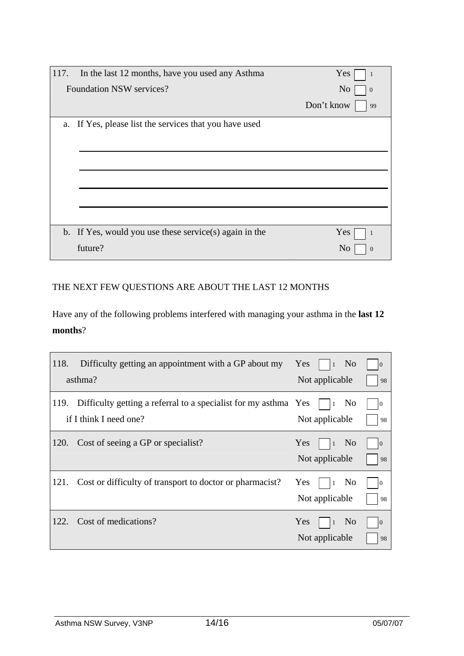| 117.                                                   | In the last 12 months, have you used any Asthma        | Yes                        |  |  |  |
|--------------------------------------------------------|--------------------------------------------------------|----------------------------|--|--|--|
| <b>Foundation NSW services?</b>                        |                                                        | N <sub>o</sub><br>$\theta$ |  |  |  |
|                                                        |                                                        | Don't know<br>99           |  |  |  |
| a. If Yes, please list the services that you have used |                                                        |                            |  |  |  |
|                                                        |                                                        |                            |  |  |  |
|                                                        |                                                        |                            |  |  |  |
|                                                        |                                                        |                            |  |  |  |
|                                                        |                                                        |                            |  |  |  |
|                                                        |                                                        |                            |  |  |  |
|                                                        | b. If Yes, would you use these service(s) again in the | Yes                        |  |  |  |
|                                                        | future?                                                | N <sub>0</sub>             |  |  |  |

## THE NEXT FEW QUESTIONS ARE ABOUT THE LAST 12 MONTHS

Have any of the following problems interfered with managing your asthma in the **last 12 months**?

| 118. | Difficulty getting an appointment with a GP about my<br>asthma?                           | Yes        | $\vert$ 1<br>Not applicable | N <sub>0</sub> | $\Omega$<br>98       |
|------|-------------------------------------------------------------------------------------------|------------|-----------------------------|----------------|----------------------|
| 119. | Difficulty getting a referral to a specialist for my asthma Yes<br>if I think I need one? |            | Not applicable              | N <sub>0</sub> | $\overline{0}$<br>98 |
| 120. | Cost of seeing a GP or specialist?                                                        | <b>Yes</b> | $\vert$ 1<br>Not applicable | N <sub>o</sub> | $\overline{0}$<br>98 |
| 121. | Cost or difficulty of transport to doctor or pharmacist?                                  | Yes        | $\vert$ 1<br>Not applicable | N <sub>0</sub> | 10<br>98             |
| 122. | Cost of medications?                                                                      | Yes        | $\vert$ 1<br>Not applicable | N <sub>0</sub> | $\overline{0}$<br>98 |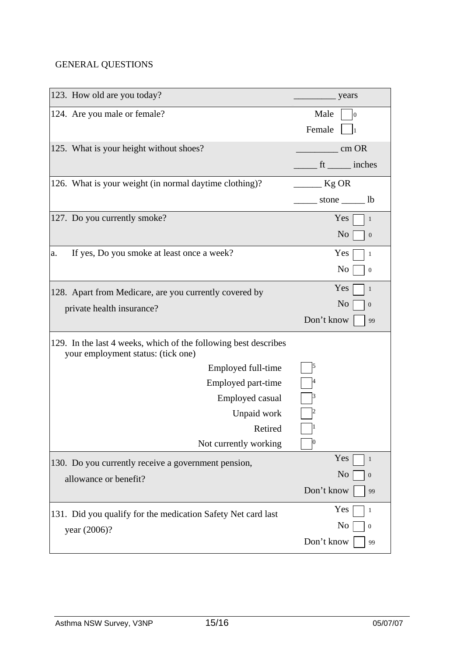## GENERAL QUESTIONS

| 123. How old are you today?                                                                           | years                              |
|-------------------------------------------------------------------------------------------------------|------------------------------------|
| 124. Are you male or female?                                                                          | Male<br>$\overline{0}$             |
|                                                                                                       | Female                             |
| 125. What is your height without shoes?                                                               | $\frac{1}{2}$ cm OR                |
|                                                                                                       | $\frac{1}{\pi}$ ft ______ inches   |
| 126. What is your weight (in normal daytime clothing)?                                                | $Kg$ OR                            |
|                                                                                                       | _______ stone ________ lb          |
| 127. Do you currently smoke?                                                                          | Yes<br>1                           |
|                                                                                                       | N <sub>o</sub><br>$\boldsymbol{0}$ |
| If yes, Do you smoke at least once a week?<br>a.                                                      | Yes<br>$\mathbf{1}$                |
|                                                                                                       | N <sub>0</sub><br>$\boldsymbol{0}$ |
| 128. Apart from Medicare, are you currently covered by                                                | Yes<br>$\mathbf{1}$                |
| private health insurance?                                                                             | N <sub>o</sub><br>$\boldsymbol{0}$ |
|                                                                                                       | Don't know<br>99                   |
| 129. In the last 4 weeks, which of the following best describes<br>your employment status: (tick one) |                                    |
| Employed full-time                                                                                    | 5                                  |
| Employed part-time                                                                                    |                                    |
| <b>Employed casual</b>                                                                                |                                    |
| Unpaid work                                                                                           |                                    |
| Retired                                                                                               |                                    |
| Not currently working                                                                                 | $\boldsymbol{0}$                   |
| 130. Do you currently receive a government pension,                                                   | Yes<br>$\mathbf{1}$                |
| allowance or benefit?                                                                                 | N <sub>o</sub><br>$\boldsymbol{0}$ |
|                                                                                                       | Don't know<br>99                   |
| 131. Did you qualify for the medication Safety Net card last                                          | Yes<br>$\mathbf{1}$                |
| year (2006)?                                                                                          | No<br>$\boldsymbol{0}$             |
|                                                                                                       | Don't know<br>99                   |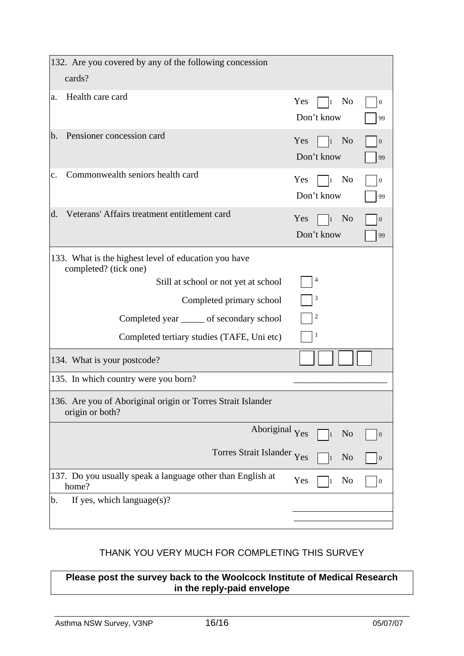| 132. Are you covered by any of the following concession<br>cards?              |                                                                            |  |  |  |  |
|--------------------------------------------------------------------------------|----------------------------------------------------------------------------|--|--|--|--|
| Health care card<br>a.                                                         | N <sub>o</sub><br>Yes<br>$\boldsymbol{0}$<br>l1<br>Don't know<br>99        |  |  |  |  |
| Pensioner concession card<br>b.                                                | Yes<br>N <sub>o</sub><br>$\boldsymbol{0}$<br>$\vert$ 1<br>Don't know<br>99 |  |  |  |  |
| Commonwealth seniors health card<br>c.                                         | Yes<br>No<br>$\boldsymbol{0}$<br>l1<br>Don't know<br>99                    |  |  |  |  |
| Veterans' Affairs treatment entitlement card<br>d.                             | Yes<br>N <sub>0</sub><br>$\boldsymbol{0}$<br>$\vert$ 1<br>Don't know<br>99 |  |  |  |  |
| 133. What is the highest level of education you have<br>completed? (tick one)  |                                                                            |  |  |  |  |
| Still at school or not yet at school                                           | $\overline{4}$                                                             |  |  |  |  |
| Completed primary school                                                       | 3                                                                          |  |  |  |  |
| Completed year <u>secondary</u> school                                         | $\overline{\mathbf{c}}$                                                    |  |  |  |  |
| Completed tertiary studies (TAFE, Uni etc)                                     | 1                                                                          |  |  |  |  |
| 134. What is your postcode?                                                    |                                                                            |  |  |  |  |
| 135. In which country were you born?                                           |                                                                            |  |  |  |  |
| 136. Are you of Aboriginal origin or Torres Strait Islander<br>origin or both? |                                                                            |  |  |  |  |
| Aboriginal Yes                                                                 | N <sub>o</sub><br>$\boldsymbol{0}$                                         |  |  |  |  |
| Torres Strait Islander Yes                                                     | N <sub>o</sub><br>$\boldsymbol{0}$                                         |  |  |  |  |
| 137. Do you usually speak a language other than English at<br>home?            | Yes<br>No<br>$\boldsymbol{0}$                                              |  |  |  |  |
| If yes, which language $(s)$ ?<br>b.                                           |                                                                            |  |  |  |  |
|                                                                                |                                                                            |  |  |  |  |

## THANK YOU VERY MUCH FOR COMPLETING THIS SURVEY

**Please post the survey back to the Woolcock Institute of Medical Research in the reply-paid envelope**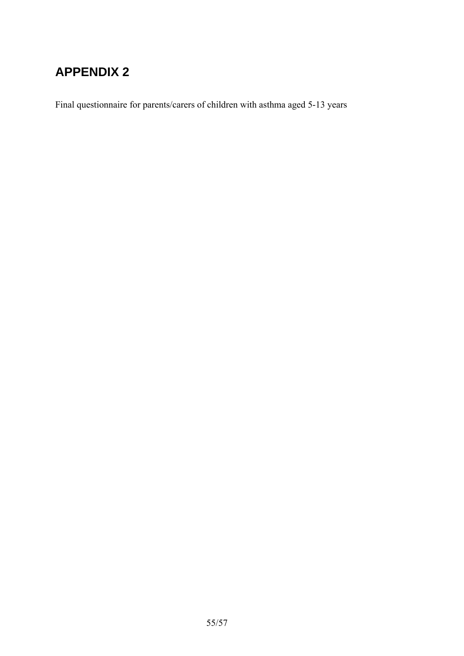# **APPENDIX 2**

Final questionnaire for parents/carers of children with asthma aged 5-13 years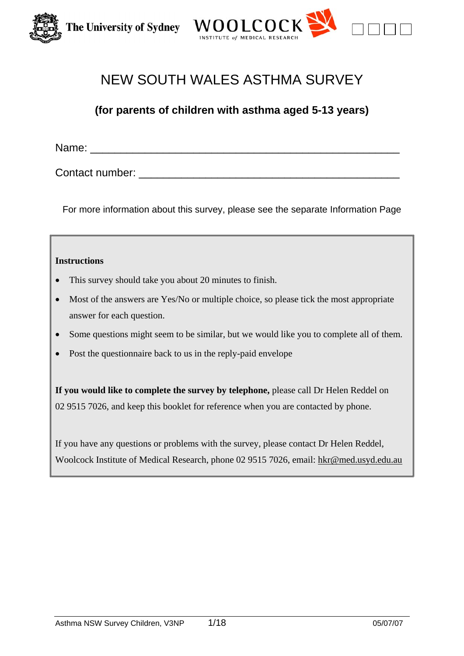



# NEW SOUTH WALES ASTHMA SURVEY

## **(for parents of children with asthma aged 5-13 years)**

Name:  $\blacksquare$ 

Contact number: \_\_\_\_\_\_\_\_\_\_\_\_\_\_\_\_\_\_\_\_\_\_\_\_\_\_\_\_\_\_\_\_\_\_\_\_\_\_\_\_\_\_\_

For more information about this survey, please see the separate Information Page

#### **Instructions**

- This survey should take you about 20 minutes to finish.
- Most of the answers are Yes/No or multiple choice, so please tick the most appropriate answer for each question.
- Some questions might seem to be similar, but we would like you to complete all of them.
- Post the questionnaire back to us in the reply-paid envelope

**If you would like to complete the survey by telephone,** please call Dr Helen Reddel on 02 9515 7026, and keep this booklet for reference when you are contacted by phone.

If you have any questions or problems with the survey, please contact Dr Helen Reddel, Woolcock Institute of Medical Research, phone 02 9515 7026, email: hkr@med.usyd.edu.au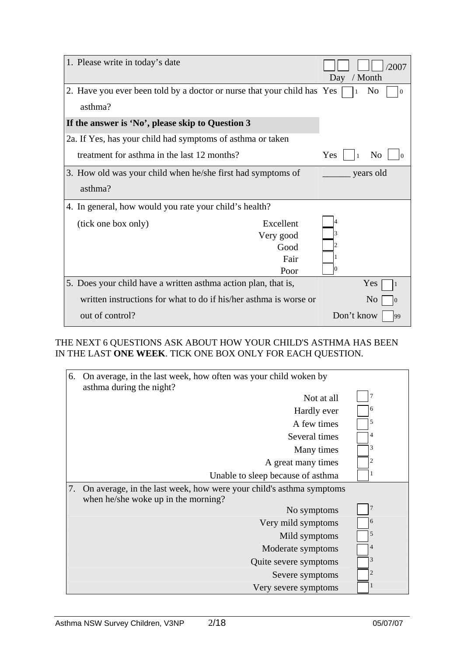| 1. Please write in today's date                                         |                                                | Day              | 2007<br>/ Month            |
|-------------------------------------------------------------------------|------------------------------------------------|------------------|----------------------------|
| 2. Have you ever been told by a doctor or nurse that your child has Yes |                                                | 1                | N <sub>0</sub><br>$\theta$ |
| asthma?                                                                 |                                                |                  |                            |
| If the answer is 'No', please skip to Question 3                        |                                                |                  |                            |
| 2a. If Yes, has your child had symptoms of asthma or taken              |                                                |                  |                            |
| treatment for asthma in the last 12 months?                             |                                                | Yes<br>$\vert$ 1 | N <sub>0</sub>             |
| 3. How old was your child when he/she first had symptoms of             |                                                |                  | years old                  |
| asthma?                                                                 |                                                |                  |                            |
| 4. In general, how would you rate your child's health?                  |                                                |                  |                            |
| (tick one box only)                                                     | Excellent<br>Very good<br>Good<br>Fair<br>Poor | Ю                |                            |
| 5. Does your child have a written asthma action plan, that is,          |                                                |                  | Yes                        |
| written instructions for what to do if his/her asthma is worse or       |                                                |                  | N <sub>0</sub>             |
| out of control?                                                         |                                                | Don't know       | 99                         |

THE NEXT 6 QUESTIONS ASK ABOUT HOW YOUR CHILD'S ASTHMA HAS BEEN IN THE LAST **ONE WEEK**. TICK ONE BOX ONLY FOR EACH QUESTION.

| 6. | On average, in the last week, how often was your child woken by<br>asthma during the night?                |                |
|----|------------------------------------------------------------------------------------------------------------|----------------|
|    | Not at all                                                                                                 | 7              |
|    | Hardly ever                                                                                                | 6              |
|    | A few times                                                                                                | 5              |
|    | Several times                                                                                              | 4              |
|    | Many times                                                                                                 | 3              |
|    | A great many times                                                                                         | 2              |
|    | Unable to sleep because of asthma                                                                          |                |
| 7. | On average, in the last week, how were your child's asthma symptoms<br>when he/she woke up in the morning? |                |
|    | No symptoms                                                                                                | $\overline{7}$ |
|    | Very mild symptoms                                                                                         | 6              |
|    | Mild symptoms                                                                                              | 5              |
|    | Moderate symptoms                                                                                          | 4              |
|    | Quite severe symptoms                                                                                      | 3              |
|    | Severe symptoms                                                                                            | $\overline{2}$ |
|    | Very severe symptoms                                                                                       | ı              |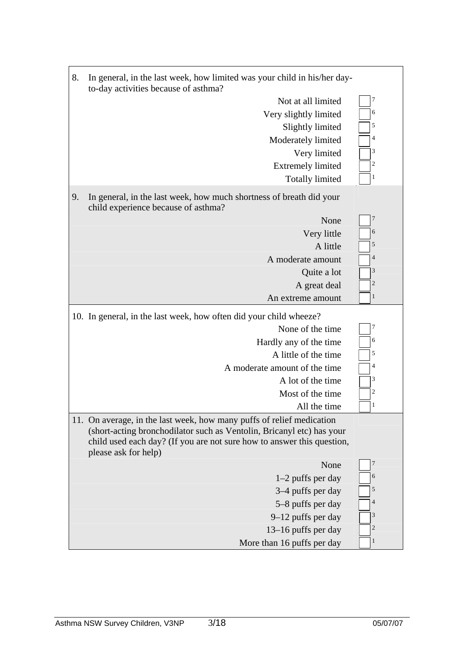| 8. | In general, in the last week, how limited was your child in his/her day-<br>to-day activities because of asthma?                                                                                                                                 |                         |  |
|----|--------------------------------------------------------------------------------------------------------------------------------------------------------------------------------------------------------------------------------------------------|-------------------------|--|
|    | Not at all limited                                                                                                                                                                                                                               | 7                       |  |
|    | Very slightly limited                                                                                                                                                                                                                            | 6                       |  |
|    | Slightly limited                                                                                                                                                                                                                                 | 5                       |  |
|    | Moderately limited                                                                                                                                                                                                                               | $\overline{4}$          |  |
|    | Very limited                                                                                                                                                                                                                                     | 3                       |  |
|    | <b>Extremely limited</b>                                                                                                                                                                                                                         | $\overline{\mathbf{c}}$ |  |
|    | <b>Totally limited</b>                                                                                                                                                                                                                           | 1                       |  |
| 9. | In general, in the last week, how much shortness of breath did your<br>child experience because of asthma?                                                                                                                                       |                         |  |
|    | None                                                                                                                                                                                                                                             | 7                       |  |
|    | Very little                                                                                                                                                                                                                                      | 6                       |  |
|    | A little                                                                                                                                                                                                                                         | 5                       |  |
|    | A moderate amount                                                                                                                                                                                                                                | $\overline{4}$          |  |
|    | Quite a lot                                                                                                                                                                                                                                      | 3                       |  |
|    | A great deal                                                                                                                                                                                                                                     | $\overline{c}$          |  |
|    | An extreme amount                                                                                                                                                                                                                                | $\mathbf{1}$            |  |
|    | 10. In general, in the last week, how often did your child wheeze?                                                                                                                                                                               |                         |  |
|    | None of the time                                                                                                                                                                                                                                 | 7                       |  |
|    | Hardly any of the time                                                                                                                                                                                                                           | 6                       |  |
|    | A little of the time                                                                                                                                                                                                                             | 5                       |  |
|    | A moderate amount of the time                                                                                                                                                                                                                    | 4                       |  |
|    | A lot of the time                                                                                                                                                                                                                                | 3                       |  |
|    | Most of the time                                                                                                                                                                                                                                 | 2                       |  |
|    | All the time                                                                                                                                                                                                                                     | 1                       |  |
|    | 11. On average, in the last week, how many puffs of relief medication<br>(short-acting bronchodilator such as Ventolin, Bricanyl etc) has your<br>child used each day? (If you are not sure how to answer this question,<br>please ask for help) |                         |  |
|    | None                                                                                                                                                                                                                                             | 7                       |  |
|    | $1-2$ puffs per day                                                                                                                                                                                                                              | 6                       |  |
|    | 3–4 puffs per day                                                                                                                                                                                                                                | 5                       |  |
|    | 5–8 puffs per day                                                                                                                                                                                                                                | 4                       |  |
|    | 9-12 puffs per day                                                                                                                                                                                                                               | 3                       |  |
|    | 13–16 puffs per day                                                                                                                                                                                                                              | $\overline{\mathbf{c}}$ |  |
|    | More than 16 puffs per day                                                                                                                                                                                                                       | $\mathbf{1}$            |  |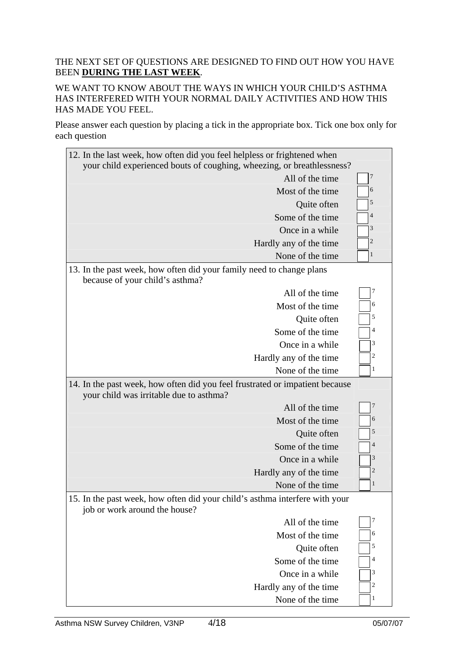### THE NEXT SET OF QUESTIONS ARE DESIGNED TO FIND OUT HOW YOU HAVE BEEN **DURING THE LAST WEEK**.

WE WANT TO KNOW ABOUT THE WAYS IN WHICH YOUR CHILD'S ASTHMA HAS INTERFERED WITH YOUR NORMAL DAILY ACTIVITIES AND HOW THIS HAS MADE YOU FEEL.

Please answer each question by placing a tick in the appropriate box. Tick one box only for each question

| 12. In the last week, how often did you feel helpless or frightened when<br>your child experienced bouts of coughing, wheezing, or breathlessness? |                |
|----------------------------------------------------------------------------------------------------------------------------------------------------|----------------|
| All of the time                                                                                                                                    | $\overline{7}$ |
| Most of the time                                                                                                                                   | 6              |
| Quite often                                                                                                                                        | 5              |
| Some of the time                                                                                                                                   | 4              |
| Once in a while                                                                                                                                    | 3              |
| Hardly any of the time                                                                                                                             | 2              |
| None of the time                                                                                                                                   | 1              |
| 13. In the past week, how often did your family need to change plans<br>because of your child's asthma?                                            |                |
| All of the time                                                                                                                                    | 7              |
| Most of the time                                                                                                                                   | 6              |
| Quite often                                                                                                                                        | 5              |
| Some of the time                                                                                                                                   | 4              |
| Once in a while                                                                                                                                    | 3              |
| Hardly any of the time                                                                                                                             | 2              |
| None of the time                                                                                                                                   | $\mathbf{1}$   |
| 14. In the past week, how often did you feel frustrated or impatient because<br>your child was irritable due to asthma?                            |                |
| All of the time                                                                                                                                    | $\overline{7}$ |
| Most of the time                                                                                                                                   | 6              |
| Quite often                                                                                                                                        | 5              |
| Some of the time                                                                                                                                   | 4              |
| Once in a while                                                                                                                                    | 3              |
| Hardly any of the time                                                                                                                             | $\overline{2}$ |
| None of the time                                                                                                                                   | $\mathbf{1}$   |
| 15. In the past week, how often did your child's asthma interfere with your<br>job or work around the house?                                       |                |
| All of the time                                                                                                                                    | 7              |
| Most of the time                                                                                                                                   | 6              |
| Quite often                                                                                                                                        | 5              |
| Some of the time                                                                                                                                   | 4              |
|                                                                                                                                                    |                |
| Once in a while                                                                                                                                    | 3              |
| Hardly any of the time                                                                                                                             | 2              |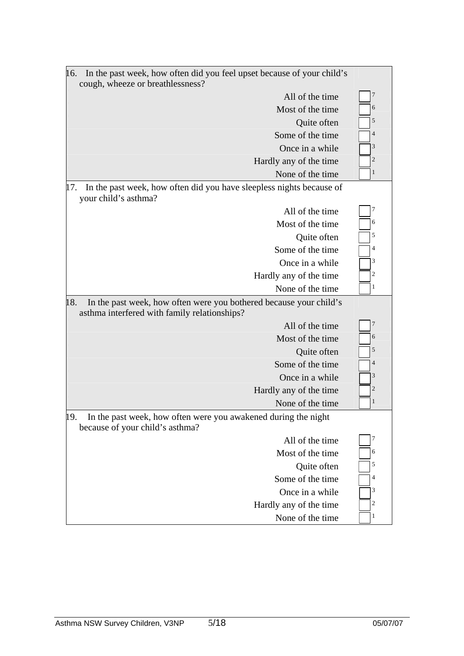| In the past week, how often did you feel upset because of your child's<br>16.<br>cough, wheeze or breathlessness?         |                 |
|---------------------------------------------------------------------------------------------------------------------------|-----------------|
| All of the time                                                                                                           | $\overline{7}$  |
| Most of the time                                                                                                          | 6               |
| Quite often                                                                                                               | 5               |
| Some of the time                                                                                                          | $\overline{4}$  |
| Once in a while                                                                                                           | 3               |
| Hardly any of the time                                                                                                    | $\overline{2}$  |
| None of the time                                                                                                          | 1               |
| In the past week, how often did you have sleepless nights because of<br>17.<br>your child's asthma?                       |                 |
| All of the time                                                                                                           | 7               |
| Most of the time                                                                                                          | 6               |
| Quite often                                                                                                               | 5               |
| Some of the time                                                                                                          | $\overline{4}$  |
| Once in a while                                                                                                           | 3               |
| Hardly any of the time                                                                                                    | 2               |
| None of the time                                                                                                          | 1               |
| 18.<br>In the past week, how often were you bothered because your child's<br>asthma interfered with family relationships? |                 |
| All of the time                                                                                                           | 7               |
| Most of the time                                                                                                          | 6               |
| Quite often                                                                                                               | 5               |
| Some of the time                                                                                                          | $\overline{4}$  |
| Once in a while                                                                                                           | $\vert 3 \vert$ |
| Hardly any of the time                                                                                                    | $\overline{2}$  |
| None of the time                                                                                                          | 1               |
| In the past week, how often were you awakened during the night<br>19.<br>because of your child's asthma?                  |                 |
| All of the time                                                                                                           | 7               |
| Most of the time                                                                                                          | 6               |
| Quite often                                                                                                               | 5               |
| Some of the time                                                                                                          | 4               |
| Once in a while                                                                                                           | 3               |
| Hardly any of the time                                                                                                    |                 |
|                                                                                                                           | 2               |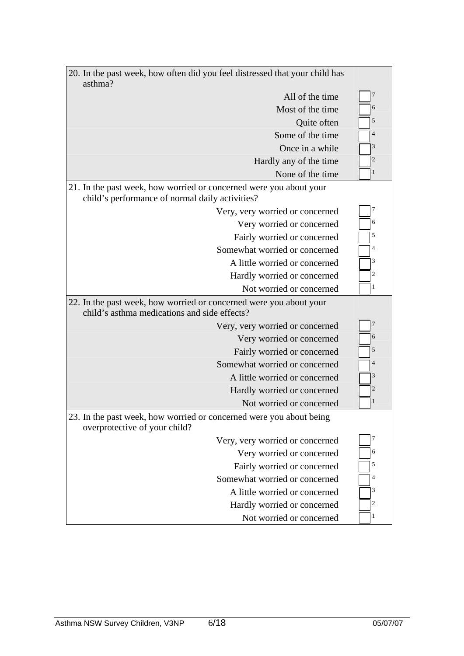| 20. In the past week, how often did you feel distressed that your child has<br>asthma?                                |                |
|-----------------------------------------------------------------------------------------------------------------------|----------------|
| All of the time                                                                                                       | 7              |
| Most of the time                                                                                                      | 6              |
| Quite often                                                                                                           | 5              |
| Some of the time                                                                                                      | $\overline{4}$ |
| Once in a while                                                                                                       | 3              |
| Hardly any of the time                                                                                                | $\overline{c}$ |
| None of the time                                                                                                      | 1              |
| 21. In the past week, how worried or concerned were you about your<br>child's performance of normal daily activities? |                |
| Very, very worried or concerned                                                                                       | 7              |
| Very worried or concerned                                                                                             | 6              |
| Fairly worried or concerned                                                                                           | 5              |
| Somewhat worried or concerned                                                                                         | $\overline{4}$ |
| A little worried or concerned                                                                                         | 3              |
| Hardly worried or concerned                                                                                           | $\overline{2}$ |
| Not worried or concerned                                                                                              | 1              |
| 22. In the past week, how worried or concerned were you about your<br>child's asthma medications and side effects?    |                |
| Very, very worried or concerned                                                                                       | 7              |
| Very worried or concerned                                                                                             | 6              |
| Fairly worried or concerned                                                                                           | 5              |
| Somewhat worried or concerned                                                                                         | $\overline{4}$ |
| A little worried or concerned                                                                                         | 3              |
| Hardly worried or concerned                                                                                           | $\overline{2}$ |
| Not worried or concerned                                                                                              | 1              |
| 23. In the past week, how worried or concerned were you about being<br>overprotective of your child?                  |                |
| Very, very worried or concerned                                                                                       | 7              |
| Very worried or concerned                                                                                             | 6              |
| Fairly worried or concerned                                                                                           | 5              |
| Somewhat worried or concerned                                                                                         | 4              |
| A little worried or concerned                                                                                         | 3              |
| Hardly worried or concerned                                                                                           | 2              |
| Not worried or concerned                                                                                              | 1              |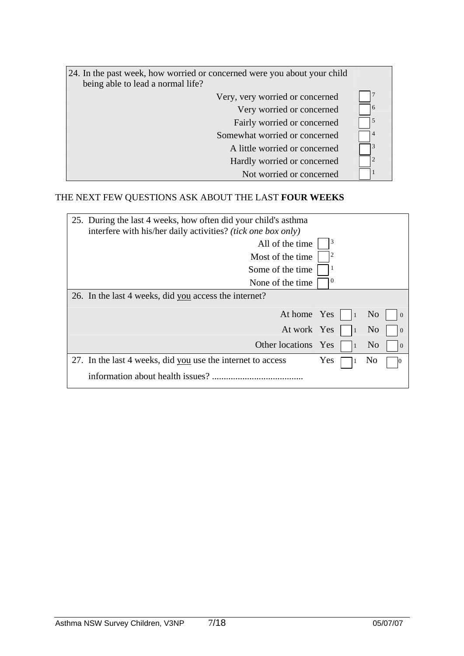| 24. In the past week, how worried or concerned were you about your child<br>being able to lead a normal life? |    |
|---------------------------------------------------------------------------------------------------------------|----|
| Very, very worried or concerned                                                                               |    |
| Very worried or concerned                                                                                     | 16 |
| Fairly worried or concerned                                                                                   | 15 |
| Somewhat worried or concerned                                                                                 | 4  |
| A little worried or concerned                                                                                 |    |
| Hardly worried or concerned                                                                                   |    |
| Not worried or concerned                                                                                      |    |

# THE NEXT FEW QUESTIONS ASK ABOUT THE LAST **FOUR WEEKS**

| 25. During the last 4 weeks, how often did your child's asthma<br>interfere with his/her daily activities? <i>(tick one box only)</i> |            |           |                |                |
|---------------------------------------------------------------------------------------------------------------------------------------|------------|-----------|----------------|----------------|
| All of the time                                                                                                                       |            |           |                |                |
| Most of the time.                                                                                                                     | 2          |           |                |                |
| Some of the time                                                                                                                      |            |           |                |                |
| None of the time.                                                                                                                     | $\theta$   |           |                |                |
| 26. In the last 4 weeks, did you access the internet?                                                                                 |            |           |                |                |
| At home Yes                                                                                                                           |            | $\vert$ 1 | N <sub>0</sub> | $\Omega$       |
| At work Yes                                                                                                                           |            | $\vert$ 1 | N <sub>0</sub> | $\overline{0}$ |
| Other locations Yes                                                                                                                   |            |           | N <sub>0</sub> | $\Omega$       |
| 27. In the last 4 weeks, did you use the internet to access                                                                           | <b>Yes</b> |           | N <sub>0</sub> |                |
| information about health issues?                                                                                                      |            |           |                |                |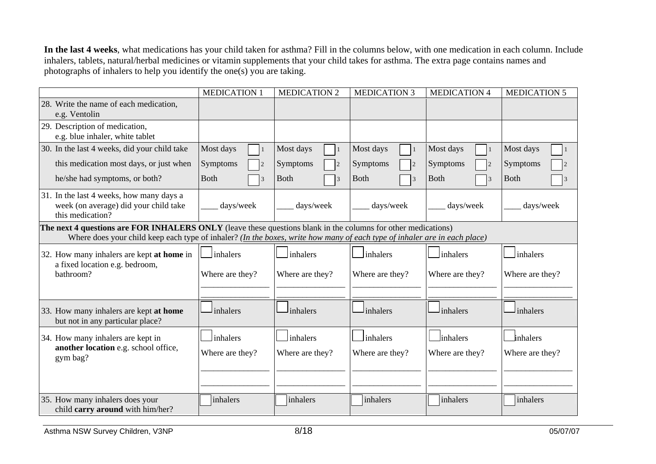**In the last 4 weeks**, what medications has your child taken for asthma? Fill in the columns below, with one medication in each column. Include inhalers, tablets, natural/herbal medicines or vitamin supplements that your child takes for asthma. The extra page contains names and photographs of inhalers to help you identify the one(s) you are taking.

|                                                                                                                                                                                                                                            | <b>MEDICATION 1</b>      | <b>MEDICATION 2</b> | <b>MEDICATION 3</b>          | <b>MEDICATION 4</b>          | <b>MEDICATION 5</b> |
|--------------------------------------------------------------------------------------------------------------------------------------------------------------------------------------------------------------------------------------------|--------------------------|---------------------|------------------------------|------------------------------|---------------------|
| 28. Write the name of each medication,<br>e.g. Ventolin                                                                                                                                                                                    |                          |                     |                              |                              |                     |
| 29. Description of medication,<br>e.g. blue inhaler, white tablet                                                                                                                                                                          |                          |                     |                              |                              |                     |
| 30. In the last 4 weeks, did your child take                                                                                                                                                                                               | Most days<br>$\vert$ 1   | Most days           | Most days<br>$\mathbf{1}$    | Most days                    | Most days           |
| this medication most days, or just when                                                                                                                                                                                                    | Symptoms                 | Symptoms            | Symptoms                     | Symptoms                     | Symptoms            |
| he/she had symptoms, or both?                                                                                                                                                                                                              | <b>Both</b><br>$\vert$ 3 | <b>Both</b>         | <b>Both</b><br>$\mathcal{R}$ | <b>Both</b><br>$\mathcal{R}$ | <b>Both</b>         |
| 31. In the last 4 weeks, how many days a<br>week (on average) did your child take<br>this medication?                                                                                                                                      | days/week                | days/week           | days/week                    | days/week                    | days/week           |
| The next 4 questions are FOR INHALERS ONLY (leave these questions blank in the columns for other medications)<br>Where does your child keep each type of inhaler? (In the boxes, write how many of each type of inhaler are in each place) |                          |                     |                              |                              |                     |
| 32. How many inhalers are kept at home in                                                                                                                                                                                                  | inhalers                 | inhalers            | inhalers                     | inhalers                     | inhalers            |
| a fixed location e.g. bedroom,<br>bathroom?                                                                                                                                                                                                | Where are they?          | Where are they?     | Where are they?              | Where are they?              | Where are they?     |
|                                                                                                                                                                                                                                            |                          |                     |                              |                              |                     |
| 33. How many inhalers are kept at home<br>but not in any particular place?                                                                                                                                                                 | inhalers                 | inhalers            | inhalers                     | inhalers                     | inhalers            |
| 34. How many inhalers are kept in                                                                                                                                                                                                          | inhalers                 | inhalers            | inhalers                     | linhalers                    | inhalers            |
| another location e.g. school office,<br>gym bag?                                                                                                                                                                                           | Where are they?          | Where are they?     | Where are they?              | Where are they?              | Where are they?     |
|                                                                                                                                                                                                                                            |                          |                     |                              |                              |                     |
| 35. How many inhalers does your<br>child carry around with him/her?                                                                                                                                                                        | inhalers                 | inhalers            | inhalers                     | inhalers                     | inhalers            |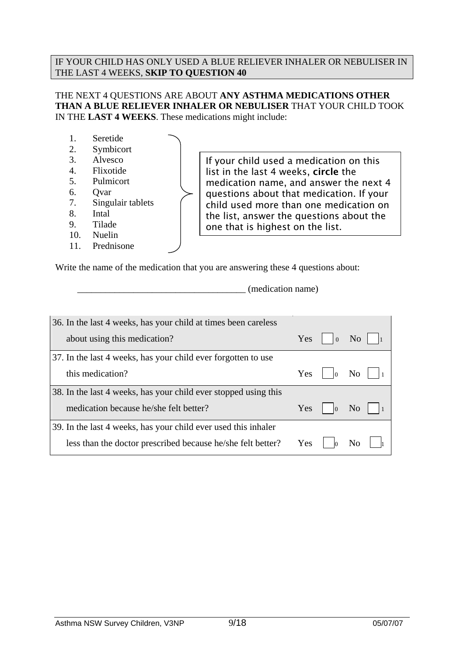#### IF YOUR CHILD HAS ONLY USED A BLUE RELIEVER INHALER OR NEBULISER IN THE LAST 4 WEEKS, **SKIP TO QUESTION 40**

#### THE NEXT 4 QUESTIONS ARE ABOUT **ANY ASTHMA MEDICATIONS OTHER THAN A BLUE RELIEVER INHALER OR NEBULISER** THAT YOUR CHILD TOOK IN THE **LAST 4 WEEKS**. These medications might include:

- 1. Seretide
- 2. Symbicort
- 3. Alvesco
- 4. Flixotide
- 5. Pulmicort
- 6. Qvar
- 7. Singulair tablets
- 8. Intal
- 9. Tilade
- 10. Nuelin
- 11. Prednisone

If your child used a medication on this list in the last 4 weeks, circle the medication name, and answer the next 4 questions about that medication. If your child used more than one medication on the list, answer the questions about the one that is highest on the list.

Write the name of the medication that you are answering these 4 questions about:

 $\Box$  (medication name)

| 36. In the last 4 weeks, has your child at times been careless  |     |                          |                |
|-----------------------------------------------------------------|-----|--------------------------|----------------|
| about using this medication?                                    |     | Yes $\vert \ \vert_0$ No |                |
| 37. In the last 4 weeks, has your child ever forgotten to use   |     |                          |                |
| this medication?                                                |     | Yes $\vert$ $\vert_0$ No |                |
| 38. In the last 4 weeks, has your child ever stopped using this |     |                          |                |
| medication because he/she felt better?                          | Yes |                          | N <sub>0</sub> |
| 39. In the last 4 weeks, has your child ever used this inhaler  |     |                          |                |
| less than the doctor prescribed because he/she felt better?     |     | $Yes \mid \mid_0$        |                |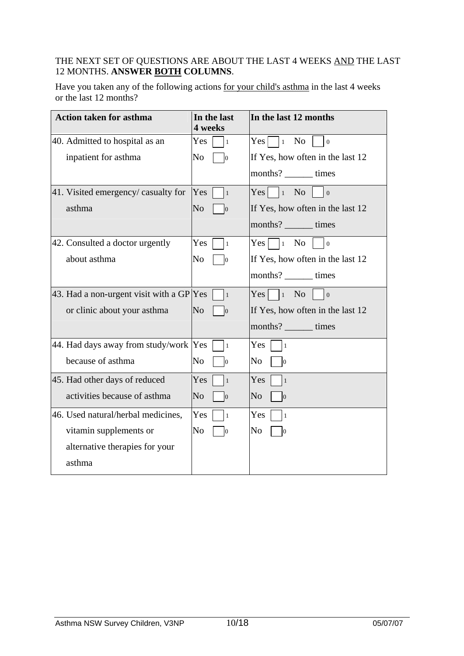### THE NEXT SET OF QUESTIONS ARE ABOUT THE LAST 4 WEEKS AND THE LAST 12 MONTHS. **ANSWER BOTH COLUMNS**.

Have you taken any of the following actions for your child's asthma in the last 4 weeks or the last 12 months?

| <b>Action taken for asthma</b>           | In the last<br>4 weeks           | In the last 12 months                             |
|------------------------------------------|----------------------------------|---------------------------------------------------|
| 40. Admitted to hospital as an           | Yes<br>I1                        | $Yes \mid \exists_1 \space No$<br>$\vert 0 \vert$ |
| inpatient for asthma                     | No<br>$\overline{0}$             | If Yes, how often in the last 12                  |
|                                          |                                  | months? _______ times                             |
| 41. Visited emergency/casualty for       | Yes<br>$\vert$ 1                 | $Yes \mid \cdot \mid_1$ No<br>$\overline{0}$      |
| asthma                                   | N <sub>o</sub><br>$\overline{0}$ | If Yes, how often in the last 12                  |
|                                          |                                  | months? _______ times                             |
| 42. Consulted a doctor urgently          | <b>Yes</b><br>l 1                | $Yes \mid \exists_1 \space No$<br>$\overline{0}$  |
| about asthma                             | No<br>IО                         | If Yes, how often in the last 12                  |
|                                          |                                  | months? _______ times                             |
| 43. Had a non-urgent visit with a GP Yes | $\vert$ 1                        | $Yes \mid \exists_1 \space No$<br>$\overline{0}$  |
| or clinic about your asthma              | N <sub>o</sub><br>$\overline{0}$ | If Yes, how often in the last 12                  |
|                                          |                                  | months? ________ times                            |
| 44. Had days away from study/work        | Yes<br>$\overline{1}$            | Yes<br>$\vert$ 1                                  |
| because of asthma                        | No<br>lО                         | No<br>$\overline{0}$                              |
| 45. Had other days of reduced            | Yes<br>$\vert$ 1                 | Yes<br>$\vert$ 1                                  |
| activities because of asthma             | No<br>$\overline{0}$             | No<br>$\mathbf{0}$                                |
| 46. Used natural/herbal medicines,       | Yes<br>$\mathbf{1}$              | Yes<br>$\vert$ 1                                  |
| vitamin supplements or                   | No<br>$\vert_0$                  | No<br>$\overline{0}$                              |
| alternative therapies for your           |                                  |                                                   |
| asthma                                   |                                  |                                                   |
|                                          |                                  |                                                   |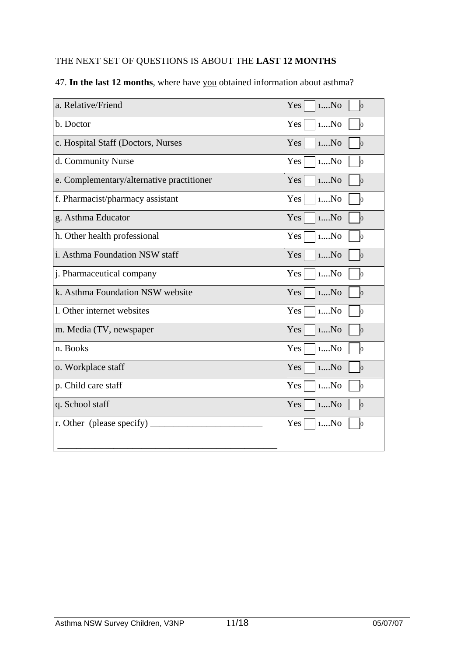### THE NEXT SET OF QUESTIONS IS ABOUT THE **LAST 12 MONTHS**

| a. Relative/Friend                        | 1N <sub>O</sub><br>Yes<br>$\vert 0 \vert$ |
|-------------------------------------------|-------------------------------------------|
| b. Doctor                                 | Yes<br>1N <sub>0</sub><br>ю               |
| c. Hospital Staff (Doctors, Nurses        | $1N$<br>Yes<br>$\vert 0 \vert$            |
| d. Community Nurse                        | Yes<br>1N <sub>0</sub><br>$\vert 0 \vert$ |
| e. Complementary/alternative practitioner | Yes<br>1No<br>$\overline{0}$              |
| f. Pharmacist/pharmacy assistant          | Yes<br>1N <sub>0</sub><br>ю               |
| g. Asthma Educator                        | Yes<br>1N <sub>0</sub><br>$\vert 0 \vert$ |
| h. Other health professional              | Yes<br>1N <sub>0</sub><br>$\log$          |
| i. Asthma Foundation NSW staff            | Yes<br>1N <sub>0</sub><br>$\vert 0 \vert$ |
| j. Pharmaceutical company                 | Yes<br>1N <sub>0</sub><br>$\vert 0 \vert$ |
| k. Asthma Foundation NSW website          | Yes<br>1N <sub>0</sub><br>$\vert 0 \vert$ |
| 1. Other internet websites                | 1N <sub>0</sub><br>Yes<br>$\vert 0 \vert$ |
| m. Media (TV, newspaper                   | Yes<br>1No<br>$\vert 0 \vert$             |
| n. Books                                  | Yes<br>1N <sub>0</sub><br>$\overline{0}$  |
| o. Workplace staff                        | Yes<br>1N <sub>0</sub><br>$\overline{0}$  |
| p. Child care staff                       | Yes<br>1N <sub>0</sub><br>10              |
| q. School staff                           | Yes<br>1N <sub>0</sub><br>$\vert 0 \vert$ |
| r. Other (please specify)                 | Yes<br>1N <sub>0</sub><br>$\bf{0}$        |
|                                           |                                           |

### 47. **In the last 12 months**, where have you obtained information about asthma?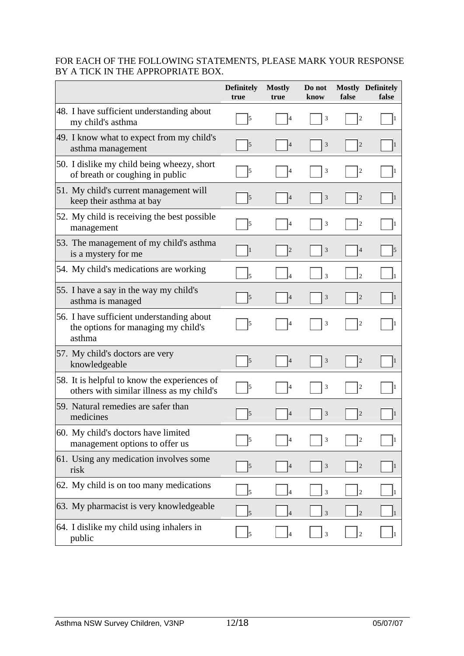#### FOR EACH OF THE FOLLOWING STATEMENTS, PLEASE MARK YOUR RESPONSE BY A TICK IN THE APPROPRIATE BOX.

|                                                                                            | <b>Definitely</b><br>true | <b>Mostly</b><br>true | Do not<br>know          | false                   | <b>Mostly Definitely</b><br>false |
|--------------------------------------------------------------------------------------------|---------------------------|-----------------------|-------------------------|-------------------------|-----------------------------------|
| 48. I have sufficient understanding about<br>my child's asthma                             | 5                         | $\vert 4$             | 3                       | $\mathfrak{2}$          |                                   |
| 49. I know what to expect from my child's<br>asthma management                             | $\vert$ <sub>5</sub>      | $\vert 4$             | $\overline{3}$          | $\sqrt{2}$              |                                   |
| 50. I dislike my child being wheezy, short<br>of breath or coughing in public              | 5                         | 4                     | 3                       | $\mathfrak{2}$          |                                   |
| 51. My child's current management will<br>keep their asthma at bay                         | $\vert$ 5                 | $\vert 4$             | 3                       | $\sqrt{2}$              |                                   |
| 52. My child is receiving the best possible<br>management                                  | $\vert$ 5                 | 4                     | $\overline{\mathbf{3}}$ | $\overline{2}$          |                                   |
| 53. The management of my child's asthma<br>is a mystery for me                             | 1                         | $\overline{2}$        | 3                       | $\overline{4}$          |                                   |
| 54. My child's medications are working                                                     |                           |                       | $\overline{3}$          | $\mathfrak{D}$          |                                   |
| 55. I have a say in the way my child's<br>asthma is managed                                | $\vert 5 \vert$           | 4                     | 3                       | $\sqrt{2}$              |                                   |
| 56. I have sufficient understanding about<br>the options for managing my child's<br>asthma | $\vert$ 5                 | 4                     | 3                       | $\overline{c}$          |                                   |
| 57. My child's doctors are very<br>knowledgeable                                           | $\vert$ <sub>5</sub>      | 4                     | 3                       | $\sqrt{2}$              | 1                                 |
| 58. It is helpful to know the experiences of<br>others with similar illness as my child's  | $\vert$ <sub>5</sub>      | 4                     | $\overline{\mathbf{3}}$ | $\overline{c}$          |                                   |
| 59. Natural remedies are safer than<br>medicines                                           | $\vert$ 5                 | $\overline{4}$        | 3                       | $\mathbf{2}$            |                                   |
| 60. My child's doctors have limited<br>management options to offer us                      | $\vert 5 \vert$           | $\overline{4}$        | 3                       | $\boldsymbol{2}$        |                                   |
| 61. Using any medication involves some<br>risk                                             | $\vert$ 5                 | $\vert$               | 3                       | $\overline{\mathbf{c}}$ |                                   |
| 62. My child is on too many medications                                                    | 5                         | $\overline{4}$        | 3                       | $\sqrt{2}$              |                                   |
| 63. My pharmacist is very knowledgeable                                                    | 5                         |                       | $\overline{3}$          | $\overline{c}$          |                                   |
| 64. I dislike my child using inhalers in<br>public                                         | $\mathsf{I}5$             | $\overline{4}$        | $\overline{\mathbf{3}}$ | $\overline{c}$          |                                   |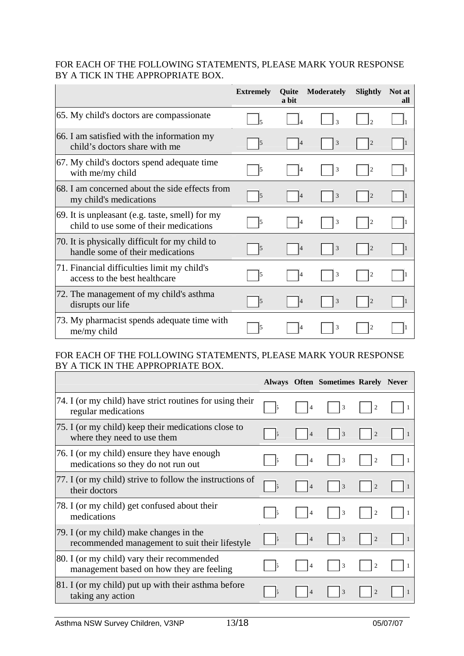#### FOR EACH OF THE FOLLOWING STATEMENTS, PLEASE MARK YOUR RESPONSE BY A TICK IN THE APPROPRIATE BOX.

|                                                                                           | <b>Extremely</b> | Quite<br>a bit | <b>Moderately</b>        | <b>Slightly</b> | Not at<br>all |
|-------------------------------------------------------------------------------------------|------------------|----------------|--------------------------|-----------------|---------------|
| 65. My child's doctors are compassionate                                                  |                  |                | $\overline{\mathcal{E}}$ | $\mathfrak{D}$  |               |
| 66. I am satisfied with the information my<br>child's doctors share with me               | l5               | $\overline{4}$ | 3                        | $\overline{2}$  |               |
| 67. My child's doctors spend adequate time<br>with me/my child                            | l5               |                | 3                        | $\overline{c}$  |               |
| 68. I am concerned about the side effects from<br>my child's medications                  | 15               |                | 3                        | $\overline{2}$  |               |
| 69. It is unpleasant (e.g. taste, smell) for my<br>child to use some of their medications | l5               |                | 3                        | $\overline{c}$  |               |
| 70. It is physically difficult for my child to<br>handle some of their medications        | 15               | 4              | 3                        | $\overline{2}$  |               |
| 71. Financial difficulties limit my child's<br>access to the best healthcare              | l5               | 14             | 3                        | $\overline{2}$  |               |
| 72. The management of my child's asthma<br>disrupts our life                              | 15               |                | 3                        | $\overline{c}$  |               |
| 73. My pharmacist spends adequate time with<br>me/my child                                |                  |                | 3                        | $\overline{c}$  |               |

### FOR EACH OF THE FOLLOWING STATEMENTS, PLEASE MARK YOUR RESPONSE BY A TICK IN THE APPROPRIATE BOX.

|                                                                                           |    |                | Always Often Sometimes Rarely Never |                |  |
|-------------------------------------------------------------------------------------------|----|----------------|-------------------------------------|----------------|--|
| 74. I (or my child) have strict routines for using their<br>regular medications           |    |                | 3                                   |                |  |
| 75. I (or my child) keep their medications close to<br>where they need to use them        | 15 | $\overline{4}$ | 3                                   | $\overline{2}$ |  |
| 76. I (or my child) ensure they have enough<br>medications so they do not run out         |    |                | 3                                   |                |  |
| 77. I (or my child) strive to follow the instructions of<br>their doctors                 |    | $\overline{4}$ | 3                                   | $\overline{2}$ |  |
| [78. I (or my child) get confused about their<br>medications                              |    | 4              | 3                                   | $\overline{2}$ |  |
| 79. I (or my child) make changes in the<br>recommended management to suit their lifestyle | 15 | $\overline{4}$ | 3                                   | $\overline{2}$ |  |
| 80. I (or my child) vary their recommended<br>management based on how they are feeling    |    | $\overline{4}$ | 3                                   | $\overline{c}$ |  |
| 81. I (or my child) put up with their asthma before<br>taking any action                  |    |                | 3                                   |                |  |

 $\overline{\phantom{0}}$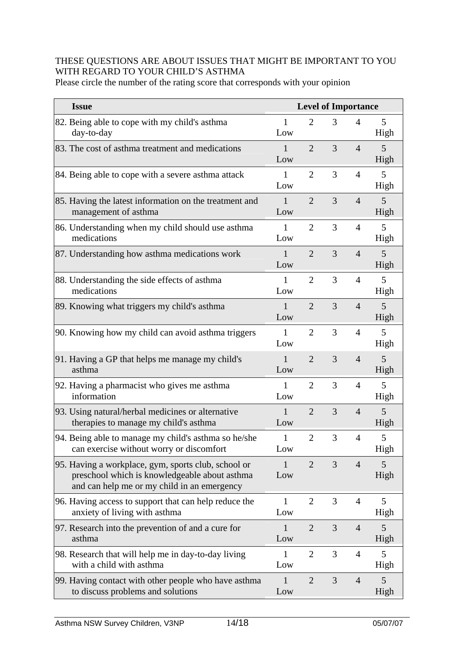### THESE QUESTIONS ARE ABOUT ISSUES THAT MIGHT BE IMPORTANT TO YOU WITH REGARD TO YOUR CHILD'S ASTHMA

Please circle the number of the rating score that corresponds with your opinion

| <b>Issue</b>                                                                                                                                        |                     |                | <b>Level of Importance</b> |                |           |
|-----------------------------------------------------------------------------------------------------------------------------------------------------|---------------------|----------------|----------------------------|----------------|-----------|
| 82. Being able to cope with my child's asthma<br>day-to-day                                                                                         | 1<br>Low            | $\overline{2}$ | 3                          | $\overline{4}$ | 5<br>High |
| 83. The cost of asthma treatment and medications                                                                                                    | $\mathbf{1}$<br>Low | $\overline{2}$ | 3                          | $\overline{4}$ | 5<br>High |
| 84. Being able to cope with a severe asthma attack                                                                                                  | $\mathbf{1}$<br>Low | $\overline{2}$ | 3                          | $\overline{4}$ | 5<br>High |
| 85. Having the latest information on the treatment and<br>management of asthma                                                                      | $\mathbf{1}$<br>Low | $\overline{2}$ | 3                          | $\overline{4}$ | 5<br>High |
| 86. Understanding when my child should use asthma<br>medications                                                                                    | $\mathbf{1}$<br>Low | $\overline{2}$ | 3                          | $\overline{4}$ | 5<br>High |
| 87. Understanding how asthma medications work                                                                                                       | 1<br>Low            | $\overline{2}$ | 3                          | $\overline{4}$ | 5<br>High |
| 88. Understanding the side effects of asthma<br>medications                                                                                         | 1<br>Low            | $\overline{2}$ | 3                          | $\overline{4}$ | 5<br>High |
| 89. Knowing what triggers my child's asthma                                                                                                         | $\mathbf{1}$<br>Low | $\overline{2}$ | 3                          | $\overline{4}$ | 5<br>High |
| 90. Knowing how my child can avoid asthma triggers                                                                                                  | $\mathbf{1}$<br>Low | $\overline{2}$ | 3                          | $\overline{4}$ | 5<br>High |
| 91. Having a GP that helps me manage my child's<br>asthma                                                                                           | $\mathbf{1}$<br>Low | $\overline{2}$ | 3                          | $\overline{4}$ | 5<br>High |
| 92. Having a pharmacist who gives me asthma<br>information                                                                                          | $\mathbf{1}$<br>Low | $\overline{2}$ | 3                          | $\overline{4}$ | 5<br>High |
| 93. Using natural/herbal medicines or alternative<br>therapies to manage my child's asthma                                                          | 1<br>Low            | $\overline{2}$ | 3                          | $\overline{4}$ | 5<br>High |
| 94. Being able to manage my child's asthma so he/she<br>can exercise without worry or discomfort                                                    | $\mathbf{1}$<br>Low | $\overline{2}$ | 3                          | $\overline{4}$ | 5<br>High |
| 95. Having a workplace, gym, sports club, school or<br>preschool which is knowledgeable about asthma<br>and can help me or my child in an emergency | 1<br>Low            | $\overline{2}$ | 3                          | $\overline{4}$ | 5<br>High |
| 96. Having access to support that can help reduce the<br>anxiety of living with asthma                                                              | 1<br>Low            | $\overline{2}$ | 3                          | 4              | 5<br>High |
| 97. Research into the prevention of and a cure for<br>asthma                                                                                        | $\mathbf{1}$<br>Low | $\overline{2}$ | 3                          | $\overline{4}$ | 5<br>High |
| 98. Research that will help me in day-to-day living<br>with a child with asthma                                                                     | 1<br>Low            | $\overline{2}$ | 3                          | $\overline{4}$ | 5<br>High |
| 99. Having contact with other people who have asthma<br>to discuss problems and solutions                                                           | 1<br>Low            | $\overline{2}$ | 3                          | $\overline{4}$ | 5<br>High |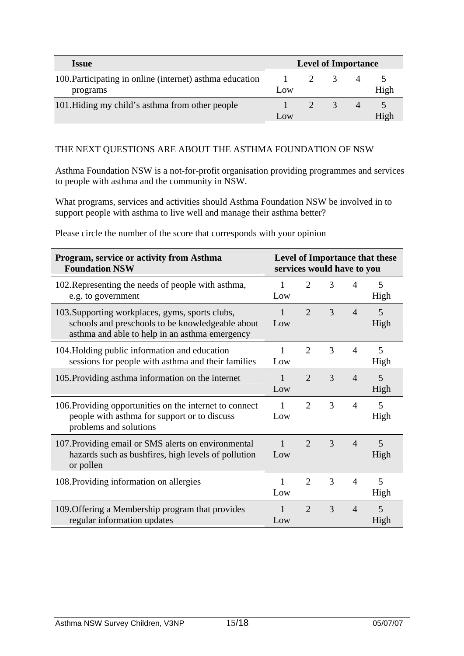| <i><u><b>Issue</b></u></i>                                           | <b>Level of Importance</b> |  |  |  |      |
|----------------------------------------------------------------------|----------------------------|--|--|--|------|
| 100. Participating in online (internet) asthma education<br>programs | Low                        |  |  |  | High |
| 101. Hiding my child's asthma from other people                      | Low                        |  |  |  | High |

#### THE NEXT QUESTIONS ARE ABOUT THE ASTHMA FOUNDATION OF NSW

Asthma Foundation NSW is a not-for-profit organisation providing programmes and services to people with asthma and the community in NSW.

What programs, services and activities should Asthma Foundation NSW be involved in to support people with asthma to live well and manage their asthma better?

| Program, service or activity from Asthma<br><b>Foundation NSW</b>                                                                                     | Level of Importance that these<br>services would have to you |                             |   |                |           |
|-------------------------------------------------------------------------------------------------------------------------------------------------------|--------------------------------------------------------------|-----------------------------|---|----------------|-----------|
| 102. Representing the needs of people with asthma,<br>e.g. to government                                                                              | 1<br>Low                                                     | $\overline{2}$              | 3 | $\overline{4}$ | 5<br>High |
| 103. Supporting workplaces, gyms, sports clubs,<br>schools and preschools to be knowledgeable about<br>asthma and able to help in an asthma emergency | Low                                                          | $\overline{2}$              | 3 | $\overline{4}$ | 5<br>High |
| 104. Holding public information and education<br>sessions for people with asthma and their families                                                   | 1<br>Low                                                     | 2                           | 3 | $\overline{4}$ | 5<br>High |
| 105. Providing asthma information on the internet                                                                                                     | Low                                                          | $\overline{2}$              | 3 | $\overline{4}$ | 5<br>High |
| 106. Providing opportunities on the internet to connect<br>people with asthma for support or to discuss<br>problems and solutions                     | 1<br>Low                                                     | $\mathcal{D}_{\mathcal{L}}$ | 3 | $\overline{4}$ | 5<br>High |
| 107. Providing email or SMS alerts on environmental<br>hazards such as bushfires, high levels of pollution<br>or pollen                               | $\mathbf{1}$<br>Low                                          | $\mathcal{D}_{\alpha}$      | 3 | $\overline{4}$ | 5<br>High |
| 108. Providing information on allergies                                                                                                               | 1<br>Low                                                     | 2                           | 3 | $\overline{4}$ | 5<br>High |
| 109. Offering a Membership program that provides<br>regular information updates                                                                       | Low                                                          | $\overline{2}$              | 3 | $\overline{4}$ | 5<br>High |

Please circle the number of the score that corresponds with your opinion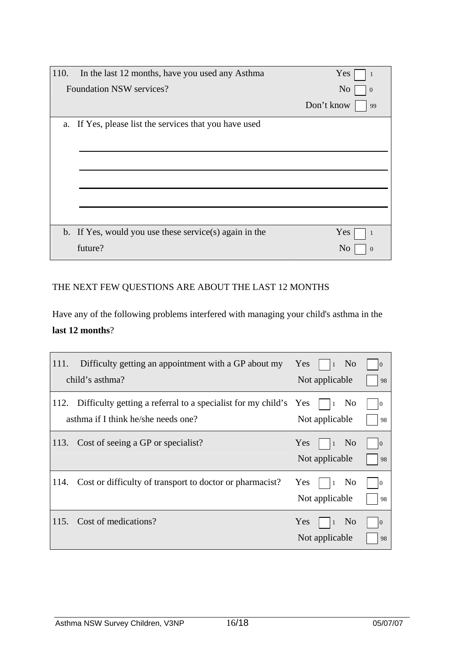| 110.<br>In the last 12 months, have you used any Asthma | Yes                        |
|---------------------------------------------------------|----------------------------|
| <b>Foundation NSW services?</b>                         | N <sub>o</sub><br>$\theta$ |
|                                                         | Don't know<br>99           |
| a. If Yes, please list the services that you have used  |                            |
|                                                         |                            |
|                                                         |                            |
|                                                         |                            |
|                                                         |                            |
|                                                         |                            |
| b. If Yes, would you use these service(s) again in the  | Yes                        |
| future?                                                 | N <sub>0</sub>             |

### THE NEXT FEW QUESTIONS ARE ABOUT THE LAST 12 MONTHS

Have any of the following problems interfered with managing your child's asthma in the **last 12 months**?

| Difficulty getting an appointment with a GP about my<br>111.<br>child's asthma?                                 | Yes<br>N <sub>0</sub><br>$\vert$ 1<br>Not applicable | $\overline{0}$<br>98  |
|-----------------------------------------------------------------------------------------------------------------|------------------------------------------------------|-----------------------|
| Difficulty getting a referral to a specialist for my child's Yes<br>112.<br>asthma if I think he/she needs one? | N <sub>0</sub><br>Not applicable                     | 10<br>98              |
| Cost of seeing a GP or specialist?<br>113.                                                                      | Yes<br>N <sub>0</sub><br>(1)<br>Not applicable       | $\overline{0}$<br>-98 |
| Cost or difficulty of transport to doctor or pharmacist?<br>114.                                                | Yes<br>N <sub>0</sub><br>  1<br>Not applicable       | 10<br>-98             |
| Cost of medications?<br>115.                                                                                    | Yes<br>N <sub>o</sub><br>$\vert$ 1<br>Not applicable | $\overline{0}$<br>98  |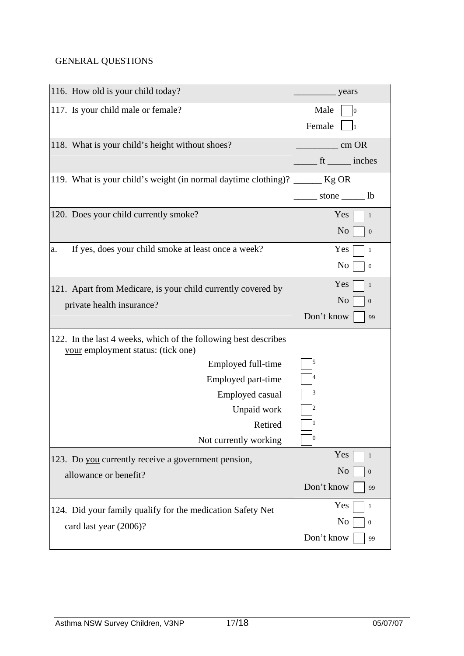# GENERAL QUESTIONS

| 116. How old is your child today?                                                                     | years                              |
|-------------------------------------------------------------------------------------------------------|------------------------------------|
| 117. Is your child male or female?                                                                    | Male<br>$\boldsymbol{0}$           |
|                                                                                                       | Female                             |
| 118. What is your child's height without shoes?                                                       | cm OR                              |
|                                                                                                       | ft ______ inches                   |
| 119. What is your child's weight (in normal daytime clothing)?                                        | $Kg$ OR                            |
|                                                                                                       | stone $\_\_\_\$ lb                 |
| 120. Does your child currently smoke?                                                                 | Yes<br>$\mathbf{1}$                |
|                                                                                                       | N <sub>o</sub><br>$\boldsymbol{0}$ |
| If yes, does your child smoke at least once a week?<br>a.                                             | Yes<br>$\mathbf{1}$                |
|                                                                                                       | No<br>$\boldsymbol{0}$             |
| 121. Apart from Medicare, is your child currently covered by                                          | Yes<br>$\mathbf{1}$                |
| private health insurance?                                                                             | N <sub>0</sub><br>$\boldsymbol{0}$ |
|                                                                                                       | Don't know<br>99                   |
| 122. In the last 4 weeks, which of the following best describes<br>your employment status: (tick one) |                                    |
| Employed full-time                                                                                    | 15                                 |
| Employed part-time                                                                                    |                                    |
| Employed casual                                                                                       |                                    |
| Unpaid work                                                                                           |                                    |
| Retired                                                                                               |                                    |
| Not currently working                                                                                 | $\boldsymbol{0}$                   |
| 123. Do you currently receive a government pension,                                                   | Yes<br>$\mathbf{1}$                |
| allowance or benefit?                                                                                 | No<br>$\boldsymbol{0}$             |
|                                                                                                       | Don't know<br>99                   |
| 124. Did your family qualify for the medication Safety Net                                            | Yes<br>$\mathbf{1}$                |
| card last year (2006)?                                                                                | No<br>$\boldsymbol{0}$             |
|                                                                                                       | Don't know<br>99                   |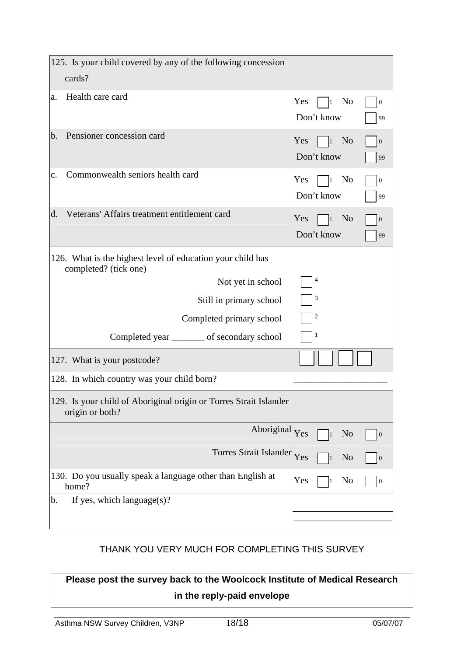| 125. Is your child covered by any of the following concession                        |                                                  |                        |
|--------------------------------------------------------------------------------------|--------------------------------------------------|------------------------|
| cards?                                                                               |                                                  |                        |
| Health care card<br>a.                                                               | Yes<br>N <sub>o</sub><br>l1<br>Don't know        | $\boldsymbol{0}$<br>99 |
| Pensioner concession card<br>b.                                                      | Yes<br>N <sub>0</sub><br>$\vert$ 1<br>Don't know | $\boldsymbol{0}$<br>99 |
| Commonwealth seniors health card<br>$\mathbf{C}$ .                                   | Yes<br>No<br>$\vert$ 1<br>Don't know             | $\boldsymbol{0}$<br>99 |
| Veterans' Affairs treatment entitlement card<br>$\mathbf{d}$ .                       | Yes<br>N <sub>0</sub><br>$\vert$ 1<br>Don't know | $\mathbf{0}$<br>99     |
| 126. What is the highest level of education your child has<br>completed? (tick one)  |                                                  |                        |
| Not yet in school                                                                    | 4                                                |                        |
| Still in primary school                                                              | 3                                                |                        |
| Completed primary school                                                             | $\overline{\mathbf{c}}$                          |                        |
| Completed year _________ of secondary school                                         | 1                                                |                        |
| 127. What is your postcode?                                                          |                                                  |                        |
| 128. In which country was your child born?                                           |                                                  |                        |
| 129. Is your child of Aboriginal origin or Torres Strait Islander<br>origin or both? |                                                  |                        |
| Aboriginal Yes                                                                       | N <sub>o</sub><br>$\overline{1}$                 | $\boldsymbol{0}$       |
| Torres Strait Islander Yes                                                           | N <sub>0</sub>                                   | $\boldsymbol{0}$       |
| 130. Do you usually speak a language other than English at<br>home?                  | Yes<br>No                                        | $\boldsymbol{0}$       |
| If yes, which language $(s)$ ?<br>b.                                                 |                                                  |                        |
|                                                                                      |                                                  |                        |

### THANK YOU VERY MUCH FOR COMPLETING THIS SURVEY

**Please post the survey back to the Woolcock Institute of Medical Research in the reply-paid envelope**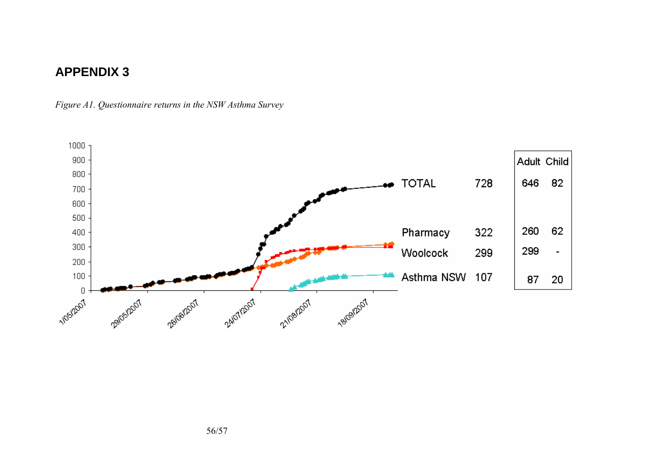# **APPENDIX 3**